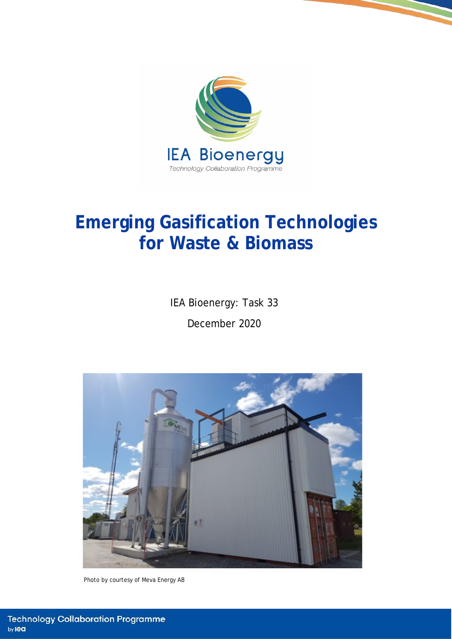

# **Emerging Gasification Technologies for Waste & Biomass**

IEA Bioenergy: Task 33 December 2020



Photo by courtesy of Meva Energy AB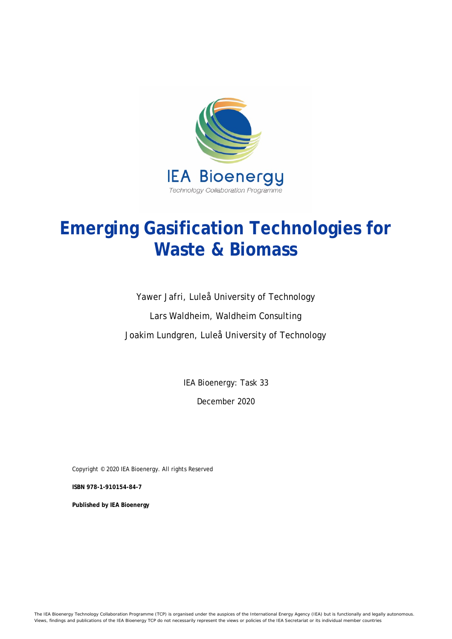

# **Emerging Gasification Technologies for Waste & Biomass**

Yawer Jafri, Luleå University of Technology Lars Waldheim, Waldheim Consulting Joakim Lundgren, Luleå University of Technology

IEA Bioenergy: Task 33

December 2020

Copyright © 2020 IEA Bioenergy. All rights Reserved

**ISBN 978-1-910154-84-7**

**Published by IEA Bioenergy**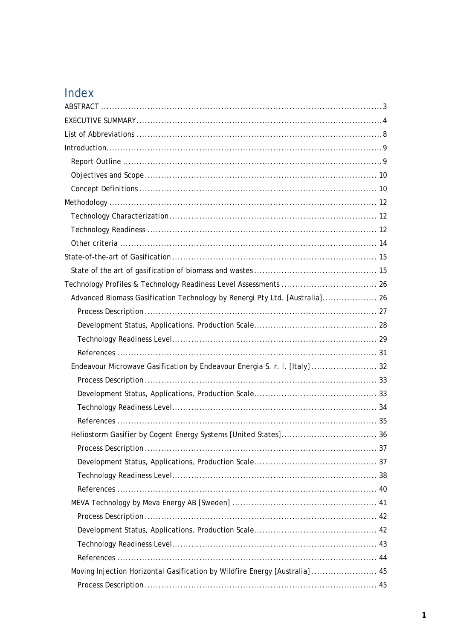# Index

| Advanced Biomass Gasification Technology by Renergi Pty Ltd. [Australia] 26 |
|-----------------------------------------------------------------------------|
|                                                                             |
|                                                                             |
|                                                                             |
|                                                                             |
| Endeavour Microwave Gasification by Endeavour Energia S. r. I. [Italy]  32  |
|                                                                             |
|                                                                             |
|                                                                             |
|                                                                             |
|                                                                             |
|                                                                             |
|                                                                             |
|                                                                             |
|                                                                             |
|                                                                             |
|                                                                             |
|                                                                             |
|                                                                             |
|                                                                             |
| Moving Injection Horizontal Gasification by Wildfire Energy [Australia]  45 |
|                                                                             |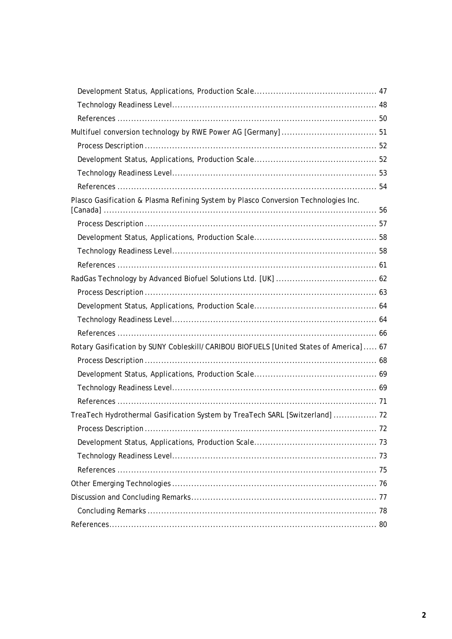| Plasco Gasification & Plasma Refining System by Plasco Conversion Technologies Inc.    |  |
|----------------------------------------------------------------------------------------|--|
|                                                                                        |  |
|                                                                                        |  |
|                                                                                        |  |
|                                                                                        |  |
|                                                                                        |  |
|                                                                                        |  |
|                                                                                        |  |
|                                                                                        |  |
|                                                                                        |  |
| Rotary Gasification by SUNY Cobleskill/CARIBOU BIOFUELS [United States of America]  67 |  |
|                                                                                        |  |
|                                                                                        |  |
|                                                                                        |  |
|                                                                                        |  |
| TreaTech Hydrothermal Gasification System by TreaTech SARL [Switzerland]  72           |  |
|                                                                                        |  |
|                                                                                        |  |
|                                                                                        |  |
|                                                                                        |  |
|                                                                                        |  |
|                                                                                        |  |
|                                                                                        |  |
|                                                                                        |  |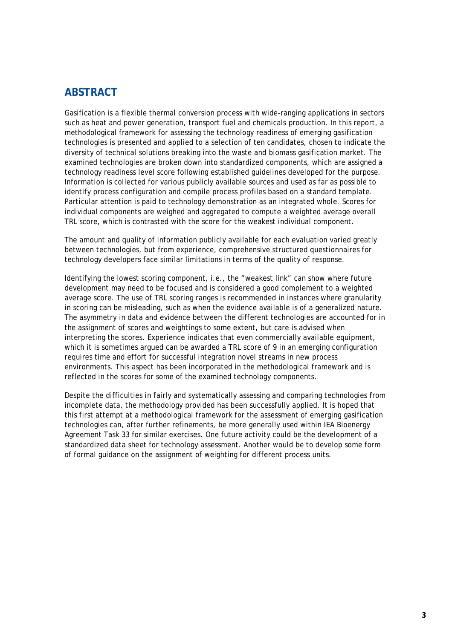# <span id="page-4-0"></span>**ABSTRACT**

Gasification is a flexible thermal conversion process with wide-ranging applications in sectors such as heat and power generation, transport fuel and chemicals production. In this report, a methodological framework for assessing the technology readiness of emerging gasification technologies is presented and applied to a selection of ten candidates, chosen to indicate the diversity of technical solutions breaking into the waste and biomass gasification market. The examined technologies are broken down into standardized components, which are assigned a technology readiness level score following established guidelines developed for the purpose. Information is collected for various publicly available sources and used as far as possible to identify process configuration and compile process profiles based on a standard template. Particular attention is paid to technology demonstration as an integrated whole. Scores for individual components are weighed and aggregated to compute a weighted average overall TRL score, which is contrasted with the score for the weakest individual component.

The amount and quality of information publicly available for each evaluation varied greatly between technologies, but from experience, comprehensive structured questionnaires for technology developers face similar limitations in terms of the quality of response.

Identifying the lowest scoring component, i.e., the "weakest link" can show where future development may need to be focused and is considered a good complement to a weighted average score. The use of TRL scoring ranges is recommended in instances where granularity in scoring can be misleading, such as when the evidence available is of a generalized nature. The asymmetry in data and evidence between the different technologies are accounted for in the assignment of scores and weightings to some extent, but care is advised when interpreting the scores. Experience indicates that even commercially available equipment, which it is sometimes argued can be awarded a TRL score of 9 in an emerging configuration requires time and effort for successful integration novel streams in new process environments. This aspect has been incorporated in the methodological framework and is reflected in the scores for some of the examined technology components.

Despite the difficulties in fairly and systematically assessing and comparing technologies from incomplete data, the methodology provided has been successfully applied. It is hoped that this first attempt at a methodological framework for the assessment of emerging gasification technologies can, after further refinements, be more generally used within IEA Bioenergy Agreement Task 33 for similar exercises. One future activity could be the development of a standardized data sheet for technology assessment. Another would be to develop some form of formal guidance on the assignment of weighting for different process units.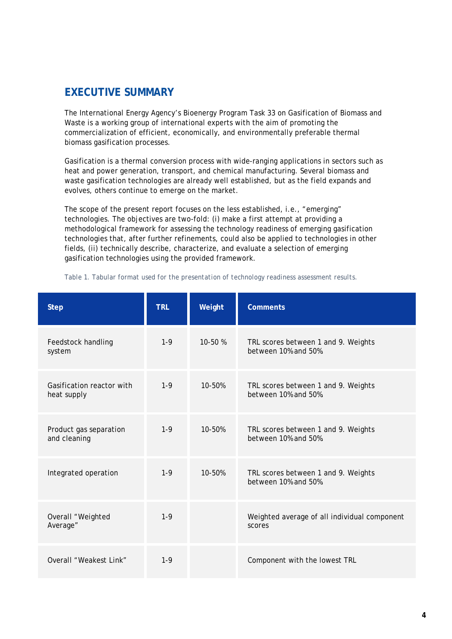# <span id="page-5-0"></span>**EXECUTIVE SUMMARY**

The International Energy Agency's Bioenergy Program Task 33 on Gasification of Biomass and Waste is a working group of international experts with the aim of promoting the commercialization of efficient, economically, and environmentally preferable thermal biomass gasification processes.

Gasification is a thermal conversion process with wide-ranging applications in sectors such as heat and power generation, transport, and chemical manufacturing. Several biomass and waste gasification technologies are already well established, but as the field expands and evolves, others continue to emerge on the market.

The scope of the present report focuses on the less established, i.e., "emerging" technologies. The objectives are two-fold: (i) make a first attempt at providing a methodological framework for assessing the technology readiness of emerging gasification technologies that, after further refinements, could also be applied to technologies in other fields, (ii) technically describe, characterize, and evaluate a selection of emerging gasification technologies using the provided framework.

| <b>Step</b>                              | <b>TRL</b> | Weight  | <b>Comments</b>                                                    |
|------------------------------------------|------------|---------|--------------------------------------------------------------------|
| Feedstock handling<br>system             | $1 - 9$    | 10-50 % | TRL scores between 1 and 9. Weights<br>between 10% and 50%.        |
| Gasification reactor with<br>heat supply | $1-9$      | 10-50%  | TRL scores between 1 and 9. Weights<br>between 10% and 50%.        |
| Product gas separation<br>and cleaning   | $1-9$      | 10-50%  | TRL scores between 1 and 9. Weights<br>between 10% and 50%.        |
| Integrated operation                     | $1 - 9$    | 10-50%  | TRL scores between 1 and 9. Weights<br>between $10\%$ and $50\%$ . |
| Overall "Weighted<br>Average"            | $1 - 9$    |         | Weighted average of all individual component<br>scores             |
| Overall "Weakest Link"                   | $1 - 9$    |         | Component with the lowest TRL                                      |

<span id="page-5-1"></span>*Table 1. Tabular format used for the presentation of technology readiness assessment results.*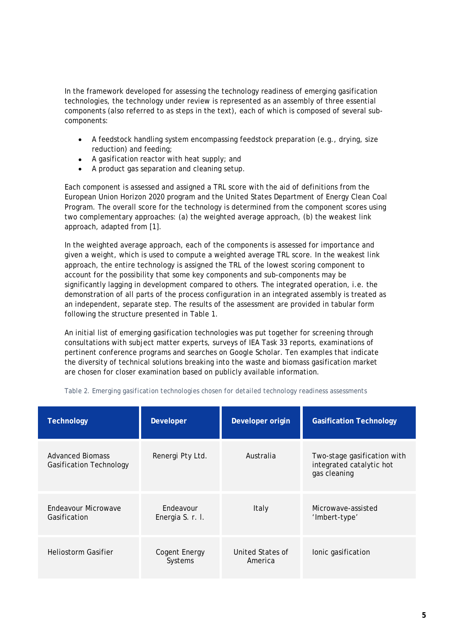In the framework developed for assessing the technology readiness of emerging gasification technologies, the technology under review is represented as an assembly of three essential components (also referred to as steps in the text), each of which is composed of several subcomponents:

- A feedstock handling system encompassing feedstock preparation (e.g., drying, size reduction) and feeding;
- A gasification reactor with heat supply; *and*
- A product gas separation and cleaning setup.

Each component is assessed and assigned a TRL score with the aid of definitions from the European Union Horizon 2020 program and the United States Department of Energy Clean Coal Program. The overall score for the technology is determined from the component scores using two complementary approaches: (a) the weighted average approach, (b) the weakest link approach, adapted from [1].

In the weighted average approach, each of the components is assessed for importance and given a weight, which is used to compute a weighted average TRL score. In the weakest link approach, the entire technology is assigned the TRL of the lowest scoring component to account for the possibility that some key components and sub-components may be significantly lagging in development compared to others. The integrated operation, i.e. the demonstration of all parts of the process configuration in an integrated assembly is treated as an independent, separate step. The results of the assessment are provided in tabular form following the structure presented in [Table 1.](#page-5-1)

An initial list of emerging gasification technologies was put together for screening through consultations with subject matter experts, surveys of IEA Task 33 reports, examinations of pertinent conference programs and searches on Google Scholar. Ten examples that indicate the diversity of technical solutions breaking into the waste and biomass gasification market are chosen for closer examination based on publicly available information.

| <b>Technology</b>                                         | Developer                            | Developer origin            | <b>Gasification Technology</b>                                          |
|-----------------------------------------------------------|--------------------------------------|-----------------------------|-------------------------------------------------------------------------|
| <b>Advanced Biomass</b><br><b>Gasification Technology</b> | Renergi Pty Ltd.                     | Australia                   | Two-stage gasification with<br>integrated catalytic hot<br>gas cleaning |
| Endeavour Microwave<br>Gasification                       | <b>Fndeavour</b><br>Energia S. r. l. | Italy                       | Microwave-assisted<br>'Imbert-type'                                     |
| <b>Heliostorm Gasifier</b>                                | Cogent Energy<br>Systems             | United States of<br>America | lonic gasification                                                      |

*Table 2. Emerging gasification technologies chosen for detailed technology readiness assessments*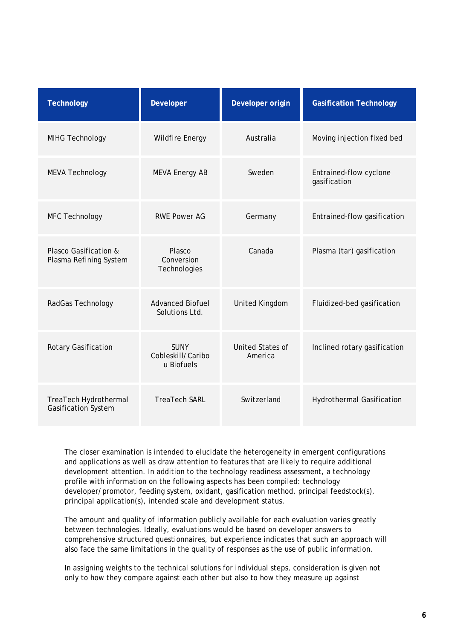| <b>Technology</b>                               | <b>Developer</b>                               | Developer origin                   | <b>Gasification Technology</b>         |
|-------------------------------------------------|------------------------------------------------|------------------------------------|----------------------------------------|
| MIHG Technology                                 | <b>Wildfire Energy</b>                         | Australia                          | Moving injection fixed bed             |
| <b>MEVA Technology</b>                          | <b>MEVA Energy AB</b>                          | Sweden                             | Entrained-flow cyclone<br>gasification |
| MFC Technology                                  | <b>RWE Power AG</b>                            | Germany                            | Entrained-flow gasification            |
| Plasco Gasification &<br>Plasma Refining System | Plasco<br>Conversion<br>Technologies           | Canada                             | Plasma (tar) gasification              |
| RadGas Technology                               | <b>Advanced Biofuel</b><br>Solutions Ltd.      | United Kingdom                     | Fluidized-bed gasification             |
| Rotary Gasification                             | <b>SUNY</b><br>Cobleskill/Caribo<br>u Biofuels | <b>United States of</b><br>America | Inclined rotary gasification           |
| TreaTech Hydrothermal<br>Gasification System    | <b>TreaTech SARL</b>                           | Switzerland                        | <b>Hydrothermal Gasification</b>       |

The closer examination is intended to elucidate the heterogeneity in emergent configurations and applications as well as draw attention to features that are likely to require additional development attention. In addition to the technology readiness assessment, a technology profile with information on the following aspects has been compiled: technology developer/promotor, feeding system, oxidant, gasification method, principal feedstock(s), principal application(s), intended scale and development status.

The amount and quality of information publicly available for each evaluation varies greatly between technologies. Ideally, evaluations would be based on developer answers to comprehensive structured questionnaires, but experience indicates that such an approach will also face the same limitations in the quality of responses as the use of public information.

In assigning weights to the technical solutions for individual steps, consideration is given not only to how they compare against each other but also to how they measure up against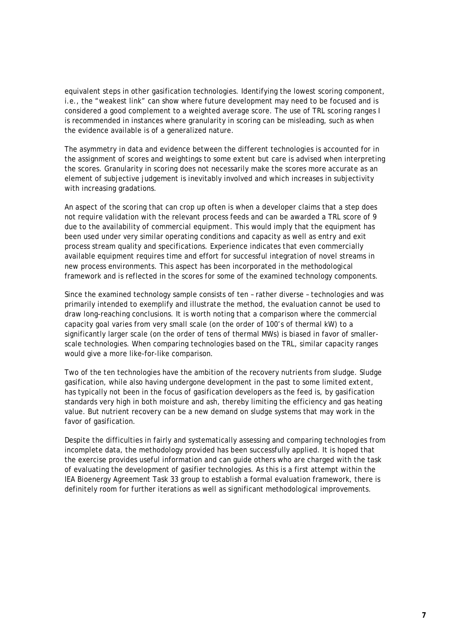equivalent steps in other gasification technologies. Identifying the lowest scoring component, i.e., the "weakest link" can show where future development may need to be focused and is considered a good complement to a weighted average score. The use of TRL scoring ranges I is recommended in instances where granularity in scoring can be misleading, such as when the evidence available is of a generalized nature.

The asymmetry in data and evidence between the different technologies is accounted for in the assignment of scores and weightings to some extent but care is advised when interpreting the scores. Granularity in scoring does not necessarily make the scores more accurate as an element of subjective judgement is inevitably involved and which increases in subjectivity with increasing gradations.

An aspect of the scoring that can crop up often is when a developer claims that a step does not require validation with the relevant process feeds and can be awarded a TRL score of 9 due to the availability of commercial equipment. This would imply that the equipment has been used under very similar operating conditions and capacity as well as entry and exit process stream quality and specifications. Experience indicates that even commercially available equipment requires time and effort for successful integration of novel streams in new process environments. This aspect has been incorporated in the methodological framework and is reflected in the scores for some of the examined technology components.

Since the examined technology sample consists of ten – rather diverse – technologies and was primarily intended to exemplify and illustrate the method, the evaluation cannot be used to draw long-reaching conclusions. It is worth noting that a comparison where the commercial capacity goal varies from very small scale (on the order of 100's of thermal kW) to a significantly larger scale (on the order of tens of thermal MWs) is biased in favor of smallerscale technologies. When comparing technologies based on the TRL, similar capacity ranges would give a more like-for-like comparison.

Two of the ten technologies have the ambition of the recovery nutrients from sludge. Sludge gasification, while also having undergone development in the past to some limited extent, has typically not been in the focus of gasification developers as the feed is, by gasification standards very high in both moisture and ash, thereby limiting the efficiency and gas heating value. But nutrient recovery can be a new demand on sludge systems that may work in the favor of gasification.

Despite the difficulties in fairly and systematically assessing and comparing technologies from incomplete data, the methodology provided has been successfully applied. It is hoped that the exercise provides useful information and can guide others who are charged with the task of evaluating the development of gasifier technologies. As this is a first attempt within the IEA Bioenergy Agreement Task 33 group to establish a formal evaluation framework, there is definitely room for further iterations as well as significant methodological improvements.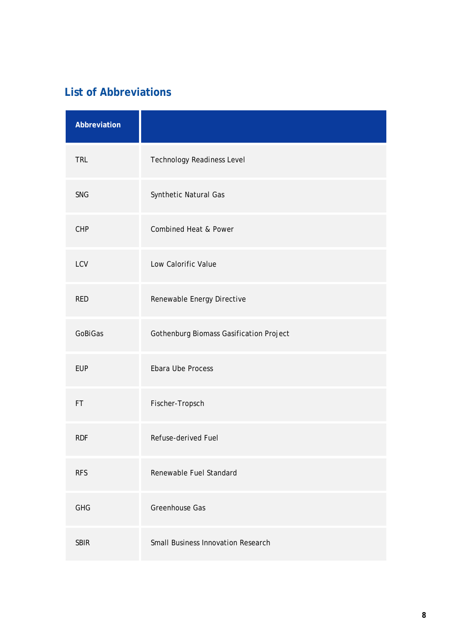# <span id="page-9-0"></span>**List of Abbreviations**

| Abbreviation |                                           |
|--------------|-------------------------------------------|
| <b>TRL</b>   | Technology Readiness Level                |
| <b>SNG</b>   | Synthetic Natural Gas                     |
| CHP          | Combined Heat & Power                     |
| LCV          | Low Calorific Value                       |
| <b>RED</b>   | Renewable Energy Directive                |
| GoBiGas      | Gothenburg Biomass Gasification Project   |
| <b>EUP</b>   | Ebara Ube Process                         |
| FT           | Fischer-Tropsch                           |
| <b>RDF</b>   | Refuse-derived Fuel                       |
| <b>RFS</b>   | Renewable Fuel Standard                   |
| <b>GHG</b>   | Greenhouse Gas                            |
| <b>SBIR</b>  | <b>Small Business Innovation Research</b> |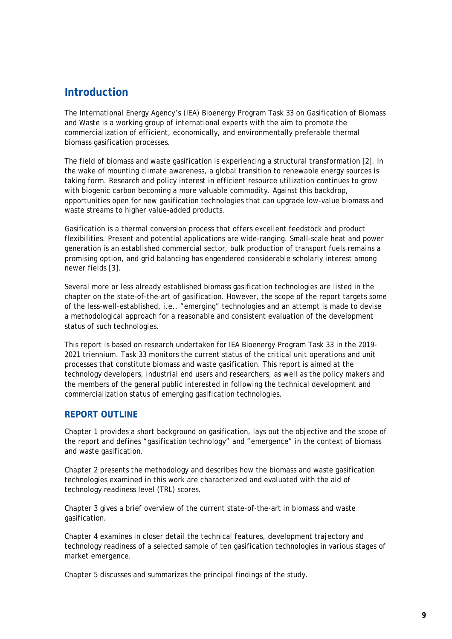# <span id="page-10-0"></span>**Introduction**

The International Energy Agency's (IEA) Bioenergy Program Task 33 on Gasification of Biomass and Waste is a working group of international experts with the aim to promote the commercialization of efficient, economically, and environmentally preferable thermal biomass gasification processes.

The field of biomass and waste gasification is experiencing a structural transformation [2]. In the wake of mounting climate awareness, a global transition to renewable energy sources is taking form. Research and policy interest in efficient resource utilization continues to grow with biogenic carbon becoming a more valuable commodity. Against this backdrop, opportunities open for new gasification technologies that can upgrade low-value biomass and waste streams to higher value-added products.

Gasification is a thermal conversion process that offers excellent feedstock and product flexibilities. Present and potential applications are wide-ranging. Small-scale heat and power generation is an established commercial sector, bulk production of transport fuels remains a promising option, and grid balancing has engendered considerable scholarly interest among newer fields [3].

Several more or less already established biomass gasification technologies are listed in the chapter on the state-of-the-art of gasification. However, the scope of the report targets some of the less-well-established, i.e., "emerging" technologies and an attempt is made to devise a methodological approach for a reasonable and consistent evaluation of the development status of such technologies.

This report is based on research undertaken for IEA Bioenergy Program Task 33 in the 2019- 2021 triennium. Task 33 monitors the current status of the critical unit operations and unit processes that constitute biomass and waste gasification. This report is aimed at the technology developers, industrial end users and researchers, as well as the policy makers and the members of the general public interested in following the technical development and commercialization status of emerging gasification technologies.

# <span id="page-10-1"></span>**REPORT OUTLINE**

Chapter 1 provides a short background on gasification, lays out the objective and the scope of the report and defines "gasification technology" and "emergence" in the context of biomass and waste gasification.

Chapter 2 presents the methodology and describes how the biomass and waste gasification technologies examined in this work are characterized and evaluated with the aid of technology readiness level (TRL) scores.

Chapter 3 gives a brief overview of the current state-of-the-art in biomass and waste gasification.

Chapter 4 examines in closer detail the technical features, development trajectory and technology readiness of a selected sample of ten gasification technologies in various stages of market emergence.

Chapter 5 discusses and summarizes the principal findings of the study.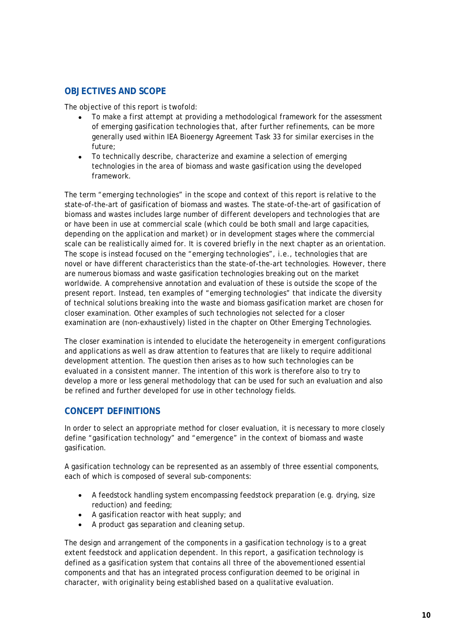# <span id="page-11-0"></span>**OBJECTIVES AND SCOPE**

The objective of this report is twofold:

- To make a first attempt at providing a methodological framework for the assessment of emerging gasification technologies that, after further refinements, can be more generally used within IEA Bioenergy Agreement Task 33 for similar exercises in the future;
- To technically describe, characterize and examine a selection of emerging technologies in the area of biomass and waste gasification using the developed framework.

The term "emerging technologies" in the scope and context of this report is relative to the state-of-the-art of gasification of biomass and wastes. The state-of-the-art of gasification of biomass and wastes includes large number of different developers and technologies that are or have been in use at commercial scale (which could be both small and large capacities, depending on the application and market) or in development stages where the commercial scale can be realistically aimed for. It is covered briefly in the next chapter as an orientation. The scope is instead focused on the "emerging technologies", i.e., technologies that are novel or have different characteristics than the state-of-the-art technologies. However, there are numerous biomass and waste gasification technologies breaking out on the market worldwide. A comprehensive annotation and evaluation of these is outside the scope of the present report. Instead, ten examples of "emerging technologies" that indicate the diversity of technical solutions breaking into the waste and biomass gasification market are chosen for closer examination. Other examples of such technologies not selected for a closer examination are (non-exhaustively) listed in the chapter on [Other Emerging Technologies.](#page-77-0)

The closer examination is intended to elucidate the heterogeneity in emergent configurations and applications as well as draw attention to features that are likely to require additional development attention. The question then arises as to how such technologies can be evaluated in a consistent manner. The intention of this work is therefore also to try to develop a more or less general methodology that can be used for such an evaluation and also be refined and further developed for use in other technology fields.

# <span id="page-11-1"></span>**CONCEPT DEFINITIONS**

In order to select an appropriate method for closer evaluation, it is necessary to more closely define "gasification technology" and "emergence" in the context of biomass and waste gasification.

A gasification technology can be represented as an assembly of three essential components, each of which is composed of several sub-components:

- A feedstock handling system encompassing feedstock preparation (e.g. drying, size reduction) and feeding;
- A gasification reactor with heat supply; *and*
- A product gas separation and cleaning setup.

The design and arrangement of the components in a gasification technology is to a great extent feedstock and application dependent. In this report, a gasification technology is defined as a gasification system that contains all three of the abovementioned essential components and that has an integrated process configuration deemed to be original in character, with originality being established based on a qualitative evaluation.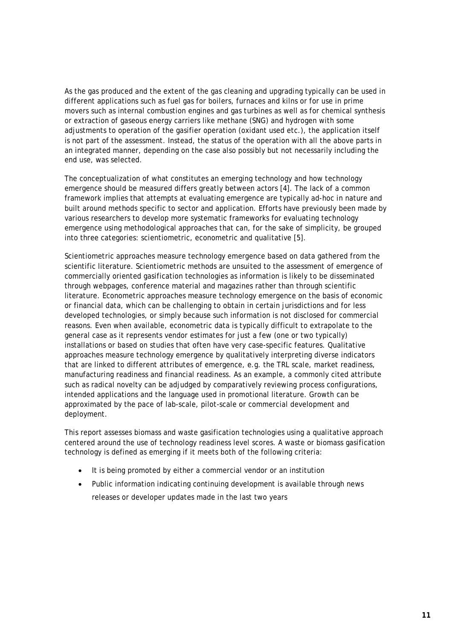As the gas produced and the extent of the gas cleaning and upgrading typically can be used in different applications such as fuel gas for boilers, furnaces and kilns or for use in prime movers such as internal combustion engines and gas turbines as well as for chemical synthesis or extraction of gaseous energy carriers like methane (SNG) and hydrogen with some adjustments to operation of the gasifier operation (oxidant used etc.), the application itself is not part of the assessment. Instead, the status of the operation with all the above parts in an integrated manner, depending on the case also possibly but not necessarily including the end use, was selected.

The conceptualization of what constitutes an emerging technology and how technology emergence should be measured differs greatly between actors [4]. The lack of a common framework implies that attempts at evaluating emergence are typically ad-hoc in nature and built around methods specific to sector and application. Efforts have previously been made by various researchers to develop more systematic frameworks for evaluating technology emergence using methodological approaches that can, for the sake of simplicity, be grouped into three categories: scientiometric, econometric and qualitative [5].

Scientiometric approaches measure technology emergence based on data gathered from the scientific literature. Scientiometric methods are unsuited to the assessment of emergence of commercially oriented gasification technologies as information is likely to be disseminated through webpages, conference material and magazines rather than through scientific literature. Econometric approaches measure technology emergence on the basis of economic or financial data, which can be challenging to obtain in certain jurisdictions and for less developed technologies, or simply because such information is not disclosed for commercial reasons. Even when available, econometric data is typically difficult to extrapolate to the general case as it represents vendor estimates for just a few (one or two typically) installations or based on studies that often have very case-specific features. Qualitative approaches measure technology emergence by qualitatively interpreting diverse indicators that are linked to different attributes of emergence, e.g. the TRL scale, market readiness, manufacturing readiness and financial readiness. As an example, a commonly cited attribute such as radical novelty can be adjudged by comparatively reviewing process configurations, intended applications and the language used in promotional literature. Growth can be approximated by the pace of lab-scale, pilot-scale or commercial development and deployment.

This report assesses biomass and waste gasification technologies using a qualitative approach centered around the use of technology readiness level scores. A waste or biomass gasification technology is defined as emerging if it meets both of the following criteria:

- It is being promoted by either a commercial vendor or an institution
- Public information indicating continuing development is available through news releases or developer updates made in the last two years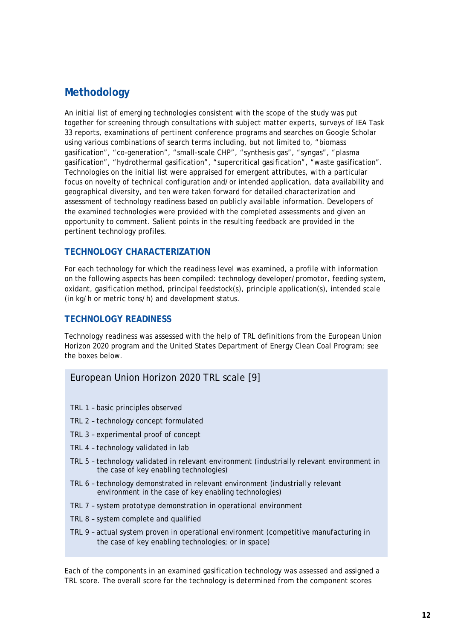# <span id="page-13-0"></span>**Methodology**

An initial list of emerging technologies consistent with the scope of the study was put together for screening through consultations with subject matter experts, surveys of IEA Task 33 reports, examinations of pertinent conference programs and searches on Google Scholar using various combinations of search terms including, but not limited to, "biomass gasification", "co-generation", "small-scale CHP", "synthesis gas", "syngas", "plasma gasification", "hydrothermal gasification", "supercritical gasification", "waste gasification". Technologies on the initial list were appraised for emergent attributes, with a particular focus on novelty of technical configuration and/or intended application, data availability and geographical diversity, and ten were taken forward for detailed characterization and assessment of technology readiness based on publicly available information. Developers of the examined technologies were provided with the completed assessments and given an opportunity to comment. Salient points in the resulting feedback are provided in the pertinent technology profiles.

### <span id="page-13-1"></span>**TECHNOLOGY CHARACTERIZATION**

For each technology for which the readiness level was examined, a profile with information on the following aspects has been compiled: technology developer/promotor, feeding system, oxidant, gasification method, principal feedstock(s), principle application(s), intended scale (in kg/h or metric tons/h) and development status.

### <span id="page-13-2"></span>**TECHNOLOGY READINESS**

Technology readiness was assessed with the help of TRL definitions from the European Union Horizon 2020 program and the United States Department of Energy Clean Coal Program; see the boxes below.

### European Union Horizon 2020 TRL scale [9]

- TRL 1 basic principles observed
- TRL 2 technology concept formulated
- TRL 3 experimental proof of concept
- TRL 4 technology validated in lab
- TRL 5 technology validated in relevant environment (industrially relevant environment in the case of key enabling technologies)
- TRL 6 technology demonstrated in relevant environment (industrially relevant environment in the case of key enabling technologies)
- TRL 7 system prototype demonstration in operational environment
- TRL 8 system complete and qualified
- TRL 9 actual system proven in operational environment (competitive manufacturing in the case of key enabling technologies; or in space)

Each of the components in an examined gasification technology was assessed and assigned a TRL score. The overall score for the technology is determined from the component scores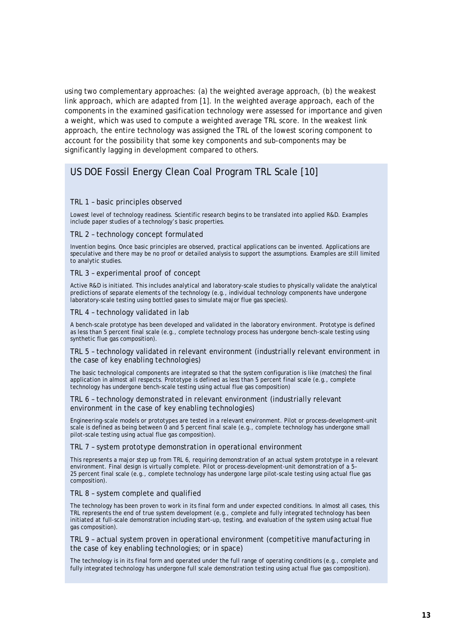using two complementary approaches: (a) the weighted average approach, (b) the weakest link approach, which are adapted from [1]. In the weighted average approach, each of the components in the examined gasification technology were assessed for importance and given a weight, which was used to compute a weighted average TRL score. In the weakest link approach, the entire technology was assigned the TRL of the lowest scoring component to account for the possibility that some key components and sub-components may be significantly lagging in development compared to others.

# US DOE Fossil Energy Clean Coal Program TRL Scale [10]

#### TRL 1 – basic principles observed

Lowest level of technology readiness. Scientific research begins to be translated into applied R&D. Examples include paper studies of a technology's basic properties.

#### TRL 2 – technology concept formulated

Invention begins. Once basic principles are observed, practical applications can be invented. Applications are speculative and there may be no proof or detailed analysis to support the assumptions. Examples are still limited to analytic studies.

#### TRL 3 – experimental proof of concept

Active R&D is initiated. This includes analytical and laboratory-scale studies to physically validate the analytical predictions of separate elements of the technology (e.g., individual technology components have undergone laboratory-scale testing using bottled gases to simulate major flue gas species).

#### TRL 4 – technology validated in lab

A bench-scale prototype has been developed and validated in the laboratory environment. Prototype is defined as less than 5 percent final scale (e.g., complete technology process has undergone bench-scale testing using synthetic flue gas composition).

#### TRL 5 – technology validated in relevant environment (industrially relevant environment in the case of key enabling technologies)

The basic technological components are integrated so that the system configuration is like (matches) the final application in almost all respects. Prototype is defined as less than 5 percent final scale (e.g., complete technology has undergone bench-scale testing using actual flue gas composition)

#### TRL 6 – technology demonstrated in relevant environment (industrially relevant environment in the case of key enabling technologies)

Engineering-scale models or prototypes are tested in a relevant environment. Pilot or process-development-unit scale is defined as being between 0 and 5 percent final scale (e.g., complete technology has undergone small pilot-scale testing using actual flue gas composition).

#### TRL 7 – system prototype demonstration in operational environment

This represents a major step up from TRL 6, requiring demonstration of an actual system prototype in a relevant environment. Final design is virtually complete. Pilot or process-development-unit demonstration of a 5– 25 percent final scale (e.g., complete technology has undergone large pilot-scale testing using actual flue gas composition).

#### TRL 8 – system complete and qualified

The technology has been proven to work in its final form and under expected conditions. In almost all cases, this TRL represents the end of true system development (e.g., complete and fully integrated technology has been initiated at full-scale demonstration including start-up, testing, and evaluation of the system using actual flue gas composition).

#### TRL 9 – actual system proven in operational environment (competitive manufacturing in the case of key enabling technologies; or in space)

The technology is in its final form and operated under the full range of operating conditions (e.g., complete and fully integrated technology has undergone full scale demonstration testing using actual flue gas composition).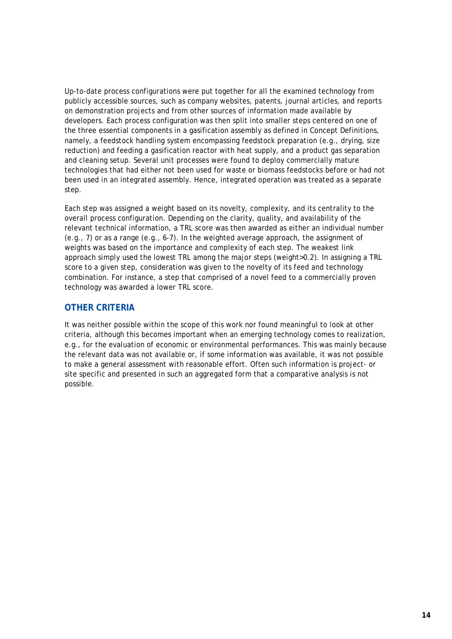Up-to-date process configurations were put together for all the examined technology from publicly accessible sources, such as company websites, patents, journal articles, and reports on demonstration projects and from other sources of information made available by developers. Each process configuration was then split into smaller steps centered on one of the three essential components in a gasification assembly as defined in [Concept Definitions,](#page-11-1) namely, a feedstock handling system encompassing feedstock preparation (e.g., drying, size reduction) and feeding a gasification reactor with heat supply, and a product gas separation and cleaning setup. Several unit processes were found to deploy commercially mature technologies that had either not been used for waste or biomass feedstocks before or had not been used in an integrated assembly. Hence, integrated operation was treated as a separate step.

Each step was assigned a weight based on its novelty, complexity, and its centrality to the overall process configuration. Depending on the clarity, quality, and availability of the relevant technical information, a TRL score was then awarded as either an individual number (e.g., 7) or as a range (e.g., 6-7). In the weighted average approach, the assignment of weights was based on the importance and complexity of each step. The weakest link approach simply used the lowest TRL among the major steps (weight>0.2). In assigning a TRL score to a given step, consideration was given to the novelty of its feed and technology combination. For instance, a step that comprised of a novel feed to a commercially proven technology was awarded a lower TRL score.

# <span id="page-15-0"></span>**OTHER CRITERIA**

It was neither possible within the scope of this work nor found meaningful to look at other criteria, although this becomes important when an emerging technology comes to realization, e.g., for the evaluation of economic or environmental performances. This was mainly because the relevant data was not available or, if some information was available, it was not possible to make a general assessment with reasonable effort. Often such information is project- or site specific and presented in such an aggregated form that a comparative analysis is not possible.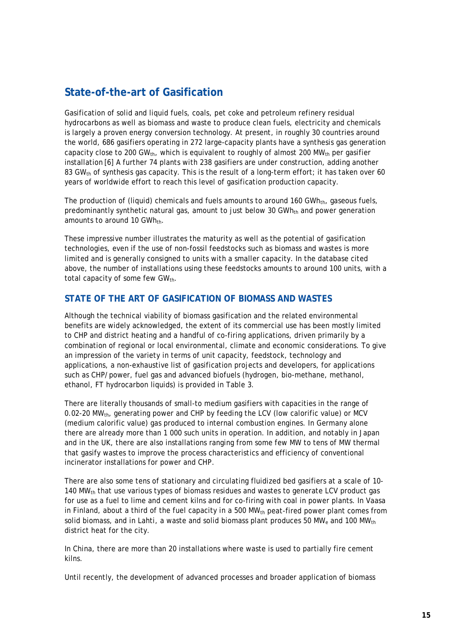# <span id="page-16-0"></span>**State-of-the-art of Gasification**

Gasification of solid and liquid fuels, coals, pet coke and petroleum refinery residual hydrocarbons as well as biomass and waste to produce clean fuels, electricity and chemicals is largely a proven energy conversion technology. At present, in roughly 30 countries around the world, 686 gasifiers operating in 272 large-capacity plants have a synthesis gas generation capacity close to 200 GW<sub>th</sub>, which is equivalent to roughly of almost 200 MW<sub>th</sub> per gasifier installation [6] A further 74 plants with 238 gasifiers are under construction, adding another 83 GW<sub>th</sub> of synthesis gas capacity. This is the result of a long-term effort; it has taken over 60 years of worldwide effort to reach this level of gasification production capacity.

The production of (liquid) chemicals and fuels amounts to around 160 GWh<sub>th</sub>, gaseous fuels, predominantly synthetic natural gas, amount to just below 30 GWh<sub>th</sub> and power generation amounts to around 10 GWh<sub>th</sub>.

These impressive number illustrates the maturity as well as the potential of gasification technologies, even if the use of non-fossil feedstocks such as biomass and wastes is more limited and is generally consigned to units with a smaller capacity. In the database cited above, the number of installations using these feedstocks amounts to around 100 units, with a total capacity of some few  $GW_{th}$ .

# <span id="page-16-1"></span>**STATE OF THE ART OF GASIFICATION OF BIOMASS AND WASTES**

Although the technical viability of biomass gasification and the related environmental benefits are widely acknowledged, the extent of its commercial use has been mostly limited to CHP and district heating and a handful of co-firing applications, driven primarily by a combination of regional or local environmental, climate and economic considerations. To give an impression of the variety in terms of unit capacity, feedstock, technology and applications, a non-exhaustive list of gasification projects and developers, for applications such as CHP/power, fuel gas and advanced biofuels (hydrogen, bio-methane, methanol, ethanol, FT hydrocarbon liquids) is provided in [Table 3.](#page-17-0)

There are literally thousands of small-to medium gasifiers with capacities in the range of 0.02-20 MW<sub>th</sub>, generating power and CHP by feeding the LCV (low calorific value) or MCV (medium calorific value) gas produced to internal combustion engines. In Germany alone there are already more than 1 000 such units in operation. In addition, and notably in Japan and in the UK, there are also installations ranging from some few MW to tens of MW thermal that gasify wastes to improve the process characteristics and efficiency of conventional incinerator installations for power and CHP.

There are also some tens of stationary and circulating fluidized bed gasifiers at a scale of 10- 140 MW $_{\text{th}}$  that use various types of biomass residues and wastes to generate LCV product gas for use as a fuel to lime and cement kilns and for co-firing with coal in power plants. In Vaasa in Finland, about a third of the fuel capacity in a 500 MW $_{th}$  peat-fired power plant comes from solid biomass, and in Lahti, a waste and solid biomass plant produces 50 MW<sub>e</sub> and 100 MW<sub>th</sub> district heat for the city.

In China, there are more than 20 installations where waste is used to partially fire cement kilns.

Until recently, the development of advanced processes and broader application of biomass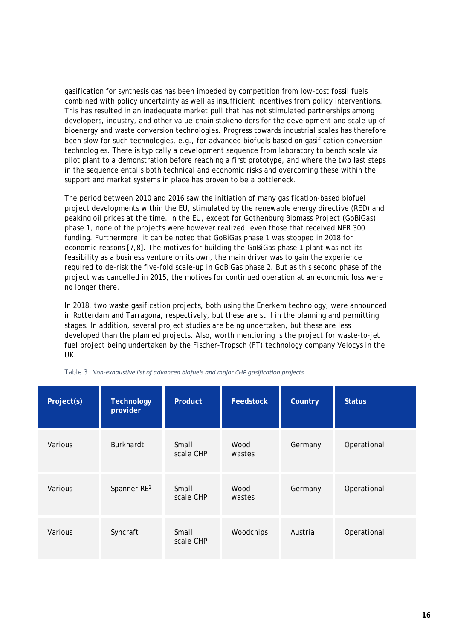gasification for synthesis gas has been impeded by competition from low-cost fossil fuels combined with policy uncertainty as well as insufficient incentives from policy interventions. This has resulted in an inadequate market pull that has not stimulated partnerships among developers, industry, and other value-chain stakeholders for the development and scale-up of bioenergy and waste conversion technologies. Progress towards industrial scales has therefore been slow for such technologies, e.g., for advanced biofuels based on gasification conversion technologies. There is typically a development sequence from laboratory to bench scale via pilot plant to a demonstration before reaching a first prototype, and where the two last steps in the sequence entails both technical and economic risks and overcoming these within the support and market systems in place has proven to be a bottleneck.

The period between 2010 and 2016 saw the initiation of many gasification-based biofuel project developments within the EU, stimulated by the renewable energy directive (RED) and peaking oil prices at the time. In the EU, except for Gothenburg Biomass Project (GoBiGas) phase 1, none of the projects were however realized, even those that received NER 300 funding. Furthermore, it can be noted that GoBiGas phase 1 was stopped in 2018 for economic reasons [7,8]. The motives for building the GoBiGas phase 1 plant was not its feasibility as a business venture on its own, the main driver was to gain the experience required to de-risk the five-fold scale-up in GoBiGas phase 2. But as this second phase of the project was cancelled in 2015, the motives for continued operation at an economic loss were no longer there.

In 2018, two waste gasification projects, both using the Enerkem technology, were announced in Rotterdam and Tarragona, respectively, but these are still in the planning and permitting stages. In addition, several project studies are being undertaken, but these are less developed than the planned projects. Also, worth mentioning is the project for waste-to-jet fuel project being undertaken by the Fischer-Tropsch (FT) technology company Velocys in the UK.

| Project(s) | <b>Technology</b><br>provider | <b>Product</b>     | <b>Feedstock</b> | Country | <b>Status</b> |
|------------|-------------------------------|--------------------|------------------|---------|---------------|
| Various    | <b>Burkhardt</b>              | Small<br>scale CHP | Wood<br>wastes   | Germany | Operational   |
| Various    | Spanner RE <sup>2</sup>       | Small<br>scale CHP | Wood<br>wastes   | Germany | Operational   |
| Various    | Syncraft                      | Small<br>scale CHP | Woodchips        | Austria | Operational   |

<span id="page-17-0"></span>*Table 3. Non-exhaustive list of advanced biofuels and major CHP gasification projects*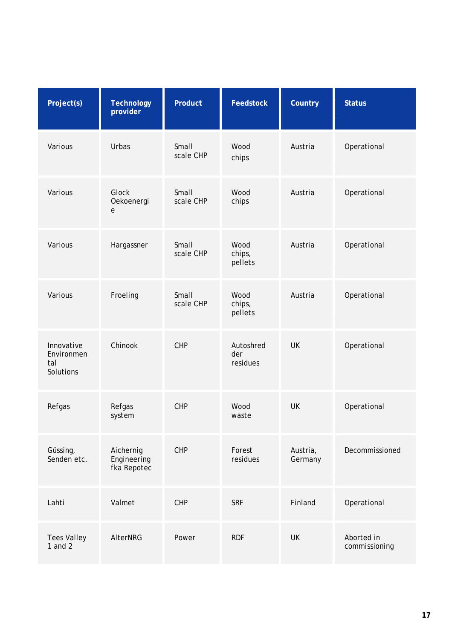| Project(s)                                   | <b>Technology</b><br>provider           | Product            | <b>Feedstock</b>             | Country             | <b>Status</b>               |
|----------------------------------------------|-----------------------------------------|--------------------|------------------------------|---------------------|-----------------------------|
| Various                                      | Urbas                                   | Small<br>scale CHP | Wood<br>chips                | Austria             | Operational                 |
| Various                                      | Glock<br>Oekoenergi<br>$\mathbf e$      | Small<br>scale CHP | Wood<br>chips                | Austria             | Operational                 |
| Various                                      | Hargassner                              | Small<br>scale CHP | Wood<br>chips,<br>pellets    | Austria             | Operational                 |
| Various                                      | Froeling                                | Small<br>scale CHP | Wood<br>chips,<br>pellets    | Austria             | Operational                 |
| Innovative<br>Environmen<br>tal<br>Solutions | Chinook                                 | CHP                | Autoshred<br>der<br>residues | <b>UK</b>           | Operational                 |
| Refgas                                       | Refgas<br>system                        | CHP                | Wood<br>waste                | <b>UK</b>           | Operational                 |
| Güssing,<br>Senden etc.                      | Aichernig<br>Engineering<br>fka Repotec | CHP                | Forest<br>residues           | Austria,<br>Germany | Decommissioned              |
| Lahti                                        | Valmet                                  | CHP                | <b>SRF</b>                   | Finland             | Operational                 |
| <b>Tees Valley</b><br>1 and $2$              | AlterNRG                                | Power              | <b>RDF</b>                   | <b>UK</b>           | Aborted in<br>commissioning |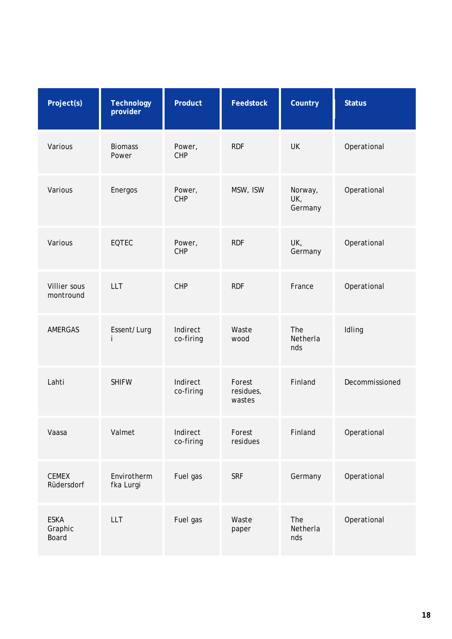| Project(s)                      | <b>Technology</b><br>provider | Product               | <b>Feedstock</b>              | Country                   | <b>Status</b>  |
|---------------------------------|-------------------------------|-----------------------|-------------------------------|---------------------------|----------------|
| Various                         | <b>Biomass</b><br>Power       | Power,<br><b>CHP</b>  | <b>RDF</b>                    | <b>UK</b>                 | Operational    |
| Various                         | Energos                       | Power,<br><b>CHP</b>  | MSW, ISW                      | Norway,<br>UK,<br>Germany | Operational    |
| Various                         | <b>EQTEC</b>                  | Power,<br><b>CHP</b>  | <b>RDF</b>                    | UK,<br>Germany            | Operational    |
| Villier sous<br>montround       | <b>LLT</b>                    | <b>CHP</b>            | <b>RDF</b>                    | France                    | Operational    |
| <b>AMERGAS</b>                  | Essent/Lurg<br>i              | Indirect<br>co-firing | Waste<br>wood                 | The<br>Netherla<br>nds    | Idling         |
| Lahti                           | <b>SHIFW</b>                  | Indirect<br>co-firing | Forest<br>residues,<br>wastes | Finland                   | Decommissioned |
| Vaasa                           | Valmet                        | Indirect<br>co-firing | Forest<br>residues            | Finland                   | Operational    |
| <b>CEMEX</b><br>Rüdersdorf      | Envirotherm<br>fka Lurgi      | Fuel gas              | <b>SRF</b>                    | Germany                   | Operational    |
| <b>ESKA</b><br>Graphic<br>Board | <b>LLT</b>                    | Fuel gas              | Waste<br>paper                | The<br>Netherla<br>nds    | Operational    |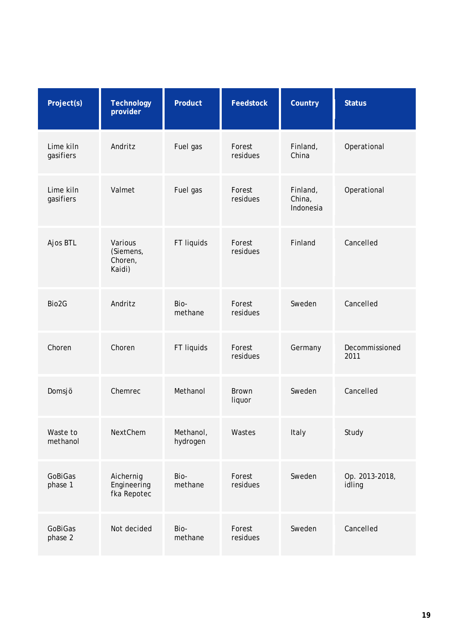| Project(s)             | <b>Technology</b><br>provider             | Product               | <b>Feedstock</b>       | Country                         | <b>Status</b>            |
|------------------------|-------------------------------------------|-----------------------|------------------------|---------------------------------|--------------------------|
| Lime kiln<br>gasifiers | Andritz                                   | Fuel gas              | Forest<br>residues     | Finland,<br>China               | Operational              |
| Lime kiln<br>gasifiers | Valmet                                    | Fuel gas              | Forest<br>residues     | Finland,<br>China,<br>Indonesia | Operational              |
| Ajos BTL               | Various<br>(Siemens,<br>Choren,<br>Kaidi) | FT liquids            | Forest<br>residues     | Finland                         | Cancelled                |
| Bio2G                  | Andritz                                   | Bio-<br>methane       | Forest<br>residues     | Sweden                          | Cancelled                |
| Choren                 | Choren                                    | FT liquids            | Forest<br>residues     | Germany                         | Decommissioned<br>2011   |
| Domsjö                 | Chemrec                                   | Methanol              | <b>Brown</b><br>liquor | Sweden                          | Cancelled                |
| Waste to<br>methanol   | NextChem                                  | Methanol,<br>hydrogen | Wastes                 | Italy                           | Study                    |
| GoBiGas<br>phase 1     | Aichernig<br>Engineering<br>fka Repotec   | Bio-<br>methane       | Forest<br>residues     | Sweden                          | Op. 2013-2018,<br>idling |
| GoBiGas<br>phase 2     | Not decided                               | Bio-<br>methane       | Forest<br>residues     | Sweden                          | Cancelled                |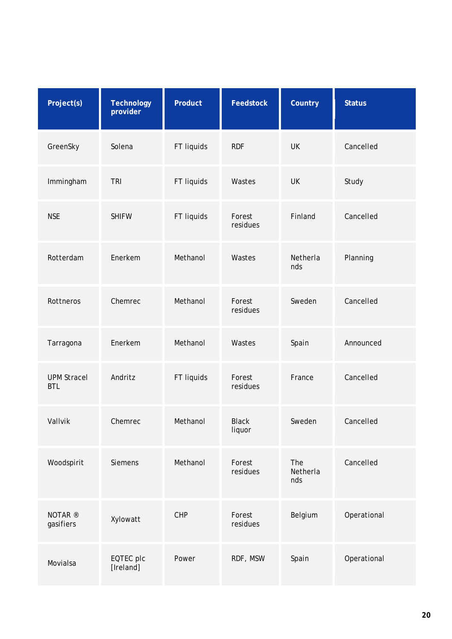| Project(s)                       | <b>Technology</b><br>provider | Product    | <b>Feedstock</b>       | Country                | <b>Status</b> |
|----------------------------------|-------------------------------|------------|------------------------|------------------------|---------------|
| GreenSky                         | Solena                        | FT liquids | <b>RDF</b>             | <b>UK</b>              | Cancelled     |
| Immingham                        | <b>TRI</b>                    | FT liquids | Wastes                 | UK                     | Study         |
| <b>NSE</b>                       | <b>SHIFW</b>                  | FT liquids | Forest<br>residues     | Finland                | Cancelled     |
| Rotterdam                        | Enerkem                       | Methanol   | Wastes                 | Netherla<br>nds        | Planning      |
| Rottneros                        | Chemrec                       | Methanol   | Forest<br>residues     | Sweden                 | Cancelled     |
| Tarragona                        | Enerkem                       | Methanol   | Wastes                 | Spain                  | Announced     |
| <b>UPM Stracel</b><br><b>BTL</b> | Andritz                       | FT liquids | Forest<br>residues     | France                 | Cancelled     |
| Vallvik                          | Chemrec                       | Methanol   | <b>Black</b><br>liquor | Sweden                 | Cancelled     |
| Woodspirit                       | Siemens                       | Methanol   | Forest<br>residues     | The<br>Netherla<br>nds | Cancelled     |
| NOTAR <sup>®</sup><br>gasifiers  | Xylowatt                      | CHP        | Forest<br>residues     | Belgium                | Operational   |
| Movialsa                         | EQTEC plc<br>[Ireland]        | Power      | RDF, MSW               | Spain                  | Operational   |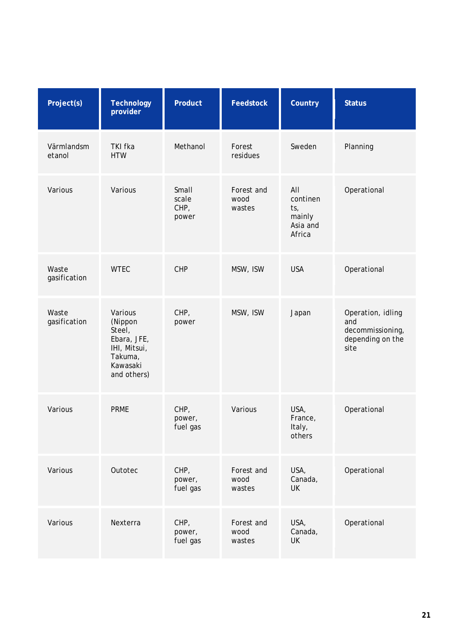| Project(s)            | <b>Technology</b><br>provider                                                                     | Product                         | <b>Feedstock</b>             | Country                                                | <b>Status</b>                                                            |
|-----------------------|---------------------------------------------------------------------------------------------------|---------------------------------|------------------------------|--------------------------------------------------------|--------------------------------------------------------------------------|
| Värmlandsm<br>etanol  | <b>TKI fka</b><br><b>HTW</b>                                                                      | Methanol                        | Forest<br>residues           | Sweden                                                 | Planning                                                                 |
| Various               | Various                                                                                           | Small<br>scale<br>CHP,<br>power | Forest and<br>wood<br>wastes | All<br>continen<br>ts,<br>mainly<br>Asia and<br>Africa | Operational                                                              |
| Waste<br>gasification | <b>WTEC</b>                                                                                       | <b>CHP</b>                      | MSW, ISW                     | <b>USA</b>                                             | Operational                                                              |
| Waste<br>gasification | Various<br>(Nippon<br>Steel,<br>Ebara, JFE,<br>IHI, Mitsui,<br>Takuma,<br>Kawasaki<br>and others) | CHP,<br>power                   | MSW, ISW                     | Japan                                                  | Operation, idling<br>and<br>decommissioning,<br>depending on the<br>site |
| Various               | <b>PRME</b>                                                                                       | CHP,<br>power,<br>fuel gas      | Various                      | USA,<br>France,<br>Italy,<br>others                    | Operational                                                              |
| Various               | Outotec                                                                                           | CHP,<br>power,<br>fuel gas      | Forest and<br>wood<br>wastes | USA,<br>Canada,<br><b>UK</b>                           | Operational                                                              |
| Various               | Nexterra                                                                                          | CHP,<br>power,<br>fuel gas      | Forest and<br>wood<br>wastes | USA,<br>Canada,<br><b>UK</b>                           | Operational                                                              |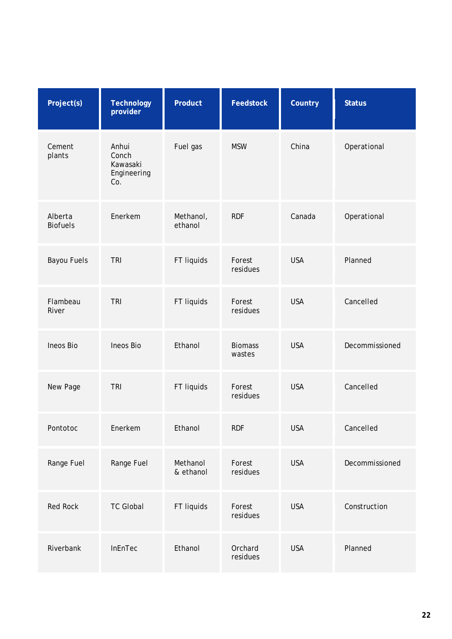| Project(s)                 | <b>Technology</b><br>provider                    | Product               | <b>Feedstock</b>         | Country    | <b>Status</b>  |
|----------------------------|--------------------------------------------------|-----------------------|--------------------------|------------|----------------|
| Cement<br>plants           | Anhui<br>Conch<br>Kawasaki<br>Engineering<br>Co. | Fuel gas              | <b>MSW</b>               | China      | Operational    |
| Alberta<br><b>Biofuels</b> | Enerkem                                          | Methanol,<br>ethanol  | <b>RDF</b>               | Canada     | Operational    |
| <b>Bayou Fuels</b>         | <b>TRI</b>                                       | FT liquids            | Forest<br>residues       | <b>USA</b> | Planned        |
| Flambeau<br>River          | <b>TRI</b>                                       | FT liquids            | Forest<br>residues       | <b>USA</b> | Cancelled      |
| Ineos Bio                  | Ineos Bio                                        | Ethanol               | <b>Biomass</b><br>wastes | <b>USA</b> | Decommissioned |
| New Page                   | <b>TRI</b>                                       | FT liquids            | Forest<br>residues       | <b>USA</b> | Cancelled      |
| Pontotoc                   | Enerkem                                          | Ethanol               | <b>RDF</b>               | <b>USA</b> | Cancelled      |
| Range Fuel                 | Range Fuel                                       | Methanol<br>& ethanol | Forest<br>residues       | <b>USA</b> | Decommissioned |
| <b>Red Rock</b>            | <b>TC Global</b>                                 | FT liquids            | Forest<br>residues       | <b>USA</b> | Construction   |
| Riverbank                  | InEnTec                                          | Ethanol               | Orchard<br>residues      | <b>USA</b> | Planned        |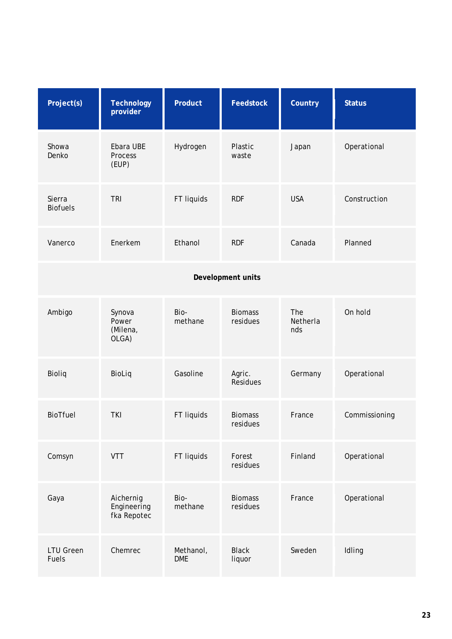| Project(s)                | <b>Technology</b><br>provider           | Product                 | <b>Feedstock</b>           | Country                | <b>Status</b> |
|---------------------------|-----------------------------------------|-------------------------|----------------------------|------------------------|---------------|
| Showa<br>Denko            | Ebara UBE<br>Process<br>(EUP)           | Hydrogen                | Plastic<br>waste           | Japan                  | Operational   |
| Sierra<br><b>Biofuels</b> | <b>TRI</b>                              | FT liquids              | <b>RDF</b>                 | <b>USA</b>             | Construction  |
| Vanerco                   | Enerkem                                 | Ethanol                 | <b>RDF</b>                 | Canada                 | Planned       |
|                           |                                         |                         | Development units          |                        |               |
| Ambigo                    | Synova<br>Power<br>(Milena,<br>OLGA)    | Bio-<br>methane         | <b>Biomass</b><br>residues | The<br>Netherla<br>nds | On hold       |
| Bioliq                    | BioLiq                                  | Gasoline                | Agric.<br><b>Residues</b>  | Germany                | Operational   |
| BioTfuel                  | <b>TKI</b>                              | FT liquids              | <b>Biomass</b><br>residues | France                 | Commissioning |
| Comsyn                    | <b>VTT</b>                              | FT liquids              | Forest<br>residues         | Finland                | Operational   |
| Gaya                      | Aichernig<br>Engineering<br>fka Repotec | Bio-<br>methane         | <b>Biomass</b><br>residues | France                 | Operational   |
| <b>LTU Green</b><br>Fuels | Chemrec                                 | Methanol,<br><b>DME</b> | <b>Black</b><br>liquor     | Sweden                 | Idling        |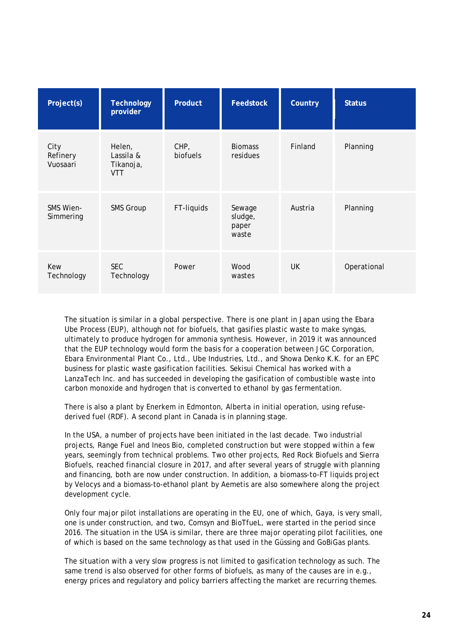| Project(s)                   | <b>Technology</b><br>provider                  | <b>Product</b>   | <b>Feedstock</b>                    | Country | <b>Status</b> |
|------------------------------|------------------------------------------------|------------------|-------------------------------------|---------|---------------|
| City<br>Refinery<br>Vuosaari | Helen,<br>Lassila &<br>Tikanoja,<br><b>VTT</b> | CHP,<br>biofuels | <b>Biomass</b><br>residues          | Finland | Planning      |
| SMS Wien-<br>Simmering       | <b>SMS Group</b>                               | FT-liquids       | Sewage<br>sludge,<br>paper<br>waste | Austria | Planning      |
| Kew<br>Technology            | <b>SEC</b><br>Technology                       | Power            | Wood<br>wastes                      | UK.     | Operational   |

The situation is similar in a global perspective. There is one plant in Japan using the Ebara Ube Process (EUP), although not for biofuels, that gasifies plastic waste to make syngas, ultimately to produce hydrogen for ammonia synthesis. However, in 2019 it was announced that the EUP technology would form the basis for a cooperation between JGC Corporation, Ebara Environmental Plant Co., Ltd., Ube Industries, Ltd., and Showa Denko K.K. for an EPC business for plastic waste gasification facilities. Sekisui Chemical has worked with a LanzaTech Inc. and has succeeded in developing the gasification of combustible waste into carbon monoxide and hydrogen that is converted to ethanol by gas fermentation.

There is also a plant by Enerkem in Edmonton, Alberta in initial operation, using refusederived fuel (RDF). A second plant in Canada is in planning stage.

In the USA, a number of projects have been initiated in the last decade. Two industrial projects, Range Fuel and Ineos Bio, completed construction but were stopped within a few years, seemingly from technical problems. Two other projects, Red Rock Biofuels and Sierra Biofuels, reached financial closure in 2017, and after several years of struggle with planning and financing, both are now under construction. In addition, a biomass-to-FT liquids project by Velocys and a biomass-to-ethanol plant by Aemetis are also somewhere along the project development cycle.

Only four major pilot installations are operating in the EU, one of which, Gaya, is very small, one is under construction, and two, Comsyn and BioTfueL, were started in the period since 2016. The situation in the USA is similar, there are three major operating pilot facilities, one of which is based on the same technology as that used in the Güssing and GoBiGas plants.

The situation with a very slow progress is not limited to gasification technology as such. The same trend is also observed for other forms of biofuels, as many of the causes are in e.g., energy prices and regulatory and policy barriers affecting the market are recurring themes.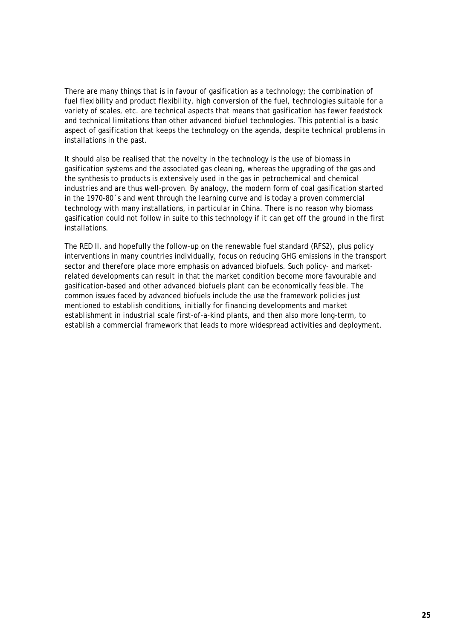There are many things that is in favour of gasification as a technology; the combination of fuel flexibility and product flexibility, high conversion of the fuel, technologies suitable for a variety of scales, etc. are technical aspects that means that gasification has fewer feedstock and technical limitations than other advanced biofuel technologies. This potential is a basic aspect of gasification that keeps the technology on the agenda, despite technical problems in installations in the past.

It should also be realised that the novelty in the technology is the use of biomass in gasification systems and the associated gas cleaning, whereas the upgrading of the gas and the synthesis to products is extensively used in the gas in petrochemical and chemical industries and are thus well-proven. By analogy, the modern form of coal gasification started in the 1970-80´s and went through the learning curve and is today a proven commercial technology with many installations, in particular in China. There is no reason why biomass gasification could not follow in suite to this technology if it can get off the ground in the first installations.

The RED II, and hopefully the follow-up on the renewable fuel standard (RFS2), plus policy interventions in many countries individually, focus on reducing GHG emissions in the transport sector and therefore place more emphasis on advanced biofuels. Such policy- and marketrelated developments can result in that the market condition become more favourable and gasification-based and other advanced biofuels plant can be economically feasible. The common issues faced by advanced biofuels include the use the framework policies just mentioned to establish conditions, initially for financing developments and market establishment in industrial scale first-of-a-kind plants, and then also more long-term, to establish a commercial framework that leads to more widespread activities and deployment.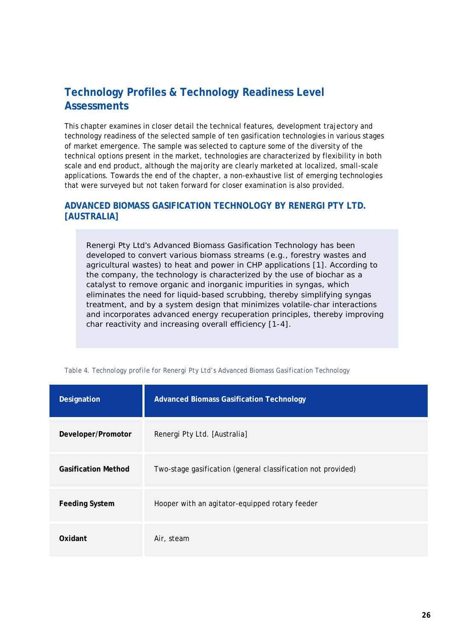# <span id="page-27-0"></span>**Technology Profiles & Technology Readiness Level Assessments**

This chapter examines in closer detail the technical features, development trajectory and technology readiness of the selected sample of ten gasification technologies in various stages of market emergence. The sample was selected to capture some of the diversity of the technical options present in the market, technologies are characterized by flexibility in both scale and end product, although the majority are clearly marketed at localized, small-scale applications. Towards the end of the chapter, a non-exhaustive list of emerging technologies that were surveyed but not taken forward for closer examination is also provided.

# <span id="page-27-1"></span>**ADVANCED BIOMASS GASIFICATION TECHNOLOGY BY RENERGI PTY LTD. [AUSTRALIA]**

Renergi Pty Ltd's *Advanced Biomass Gasification Technology* has been developed to convert various biomass streams (e.g., forestry wastes and agricultural wastes) to heat and power in CHP applications [1]. According to the company, the technology is characterized by the use of biochar as a catalyst to remove organic and inorganic impurities in syngas, which eliminates the need for liquid-based scrubbing, thereby simplifying syngas treatment, and by a system design that minimizes volatile-char interactions and incorporates advanced energy recuperation principles, thereby improving char reactivity and increasing overall efficiency [1-4].

| Designation                | <b>Advanced Biomass Gasification Technology</b>              |
|----------------------------|--------------------------------------------------------------|
| Developer/Promotor         | Renergi Pty Ltd. [Australia]                                 |
| <b>Gasification Method</b> | Two-stage gasification (general classification not provided) |
| <b>Feeding System</b>      | Hooper with an agitator-equipped rotary feeder               |
| Oxidant                    | Air, steam                                                   |

*Table 4. Technology profile for Renergi Pty Ltd's Advanced Biomass Gasification Technology*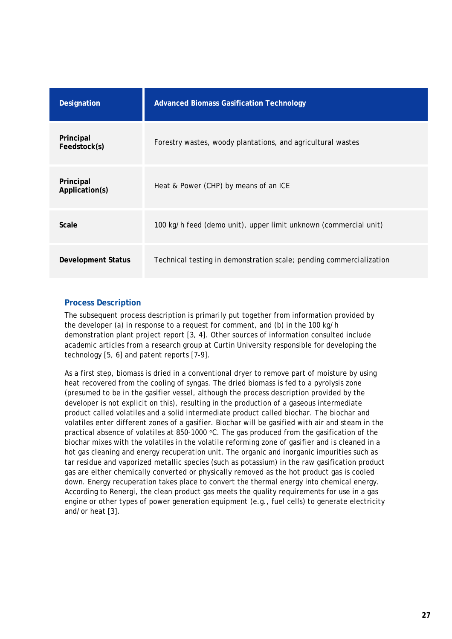| Designation                 | <b>Advanced Biomass Gasification Technology</b>                     |
|-----------------------------|---------------------------------------------------------------------|
| Principal<br>Feedstock(s)   | Forestry wastes, woody plantations, and agricultural wastes         |
| Principal<br>Application(s) | Heat & Power (CHP) by means of an ICE                               |
| Scale                       | 100 kg/h feed (demo unit), upper limit unknown (commercial unit)    |
| Development Status          | Technical testing in demonstration scale; pending commercialization |

### <span id="page-28-0"></span>**Process Description**

The subsequent process description is primarily put together from information provided by the developer (a) in response to a request for comment, and (b) in the 100 kg/h demonstration plant project report [3, 4]. Other sources of information consulted include academic articles from a research group at Curtin University responsible for developing the technology [5, 6] and patent reports [7-9].

As a first step, biomass is dried in a conventional dryer to remove part of moisture by using heat recovered from the cooling of syngas. The dried biomass is fed to a pyrolysis zone (presumed to be in the gasifier vessel, although the process description provided by the developer is not explicit on this), resulting in the production of a gaseous intermediate product called volatiles and a solid intermediate product called biochar. The biochar and volatiles enter different zones of a gasifier. Biochar will be gasified with air and steam in the practical absence of volatiles at 850-1000 °C. The gas produced from the gasification of the biochar mixes with the volatiles in the volatile reforming zone of gasifier and is cleaned in a hot gas cleaning and energy recuperation unit. The organic and inorganic impurities such as tar residue and vaporized metallic species (such as potassium) in the raw gasification product gas are either chemically converted or physically removed as the hot product gas is cooled down. Energy recuperation takes place to convert the thermal energy into chemical energy. According to Renergi, the clean product gas meets the quality requirements for use in a gas engine or other types of power generation equipment (e.g., fuel cells) to generate electricity and/or heat [3].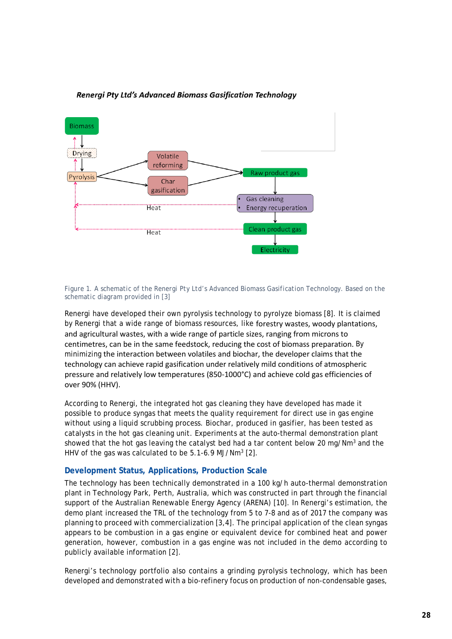

### Renergi Pty Ltd's Advanced Biomass Gasification Technology

*Figure 1. A schematic of the Renergi Pty Ltd's Advanced Biomass Gasification Technology. Based on the schematic diagram provided in [3]*

Renergi have developed their own pyrolysis technology to pyrolyze biomass [8]. It is claimed by Renergi that a wide range of biomass resources, like forestry wastes, woody plantations, and agricultural wastes, with a wide range of particle sizes, ranging from microns to centimetres, can be in the same feedstock, reducing the cost of biomass preparation. By minimizing the interaction between volatiles and biochar, the developer claims that the technology can achieve rapid gasification under relatively mild conditions of atmospheric pressure and relatively low temperatures (850-1000°C) and achieve cold gas efficiencies of over 90% (HHV).

According to Renergi, the integrated hot gas cleaning they have developed has made it possible to produce syngas that meets the quality requirement for direct use in gas engine without using a liquid scrubbing process. Biochar, produced in gasifier, has been tested as catalysts in the hot gas cleaning unit. Experiments at the auto-thermal demonstration plant showed that the hot gas leaving the catalyst bed had a tar content below 20 mg/Nm<sup>3</sup> and the HHV of the gas was calculated to be  $5.1-6.9$  MJ/Nm<sup>3</sup> [2].

### <span id="page-29-0"></span>**Development Status, Applications, Production Scale**

The technology has been technically demonstrated in a 100 kg/h auto-thermal demonstration plant in Technology Park, Perth, Australia, which was constructed in part through the financial support of the Australian Renewable Energy Agency (ARENA) [10]. In Renergi's estimation, the demo plant increased the TRL of the technology from 5 to 7-8 and as of 2017 the company was planning to proceed with commercialization [3,4]. The principal application of the clean syngas appears to be combustion in a gas engine or equivalent device for combined heat and power generation, however, combustion in a gas engine was not included in the demo according to publicly available information [2].

Renergi's technology portfolio also contains a grinding pyrolysis technology, which has been developed and demonstrated with a bio-refinery focus on production of non-condensable gases,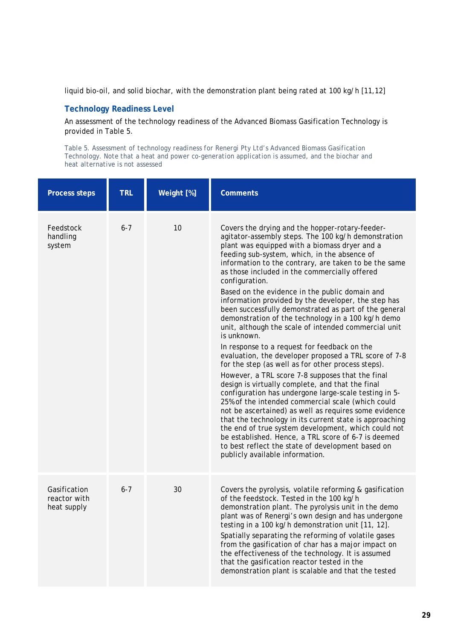liquid bio-oil, and solid biochar, with the demonstration plant being rated at 100 kg/h [11,12]

### <span id="page-30-0"></span>**Technology Readiness Level**

An assessment of the technology readiness of the Advanced Biomass Gasification Technology is provided in [Table 5.](#page-30-1)

<span id="page-30-1"></span>*Table 5. Assessment of technology readiness for Renergi Pty Ltd's Advanced Biomass Gasification Technology. Note that a heat and power co-generation application is assumed, and the biochar and heat alternative is not assessed*

| <b>Process steps</b>                        | <b>TRL</b> | Weight [%] | <b>Comments</b>                                                                                                                                                                                                                                                                                                                                                                                                                                                                                                                                                                                                                                                                                                                                                                                                                                                                                                                                                                                                                                                                                                                                                                                                                                                                                                                                   |
|---------------------------------------------|------------|------------|---------------------------------------------------------------------------------------------------------------------------------------------------------------------------------------------------------------------------------------------------------------------------------------------------------------------------------------------------------------------------------------------------------------------------------------------------------------------------------------------------------------------------------------------------------------------------------------------------------------------------------------------------------------------------------------------------------------------------------------------------------------------------------------------------------------------------------------------------------------------------------------------------------------------------------------------------------------------------------------------------------------------------------------------------------------------------------------------------------------------------------------------------------------------------------------------------------------------------------------------------------------------------------------------------------------------------------------------------|
| Feedstock<br>handling<br>system             | $6 - 7$    | 10         | Covers the drying and the hopper-rotary-feeder-<br>agitator-assembly steps. The 100 kg/h demonstration<br>plant was equipped with a biomass dryer and a<br>feeding sub-system, which, in the absence of<br>information to the contrary, are taken to be the same<br>as those included in the commercially offered<br>configuration.<br>Based on the evidence in the public domain and<br>information provided by the developer, the step has<br>been successfully demonstrated as part of the general<br>demonstration of the technology in a 100 kg/h demo<br>unit, although the scale of intended commercial unit<br>is unknown.<br>In response to a request for feedback on the<br>evaluation, the developer proposed a TRL score of 7-8<br>for the step (as well as for other process steps).<br>However, a TRL score 7-8 supposes that the final<br>design is virtually complete, and that the final<br>configuration has undergone large-scale testing in 5-<br>25% of the intended commercial scale (which could<br>not be ascertained) as well as requires some evidence<br>that the technology in its current state is approaching<br>the end of true system development, which could not<br>be established. Hence, a TRL score of 6-7 is deemed<br>to best reflect the state of development based on<br>publicly available information. |
| Gasification<br>reactor with<br>heat supply | $6 - 7$    | 30         | Covers the pyrolysis, volatile reforming & gasification<br>of the feedstock. Tested in the 100 kg/h<br>demonstration plant. The pyrolysis unit in the demo<br>plant was of Renergi's own design and has undergone<br>testing in a 100 kg/h demonstration unit [11, 12].<br>Spatially separating the reforming of volatile gases<br>from the gasification of char has a major impact on<br>the effectiveness of the technology. It is assumed<br>that the gasification reactor tested in the<br>demonstration plant is scalable and that the tested                                                                                                                                                                                                                                                                                                                                                                                                                                                                                                                                                                                                                                                                                                                                                                                                |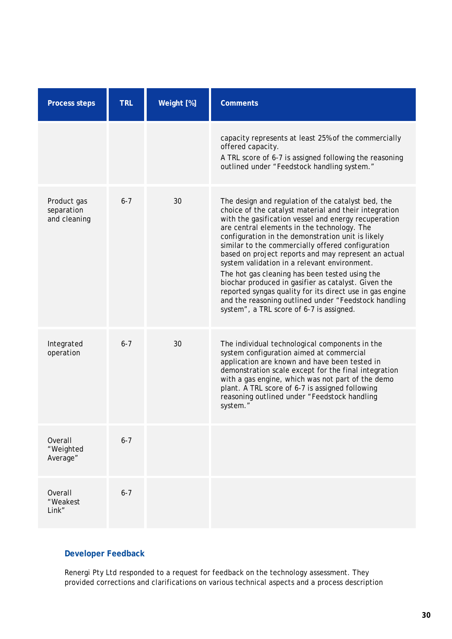| <b>Process steps</b>                      | <b>TRL</b> | Weight [%] | <b>Comments</b>                                                                                                                                                                                                                                                                                                                                                                                                                                                                                                                                                                                                                                                                                               |
|-------------------------------------------|------------|------------|---------------------------------------------------------------------------------------------------------------------------------------------------------------------------------------------------------------------------------------------------------------------------------------------------------------------------------------------------------------------------------------------------------------------------------------------------------------------------------------------------------------------------------------------------------------------------------------------------------------------------------------------------------------------------------------------------------------|
|                                           |            |            | capacity represents at least 25% of the commercially<br>offered capacity.<br>A TRL score of 6-7 is assigned following the reasoning<br>outlined under "Feedstock handling system."                                                                                                                                                                                                                                                                                                                                                                                                                                                                                                                            |
| Product gas<br>separation<br>and cleaning | $6 - 7$    | 30         | The design and regulation of the catalyst bed, the<br>choice of the catalyst material and their integration<br>with the gasification vessel and energy recuperation<br>are central elements in the technology. The<br>configuration in the demonstration unit is likely<br>similar to the commercially offered configuration<br>based on project reports and may represent an actual<br>system validation in a relevant environment.<br>The hot gas cleaning has been tested using the<br>biochar produced in gasifier as catalyst. Given the<br>reported syngas quality for its direct use in gas engine<br>and the reasoning outlined under "Feedstock handling<br>system", a TRL score of 6-7 is assigned. |
| Integrated<br>operation                   | $6 - 7$    | 30         | The individual technological components in the<br>system configuration aimed at commercial<br>application are known and have been tested in<br>demonstration scale except for the final integration<br>with a gas engine, which was not part of the demo<br>plant. A TRL score of 6-7 is assigned following<br>reasoning outlined under "Feedstock handling<br>system."                                                                                                                                                                                                                                                                                                                                       |
| Overall<br>"Weighted<br>Average"          | $6 - 7$    |            |                                                                                                                                                                                                                                                                                                                                                                                                                                                                                                                                                                                                                                                                                                               |
| <b>Overall</b><br>"Weakest<br>Link"       | $6 - 7$    |            |                                                                                                                                                                                                                                                                                                                                                                                                                                                                                                                                                                                                                                                                                                               |

# **Developer Feedback**

Renergi Pty Ltd responded to a request for feedback on the technology assessment. They provided corrections and clarifications on various technical aspects and a process description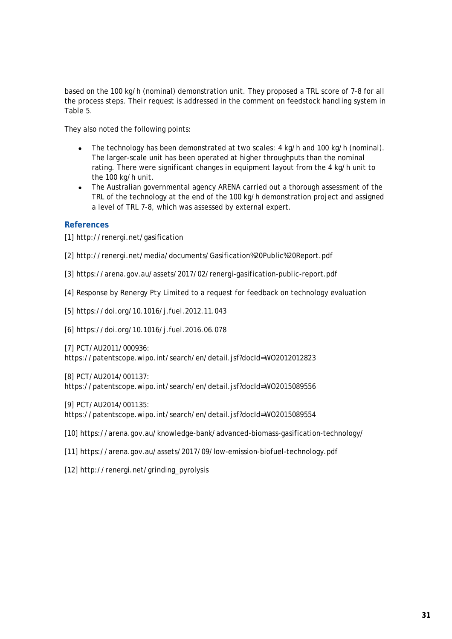based on the 100 kg/h (nominal) demonstration unit. They proposed a TRL score of 7-8 for all the process steps. Their request is addressed in the comment on feedstock handling system in [Table 5.](#page-30-1)

They also noted the following points:

- The technology has been demonstrated at two scales: 4 kg/h and 100 kg/h (nominal). The larger-scale unit has been operated at higher throughputs than the nominal rating. There were significant changes in equipment layout from the 4 kg/h unit to the 100 kg/h unit.
- The Australian governmental agency ARENA carried out a thorough assessment of the TRL of the technology at the end of the 100 kg/h demonstration project and assigned a level of TRL 7-8, which was assessed by external expert.

### <span id="page-32-0"></span>**References**

[1] http://renergi.net/gasification

[2] http://renergi.net/media/documents/Gasification%20Public%20Report.pdf

[3] https://arena.gov.au/assets/2017/02/renergi-gasification-public-report.pdf

[4] Response by Renergy Pty Limited to a request for feedback on technology evaluation

[5] https://doi.org/10.1016/j.fuel.2012.11.043

[6] https://doi.org/10.1016/j.fuel.2016.06.078

[7] PCT/AU2011/000936: https://patentscope.wipo.int/search/en/detail.jsf?docId=WO2012012823

[8] PCT/AU2014/001137:

https://patentscope.wipo.int/search/en/detail.jsf?docId=WO2015089556

[9] PCT/AU2014/001135:

https://patentscope.wipo.int/search/en/detail.jsf?docId=WO2015089554

[10] https://arena.gov.au/knowledge-bank/advanced-biomass-gasification-technology/

[11] https://arena.gov.au/assets/2017/09/low-emission-biofuel-technology.pdf

[12] http://renergi.net/grinding\_pyrolysis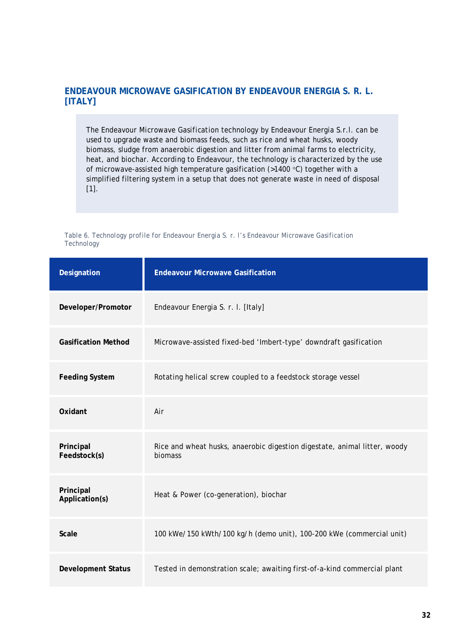# <span id="page-33-0"></span>**ENDEAVOUR MICROWAVE GASIFICATION BY ENDEAVOUR ENERGIA S. R. L. [ITALY]**

The *Endeavour Microwave Gasification* technology by Endeavour Energia S.r.l. can be used to upgrade waste and biomass feeds, such as rice and wheat husks, woody biomass, sludge from anaerobic digestion and litter from animal farms to electricity, heat, and biochar. According to Endeavour, the technology is characterized by the use of microwave-assisted high temperature gasification (>1400 °C) together with a simplified filtering system in a setup that does not generate waste in need of disposal [1].

|            |  |  | Table 6. Technology profile for Endeavour Energia S. r. I's Endeavour Microwave Gasification |  |
|------------|--|--|----------------------------------------------------------------------------------------------|--|
| Technology |  |  |                                                                                              |  |

| Designation                 | <b>Endeavour Microwave Gasification</b>                                              |
|-----------------------------|--------------------------------------------------------------------------------------|
| Developer/Promotor          | Endeavour Energia S. r. I. [Italy]                                                   |
| <b>Gasification Method</b>  | Microwave-assisted fixed-bed 'Imbert-type' downdraft gasification                    |
| <b>Feeding System</b>       | Rotating helical screw coupled to a feedstock storage vessel                         |
| Oxidant                     | Air                                                                                  |
| Principal<br>Feedstock(s)   | Rice and wheat husks, anaerobic digestion digestate, animal litter, woody<br>biomass |
| Principal<br>Application(s) | Heat & Power (co-generation), biochar                                                |
| <b>Scale</b>                | 100 kWe/150 kWth/100 kg/h (demo unit), 100-200 kWe (commercial unit)                 |
| <b>Development Status</b>   | Tested in demonstration scale; awaiting first-of-a-kind commercial plant             |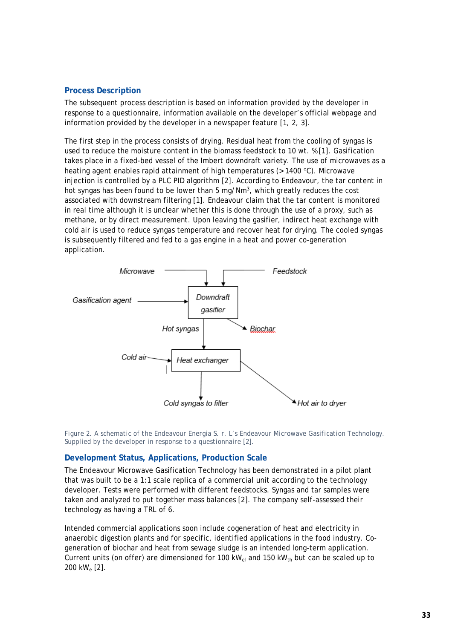#### <span id="page-34-0"></span>**Process Description**

The subsequent process description is based on information provided by the developer in response to a questionnaire, information available on the developer's official webpage and information provided by the developer in a newspaper feature [1, 2, 3].

The first step in the process consists of drying. Residual heat from the cooling of syngas is used to reduce the moisture content in the biomass feedstock to 10 wt. % [1]. Gasification takes place in a fixed-bed vessel of the Imbert downdraft variety. The use of microwaves as a heating agent enables rapid attainment of high temperatures ( $> 1400 \degree C$ ). Microwave injection is controlled by a PLC PID algorithm [2]. According to Endeavour, the tar content in hot syngas has been found to be lower than 5 mg/Nm3, which greatly reduces the cost associated with downstream filtering [1]. Endeavour claim that the tar content is monitored in real time although it is unclear whether this is done through the use of a proxy, such as methane, or by direct measurement. Upon leaving the gasifier, indirect heat exchange with cold air is used to reduce syngas temperature and recover heat for drying. The cooled syngas is subsequently filtered and fed to a gas engine in a heat and power co-generation application.



*Figure 2. A schematic of the Endeavour Energia S. r. L's Endeavour Microwave Gasification Technology. Supplied by the developer in response to a questionnaire [2].* 

#### <span id="page-34-1"></span>**Development Status, Applications, Production Scale**

The Endeavour Microwave Gasification Technology has been demonstrated in a pilot plant that was built to be a 1:1 scale replica of a commercial unit according to the technology developer. Tests were performed with different feedstocks. Syngas and tar samples were taken and analyzed to put together mass balances [2]. The company self-assessed their technology as having a TRL of 6.

Intended commercial applications soon include cogeneration of heat and electricity in anaerobic digestion plants and for specific, identified applications in the food industry. Cogeneration of biochar and heat from sewage sludge is an intended long-term application. Current units (on offer) are dimensioned for 100 kW<sub>el</sub> and 150 kW<sub>th</sub> but can be scaled up to 200 kWe [2].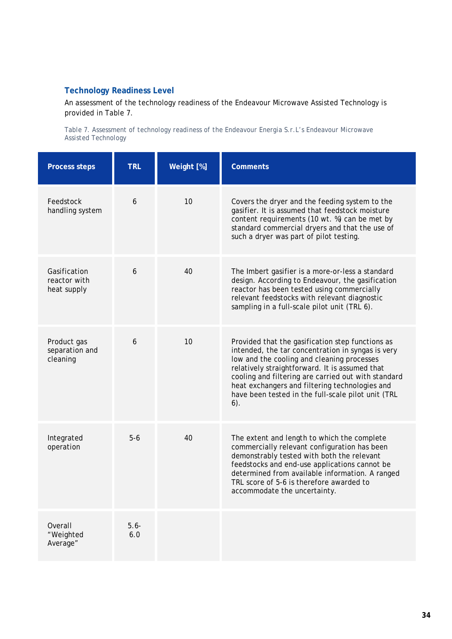# <span id="page-35-0"></span>**Technology Readiness Level**

An assessment of the technology readiness of the Endeavour Microwave Assisted Technology is provided in [Table 7.](#page-35-1)

<span id="page-35-1"></span>*Table 7. Assessment of technology readiness of the Endeavour Energia S.r.L's Endeavour Microwave Assisted Technology* 

| <b>Process steps</b>                        | <b>TRL</b>     | Weight [%] | <b>Comments</b>                                                                                                                                                                                                                                                                                                                                                             |
|---------------------------------------------|----------------|------------|-----------------------------------------------------------------------------------------------------------------------------------------------------------------------------------------------------------------------------------------------------------------------------------------------------------------------------------------------------------------------------|
| Feedstock<br>handling system                | 6              | 10         | Covers the dryer and the feeding system to the<br>gasifier. It is assumed that feedstock moisture<br>content requirements (10 wt. %) can be met by<br>standard commercial dryers and that the use of<br>such a dryer was part of pilot testing.                                                                                                                             |
| Gasification<br>reactor with<br>heat supply | 6              | 40         | The Imbert gasifier is a more-or-less a standard<br>design. According to Endeavour, the gasification<br>reactor has been tested using commercially<br>relevant feedstocks with relevant diagnostic<br>sampling in a full-scale pilot unit (TRL 6).                                                                                                                          |
| Product gas<br>separation and<br>cleaning   | 6              | 10         | Provided that the gasification step functions as<br>intended, the tar concentration in syngas is very<br>low and the cooling and cleaning processes<br>relatively straightforward. It is assumed that<br>cooling and filtering are carried out with standard<br>heat exchangers and filtering technologies and<br>have been tested in the full-scale pilot unit (TRL<br>6). |
| Integrated<br>operation                     | $5-6$          | 40         | The extent and length to which the complete<br>commercially relevant configuration has been<br>demonstrably tested with both the relevant<br>feedstocks and end-use applications cannot be<br>determined from available information. A ranged<br>TRL score of 5-6 is therefore awarded to<br>accommodate the uncertainty.                                                   |
| Overall<br>"Weighted<br>Average"            | $5.6 -$<br>6.0 |            |                                                                                                                                                                                                                                                                                                                                                                             |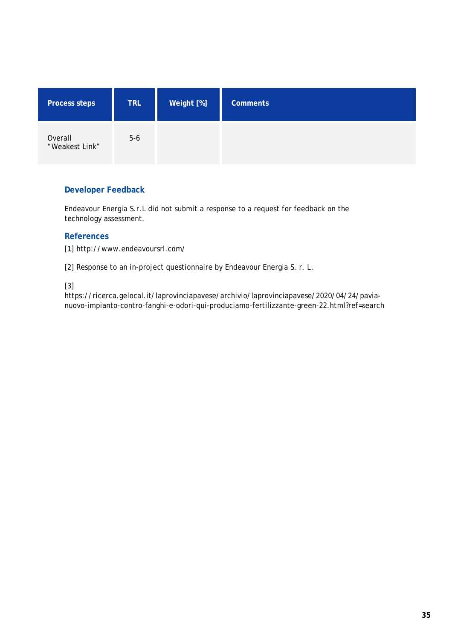| <b>Process steps</b>      | <b>TRL</b> | Weight [%] | <b>Comments</b> |
|---------------------------|------------|------------|-----------------|
| Overall<br>"Weakest Link" | $5-6$      |            |                 |

Endeavour Energia S.r.L did not submit a response to a request for feedback on the technology assessment.

# **References**

[1] http://www.endeavoursrl.com/

[2] Response to an in-project questionnaire by Endeavour Energia S. r. L.

[3]

https://ricerca.gelocal.it/laprovinciapavese/archivio/laprovinciapavese/2020/04/24/pavianuovo-impianto-contro-fanghi-e-odori-qui-produciamo-fertilizzante-green-22.html?ref=search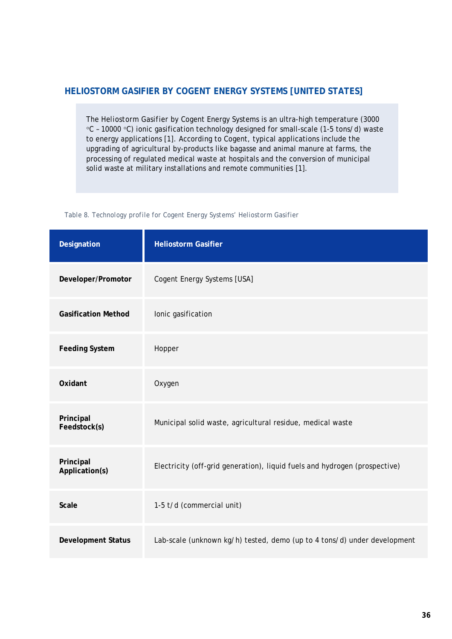# **HELIOSTORM GASIFIER BY COGENT ENERGY SYSTEMS [UNITED STATES]**

The *Heliostorm Gasifier* by Cogent Energy Systems is an ultra-high temperature (3000 °C – 10000 °C) ionic gasification technology designed for small-scale (1-5 tons/d) waste to energy applications [1]. According to Cogent, typical applications include the upgrading of agricultural by-products like bagasse and animal manure at farms, the processing of regulated medical waste at hospitals and the conversion of municipal solid waste at military installations and remote communities [1].

*Table 8. Technology profile for Cogent Energy Systems' Heliostorm Gasifier* 

| Designation                 | <b>Heliostorm Gasifier</b>                                                 |
|-----------------------------|----------------------------------------------------------------------------|
| Developer/Promotor          | Cogent Energy Systems [USA]                                                |
| <b>Gasification Method</b>  | lonic gasification                                                         |
| <b>Feeding System</b>       | Hopper                                                                     |
| Oxidant                     | Oxygen                                                                     |
| Principal<br>Feedstock(s)   | Municipal solid waste, agricultural residue, medical waste                 |
| Principal<br>Application(s) | Electricity (off-grid generation), liquid fuels and hydrogen (prospective) |
| <b>Scale</b>                | 1-5 t/d (commercial unit)                                                  |
| <b>Development Status</b>   | Lab-scale (unknown kg/h) tested, demo (up to 4 tons/d) under development   |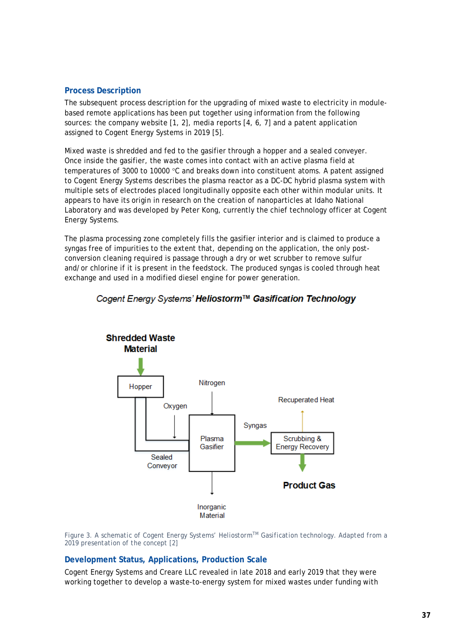# **Process Description**

The subsequent process description for the upgrading of mixed waste to electricity in modulebased remote applications has been put together using information from the following sources: the company website [1, 2], media reports [4, 6, 7] and a patent application assigned to Cogent Energy Systems in 2019 [5].

Mixed waste is shredded and fed to the gasifier through a hopper and a sealed conveyer. Once inside the gasifier, the waste comes into contact with an active plasma field at temperatures of 3000 to 10000 °C and breaks down into constituent atoms. A patent assigned to Cogent Energy Systems describes the plasma reactor as a DC-DC hybrid plasma system with multiple sets of electrodes placed longitudinally opposite each other within modular units. It appears to have its origin in research on the creation of nanoparticles at Idaho National Laboratory and was developed by Peter Kong, currently the chief technology officer at Cogent Energy Systems.

The plasma processing zone completely fills the gasifier interior and is claimed to produce a syngas free of impurities to the extent that, depending on the application, the only postconversion cleaning required is passage through a dry or wet scrubber to remove sulfur and/or chlorine if it is present in the feedstock. The produced syngas is cooled through heat exchange and used in a modified diesel engine for power generation.



# Cogent Energy Systems' Heliostorm™ Gasification Technology

*Figure 3. A schematic of Cogent Energy Systems' HeliostormTM Gasification technology. Adapted from a 2019 presentation of the concept [2]*

### **Development Status, Applications, Production Scale**

Cogent Energy Systems and Creare LLC revealed in late 2018 and early 2019 that they were working together to develop a waste-to-energy system for mixed wastes under funding with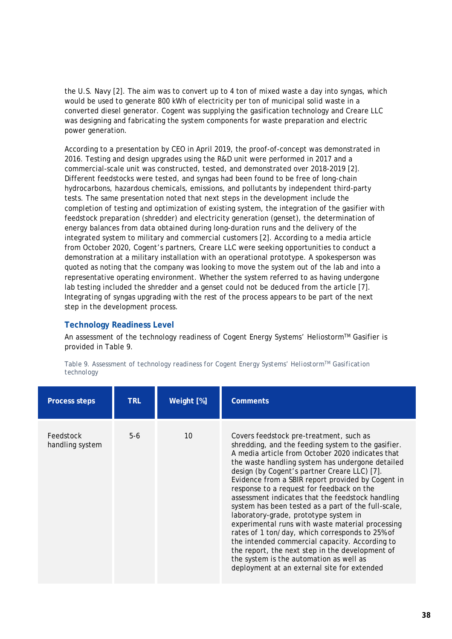the U.S. Navy [2]. The aim was to convert up to 4 ton of mixed waste a day into syngas, which would be used to generate 800 kWh of electricity per ton of municipal solid waste in a converted diesel generator. Cogent was supplying the gasification technology and Creare LLC was designing and fabricating the system components for waste preparation and electric power generation.

According to a presentation by CEO in April 2019, the proof-of-concept was demonstrated in 2016. Testing and design upgrades using the R&D unit were performed in 2017 and a commercial-scale unit was constructed, tested, and demonstrated over 2018-2019 [2]. Different feedstocks were tested, and syngas had been found to be free of long-chain hydrocarbons, hazardous chemicals, emissions, and pollutants by independent third-party tests. The same presentation noted that next steps in the development include the completion of testing and optimization of existing system, the integration of the gasifier with feedstock preparation (shredder) and electricity generation (genset), the determination of energy balances from data obtained during long-duration runs and the delivery of the integrated system to military and commercial customers [2]. According to a media article from October 2020, Cogent's partners, Creare LLC were seeking opportunities to conduct a demonstration at a military installation with an operational prototype. A spokesperson was quoted as noting that the company was looking to move the system out of the lab and into a representative operating environment. Whether the system referred to as having undergone lab testing included the shredder and a genset could not be deduced from the article [7]. Integrating of syngas upgrading with the rest of the process appears to be part of the next step in the development process.

# **Technology Readiness Level**

An assessment of the technology readiness of Cogent Energy Systems' Heliostorm™ Gasifier is provided in [Table 9.](#page-39-0)

| <b>Process steps</b>         | <b>TRL</b> | Weight [%] | <b>Comments</b>                                                                                                                                                                                                                                                                                                                                                                                                                                                                                                                                                                                                                                                                                                                                                                                                   |
|------------------------------|------------|------------|-------------------------------------------------------------------------------------------------------------------------------------------------------------------------------------------------------------------------------------------------------------------------------------------------------------------------------------------------------------------------------------------------------------------------------------------------------------------------------------------------------------------------------------------------------------------------------------------------------------------------------------------------------------------------------------------------------------------------------------------------------------------------------------------------------------------|
| Feedstock<br>handling system | $5-6$      | 10         | Covers feedstock pre-treatment, such as<br>shredding, and the feeding system to the gasifier.<br>A media article from October 2020 indicates that<br>the waste handling system has undergone detailed<br>design (by Cogent's partner Creare LLC) [7].<br>Evidence from a SBIR report provided by Cogent in<br>response to a request for feedback on the<br>assessment indicates that the feedstock handling<br>system has been tested as a part of the full-scale,<br>laboratory-grade, prototype system in<br>experimental runs with waste material processing<br>rates of 1 ton/day, which corresponds to 25% of<br>the intended commercial capacity. According to<br>the report, the next step in the development of<br>the system is the automation as well as<br>deployment at an external site for extended |

<span id="page-39-0"></span>*Table 9. Assessment of technology readiness for Cogent Energy Systems' HeliostormTM Gasification technology*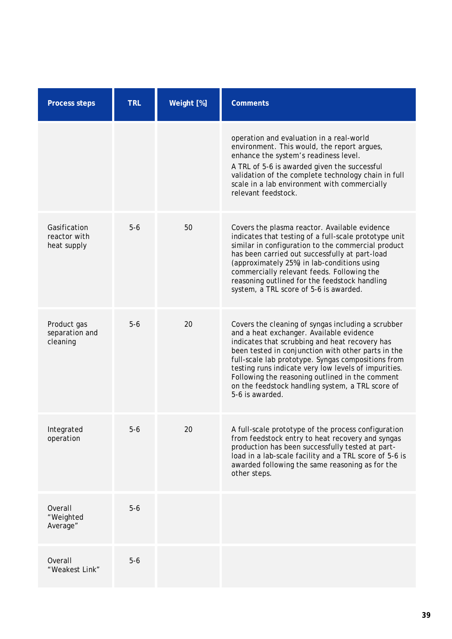| <b>Process steps</b>                        | <b>TRL</b> | Weight [%] | <b>Comments</b>                                                                                                                                                                                                                                                                                                                                                                                                                                |
|---------------------------------------------|------------|------------|------------------------------------------------------------------------------------------------------------------------------------------------------------------------------------------------------------------------------------------------------------------------------------------------------------------------------------------------------------------------------------------------------------------------------------------------|
|                                             |            |            | operation and evaluation in a real-world<br>environment. This would, the report argues,<br>enhance the system's readiness level.<br>A TRL of 5-6 is awarded given the successful<br>validation of the complete technology chain in full<br>scale in a lab environment with commercially<br>relevant feedstock.                                                                                                                                 |
| Gasification<br>reactor with<br>heat supply | $5-6$      | 50         | Covers the plasma reactor. Available evidence<br>indicates that testing of a full-scale prototype unit<br>similar in configuration to the commercial product<br>has been carried out successfully at part-load<br>(approximately 25%) in lab-conditions using<br>commercially relevant feeds. Following the<br>reasoning outlined for the feedstock handling<br>system, a TRL score of 5-6 is awarded.                                         |
| Product gas<br>separation and<br>cleaning   | $5-6$      | 20         | Covers the cleaning of syngas including a scrubber<br>and a heat exchanger. Available evidence<br>indicates that scrubbing and heat recovery has<br>been tested in conjunction with other parts in the<br>full-scale lab prototype. Syngas compositions from<br>testing runs indicate very low levels of impurities.<br>Following the reasoning outlined in the comment<br>on the feedstock handling system, a TRL score of<br>5-6 is awarded. |
| Integrated<br>operation                     | $5-6$      | 20         | A full-scale prototype of the process configuration<br>from feedstock entry to heat recovery and syngas<br>production has been successfully tested at part-<br>load in a lab-scale facility and a TRL score of 5-6 is<br>awarded following the same reasoning as for the<br>other steps.                                                                                                                                                       |
| Overall<br>"Weighted<br>Average"            | $5-6$      |            |                                                                                                                                                                                                                                                                                                                                                                                                                                                |
| Overall<br>"Weakest Link"                   | $5-6$      |            |                                                                                                                                                                                                                                                                                                                                                                                                                                                |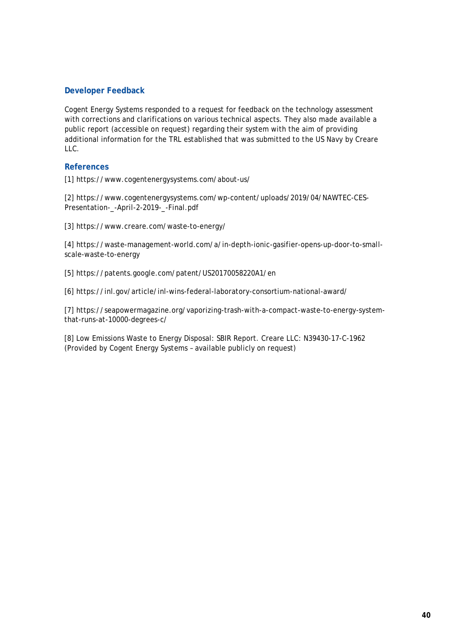Cogent Energy Systems responded to a request for feedback on the technology assessment with corrections and clarifications on various technical aspects. They also made available a public report (accessible on request) regarding their system with the aim of providing additional information for the TRL established that was submitted to the US Navy by Creare LLC.

# **References**

[1] https://www.cogentenergysystems.com/about-us/

[2] https://www.cogentenergysystems.com/wp-content/uploads/2019/04/NAWTEC-CES-Presentation-\_-April-2-2019-\_-Final.pdf

[3] https://www.creare.com/waste-to-energy/

[4] https://waste-management-world.com/a/in-depth-ionic-gasifier-opens-up-door-to-smallscale-waste-to-energy

[5] https://patents.google.com/patent/US20170058220A1/en

[6] https://inl.gov/article/inl-wins-federal-laboratory-consortium-national-award/

[7] https://seapowermagazine.org/vaporizing-trash-with-a-compact-waste-to-energy-systemthat-runs-at-10000-degrees-c/

[8] Low Emissions Waste to Energy Disposal: SBIR Report. Creare LLC: N39430-17-C-1962 (Provided by Cogent Energy Systems – available publicly on request)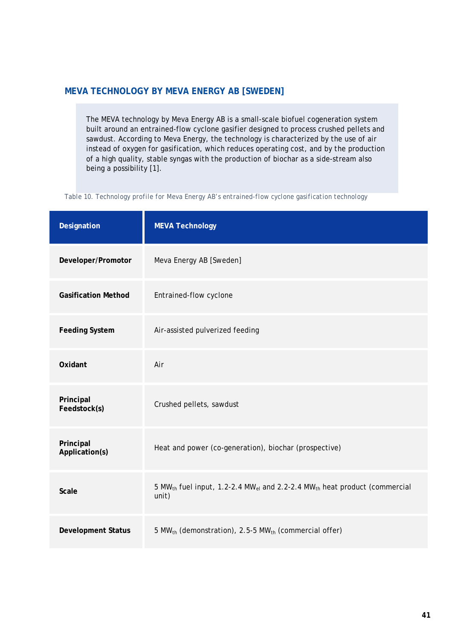# **MEVA TECHNOLOGY BY MEVA ENERGY AB [SWEDEN]**

The MEVA technology by Meva Energy AB is a small-scale biofuel cogeneration system built around an entrained-flow cyclone gasifier designed to process crushed pellets and sawdust. According to Meva Energy, the technology is characterized by the use of air instead of oxygen for gasification, which reduces operating cost, and by the production of a high quality, stable syngas with the production of biochar as a side-stream also being a possibility [1].

*Table 10. Technology profile for Meva Energy AB's entrained-flow cyclone gasification technology*

| Designation                 | <b>MEVA Technology</b>                                                                                                 |
|-----------------------------|------------------------------------------------------------------------------------------------------------------------|
| Developer/Promotor          | Meva Energy AB [Sweden]                                                                                                |
| <b>Gasification Method</b>  | Entrained-flow cyclone                                                                                                 |
| <b>Feeding System</b>       | Air-assisted pulverized feeding                                                                                        |
| Oxidant                     | Air                                                                                                                    |
| Principal<br>Feedstock(s)   | Crushed pellets, sawdust                                                                                               |
| Principal<br>Application(s) | Heat and power (co-generation), biochar (prospective)                                                                  |
| Scale                       | 5 MW <sub>th</sub> fuel input, 1.2-2.4 MW <sub>el</sub> and 2.2-2.4 MW <sub>th</sub> heat product (commercial<br>unit) |
| <b>Development Status</b>   | 5 MW <sub>th</sub> (demonstration), 2.5-5 MW <sub>th</sub> (commercial offer)                                          |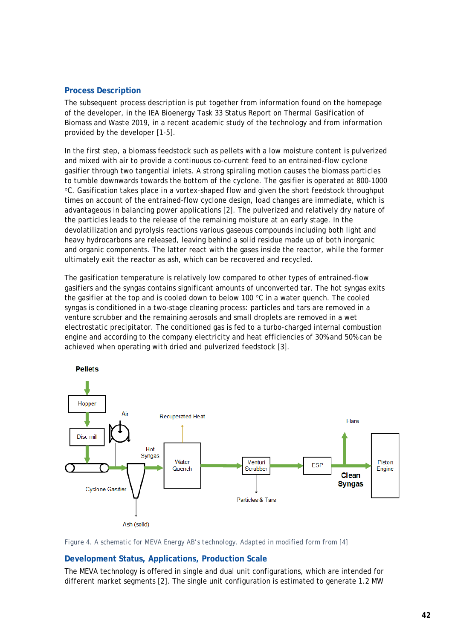# **Process Description**

The subsequent process description is put together from information found on the homepage of the developer, in the IEA Bioenergy Task 33 Status Report on Thermal Gasification of Biomass and Waste 2019, in a recent academic study of the technology and from information provided by the developer [1-5].

In the first step, a biomass feedstock such as pellets with a low moisture content is pulverized and mixed with air to provide a continuous co-current feed to an entrained-flow cyclone gasifier through two tangential inlets. A strong spiraling motion causes the biomass particles to tumble downwards towards the bottom of the cyclone. The gasifier is operated at 800-1000 °C. Gasification takes place in a vortex-shaped flow and given the short feedstock throughput times on account of the entrained-flow cyclone design, load changes are immediate, which is advantageous in balancing power applications [2]. The pulverized and relatively dry nature of the particles leads to the release of the remaining moisture at an early stage. In the devolatilization and pyrolysis reactions various gaseous compounds including both light and heavy hydrocarbons are released, leaving behind a solid residue made up of both inorganic and organic components. The latter react with the gases inside the reactor, while the former ultimately exit the reactor as ash, which can be recovered and recycled.

The gasification temperature is relatively low compared to other types of entrained-flow gasifiers and the syngas contains significant amounts of unconverted tar. The hot syngas exits the gasifier at the top and is cooled down to below 100  $\degree$ C in a water quench. The cooled syngas is conditioned in a two-stage cleaning process: particles and tars are removed in a venture scrubber and the remaining aerosols and small droplets are removed in a wet electrostatic precipitator. The conditioned gas is fed to a turbo-charged internal combustion engine and according to the company electricity and heat efficiencies of 30% and 50% can be achieved when operating with dried and pulverized feedstock [3].



*Figure 4. A schematic for MEVA Energy AB's technology. Adapted in modified form from [4]*

### **Development Status, Applications, Production Scale**

The MEVA technology is offered in single and dual unit configurations, which are intended for different market segments [2]. The single unit configuration is estimated to generate 1.2 MW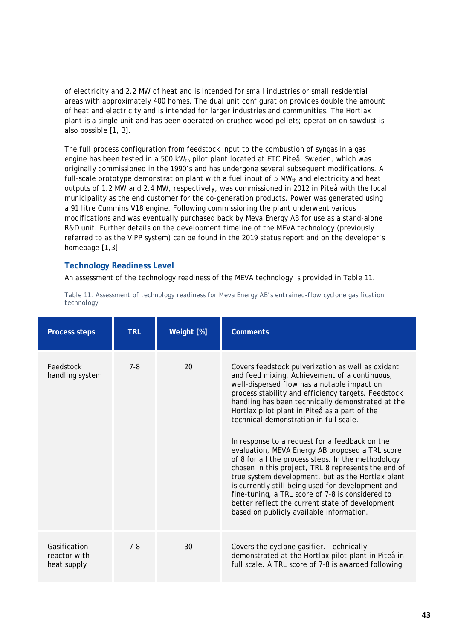of electricity and 2.2 MW of heat and is intended for small industries or small residential areas with approximately 400 homes. The dual unit configuration provides double the amount of heat and electricity and is intended for larger industries and communities. The Hortlax plant is a single unit and has been operated on crushed wood pellets; operation on sawdust is also possible [1, 3].

The full process configuration from feedstock input to the combustion of syngas in a gas engine has been tested in a 500 kW<sub>th</sub> pilot plant located at ETC Piteå, Sweden, which was originally commissioned in the 1990's and has undergone several subsequent modifications. A full-scale prototype demonstration plant with a fuel input of  $5 MW_{th}$  and electricity and heat outputs of 1.2 MW and 2.4 MW, respectively, was commissioned in 2012 in Piteå with the local municipality as the end customer for the co-generation products. Power was generated using a 91 litre Cummins V18 engine. Following commissioning the plant underwent various modifications and was eventually purchased back by Meva Energy AB for use as a stand-alone R&D unit. Further details on the development timeline of the MEVA technology (previously referred to as the VIPP system) can be found in the 2019 status report and on the developer's homepage [1,3].

# **Technology Readiness Level**

An assessment of the technology readiness of the MEVA technology is provided in [Table 11.](#page-44-0)

| <b>Process steps</b>                        | <b>TRL</b> | Weight [%] | <b>Comments</b>                                                                                                                                                                                                                                                                                                                                                                                                                                                                                                                                                                                                                                                                                                                                                                                                                         |
|---------------------------------------------|------------|------------|-----------------------------------------------------------------------------------------------------------------------------------------------------------------------------------------------------------------------------------------------------------------------------------------------------------------------------------------------------------------------------------------------------------------------------------------------------------------------------------------------------------------------------------------------------------------------------------------------------------------------------------------------------------------------------------------------------------------------------------------------------------------------------------------------------------------------------------------|
| Feedstock<br>handling system                | $7 - 8$    | 20         | Covers feedstock pulverization as well as oxidant<br>and feed mixing. Achievement of a continuous,<br>well-dispersed flow has a notable impact on<br>process stability and efficiency targets. Feedstock<br>handling has been technically demonstrated at the<br>Hortlax pilot plant in Piteå as a part of the<br>technical demonstration in full scale.<br>In response to a request for a feedback on the<br>evaluation, MEVA Energy AB proposed a TRL score<br>of 8 for all the process steps. In the methodology<br>chosen in this project, TRL 8 represents the end of<br>true system development, but as the Hortlax plant<br>is currently still being used for development and<br>fine-tuning, a TRL score of 7-8 is considered to<br>better reflect the current state of development<br>based on publicly available information. |
| Gasification<br>reactor with<br>heat supply | $7 - 8$    | 30         | Covers the cyclone gasifier. Technically<br>demonstrated at the Hortlax pilot plant in Piteå in<br>full scale. A TRL score of 7-8 is awarded following                                                                                                                                                                                                                                                                                                                                                                                                                                                                                                                                                                                                                                                                                  |

<span id="page-44-0"></span>*Table 11. Assessment of technology readiness for Meva Energy AB's entrained-flow cyclone gasification technology*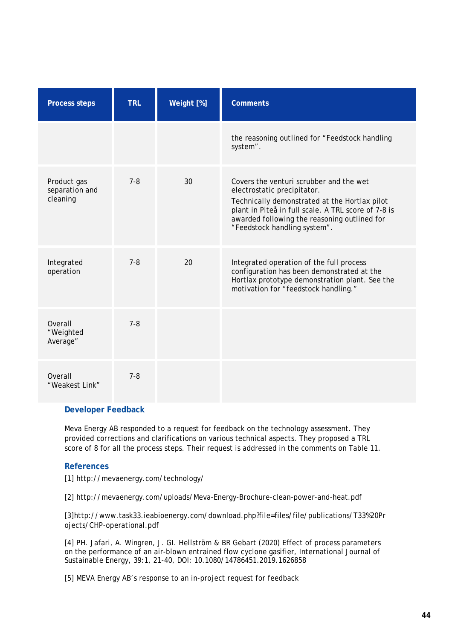| <b>Process steps</b>                      | <b>TRL</b> | Weight [%] | <b>Comments</b>                                                                                                                                                                                                                                                |
|-------------------------------------------|------------|------------|----------------------------------------------------------------------------------------------------------------------------------------------------------------------------------------------------------------------------------------------------------------|
|                                           |            |            | the reasoning outlined for "Feedstock handling<br>system".                                                                                                                                                                                                     |
| Product gas<br>separation and<br>cleaning | $7 - 8$    | 30         | Covers the venturi scrubber and the wet<br>electrostatic precipitator.<br>Technically demonstrated at the Hortlax pilot<br>plant in Piteå in full scale. A TRL score of 7-8 is<br>awarded following the reasoning outlined for<br>"Feedstock handling system". |
| Integrated<br>operation                   | $7 - 8$    | 20         | Integrated operation of the full process<br>configuration has been demonstrated at the<br>Hortlax prototype demonstration plant. See the<br>motivation for "feedstock handling."                                                                               |
| Overall<br>"Weighted<br>Average"          | $7 - 8$    |            |                                                                                                                                                                                                                                                                |
| Overall<br>"Weakest Link"                 | $7 - 8$    |            |                                                                                                                                                                                                                                                                |

Meva Energy AB responded to a request for feedback on the technology assessment. They provided corrections and clarifications on various technical aspects. They proposed a TRL score of 8 for all the process steps. Their request is addressed in the comments on [Table 11.](#page-44-0)

### **References**

[1] http://mevaenergy.com/technology/

[2] http://mevaenergy.com/uploads/Meva-Energy-Brochure-clean-power-and-heat.pdf

[3]http://www.task33.ieabioenergy.com/download.php?file=files/file/publications/T33%20Pr ojects/CHP-operational.pdf

[4] PH. Jafari, A. Wingren, J. GI. Hellström & BR Gebart (2020) Effect of process parameters on the performance of an air-blown entrained flow cyclone gasifier, International Journal of Sustainable Energy, 39:1, 21-40, DOI: [10.1080/14786451.2019.1626858](https://doi.org/10.1080/14786451.2019.1626858)

[5] MEVA Energy AB's response to an in-project request for feedback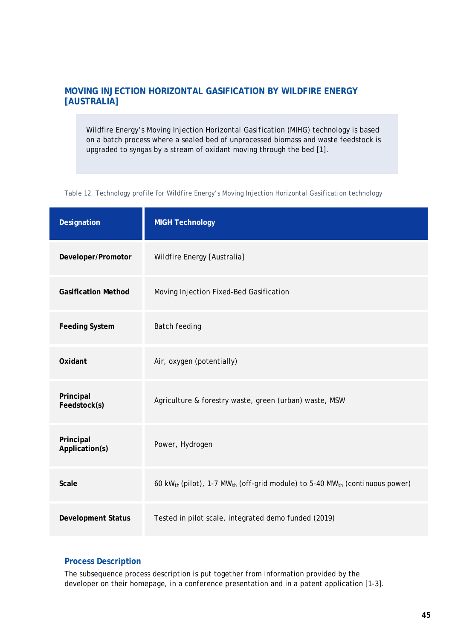# **MOVING INJECTION HORIZONTAL GASIFICATION BY WILDFIRE ENERGY [AUSTRALIA]**

Wildfire Energy's *Moving Injection Horizontal Gasification* (MIHG) technology is based on a batch process where a sealed bed of unprocessed biomass and waste feedstock is upgraded to syngas by a stream of oxidant moving through the bed [1].

| Designation                 | <b>MIGH Technology</b>                                                                                          |
|-----------------------------|-----------------------------------------------------------------------------------------------------------------|
| Developer/Promotor          | Wildfire Energy [Australia]                                                                                     |
| <b>Gasification Method</b>  | Moving Injection Fixed-Bed Gasification                                                                         |
| <b>Feeding System</b>       | <b>Batch feeding</b>                                                                                            |
| Oxidant                     | Air, oxygen (potentially)                                                                                       |
| Principal<br>Feedstock(s)   | Agriculture & forestry waste, green (urban) waste, MSW                                                          |
| Principal<br>Application(s) | Power, Hydrogen                                                                                                 |
| <b>Scale</b>                | 60 kW <sub>th</sub> (pilot), 1-7 MW <sub>th</sub> (off-grid module) to 5-40 MW <sub>th</sub> (continuous power) |
| <b>Development Status</b>   | Tested in pilot scale, integrated demo funded (2019)                                                            |

<span id="page-46-0"></span>*Table 12. Technology profile for Wildfire Energy's Moving Injection Horizontal Gasification technology*

# **Process Description**

The subsequence process description is put together from information provided by the developer on their homepage, in a conference presentation and in a patent application [1-3].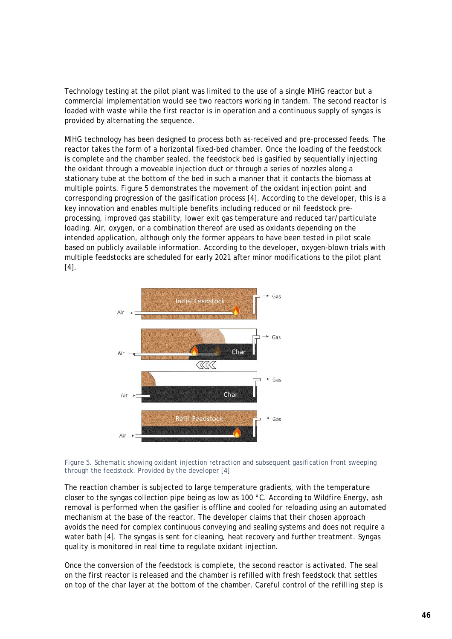Technology testing at the pilot plant was limited to the use of a single MIHG reactor but a commercial implementation would see two reactors working in tandem. The second reactor is loaded with waste while the first reactor is in operation and a continuous supply of syngas is provided by alternating the sequence.

MIHG technology has been designed to process both as-received and pre-processed feeds. The reactor takes the form of a horizontal fixed-bed chamber. Once the loading of the feedstock is complete and the chamber sealed, the feedstock bed is gasified by sequentially injecting the oxidant through a moveable injection duct or through a series of nozzles along a stationary tube at the bottom of the bed in such a manner that it contacts the biomass at multiple points. [Figure 5](#page-47-0) demonstrates the movement of the oxidant injection point and corresponding progression of the gasification process [4]. According to the developer, this is a key innovation and enables multiple benefits including reduced or nil feedstock preprocessing, improved gas stability, lower exit gas temperature and reduced tar/particulate loading. Air, oxygen, or a combination thereof are used as oxidants depending on the intended application, although only the former appears to have been tested in pilot scale based on publicly available information. According to the developer, oxygen-blown trials with multiple feedstocks are scheduled for early 2021 after minor modifications to the pilot plant  $[4]$ .



<span id="page-47-0"></span>*Figure 5. Schematic showing oxidant injection retraction and subsequent gasification front sweeping through the feedstock. Provided by the developer [4]*

The reaction chamber is subjected to large temperature gradients, with the temperature closer to the syngas collection pipe being as low as 100 °C. According to Wildfire Energy, ash removal is performed when the gasifier is offline and cooled for reloading using an automated mechanism at the base of the reactor. The developer claims that their chosen approach avoids the need for complex continuous conveying and sealing systems and does not require a water bath [4]. The syngas is sent for cleaning, heat recovery and further treatment. Syngas quality is monitored in real time to regulate oxidant injection.

Once the conversion of the feedstock is complete, the second reactor is activated. The seal on the first reactor is released and the chamber is refilled with fresh feedstock that settles on top of the char layer at the bottom of the chamber. Careful control of the refilling step is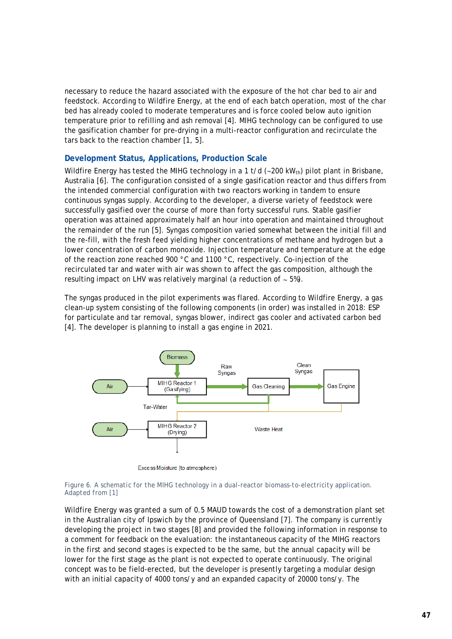necessary to reduce the hazard associated with the exposure of the hot char bed to air and feedstock. According to Wildfire Energy, at the end of each batch operation, most of the char bed has already cooled to moderate temperatures and is force cooled below auto ignition temperature prior to refilling and ash removal [4]. MIHG technology can be configured to use the gasification chamber for pre-drying in a multi-reactor configuration and recirculate the tars back to the reaction chamber [1, 5].

# **Development Status, Applications, Production Scale**

Wildfire Energy has tested the MIHG technology in a 1 t/d (∼200 kW<sub>th</sub>) pilot plant in Brisbane, Australia [6]. The configuration consisted of a single gasification reactor and thus differs from the intended commercial configuration with two reactors working in tandem to ensure continuous syngas supply. According to the developer, a diverse variety of feedstock were successfully gasified over the course of more than forty successful runs. Stable gasifier operation was attained approximately half an hour into operation and maintained throughout the remainder of the run [5]. Syngas composition varied somewhat between the initial fill and the re-fill, with the fresh feed yielding higher concentrations of methane and hydrogen but a lower concentration of carbon monoxide. Injection temperature and temperature at the edge of the reaction zone reached 900 °C and 1100 °C, respectively. Co-injection of the recirculated tar and water with air was shown to affect the gas composition, although the resulting impact on LHV was relatively marginal (a reduction of ∼ 5%).

The syngas produced in the pilot experiments was flared. According to Wildfire Energy, a gas clean-up system consisting of the following components (in order) was installed in 2018: ESP for particulate and tar removal, syngas blower, indirect gas cooler and activated carbon bed [4]. The developer is planning to install a gas engine in 2021.



Excess Moisture (to atmosphere)

#### *Figure 6. A schematic for the MIHG technology in a dual-reactor biomass-to-electricity application. Adapted from [1]*

Wildfire Energy was granted a sum of 0.5 MAUD towards the cost of a demonstration plant set in the Australian city of Ipswich by the province of Queensland [7]. The company is currently developing the project in two stages [8] and provided the following information in response to a comment for feedback on the evaluation: the instantaneous capacity of the MIHG reactors in the first and second stages is expected to be the same, but the annual capacity will be lower for the first stage as the plant is not expected to operate continuously. The original concept was to be field-erected, but the developer is presently targeting a modular design with an initial capacity of 4000 tons/y and an expanded capacity of 20000 tons/y. The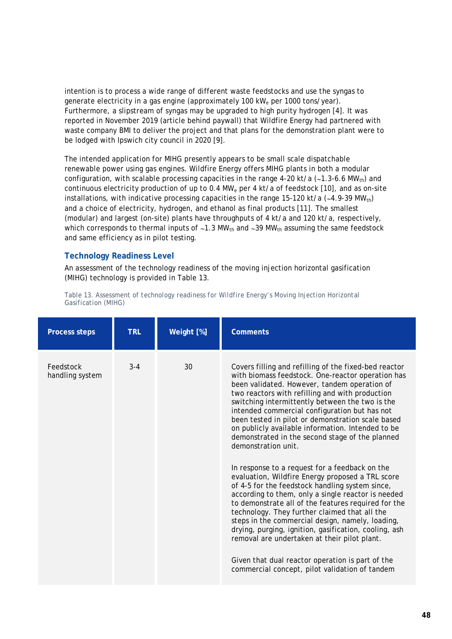intention is to process a wide range of different waste feedstocks and use the syngas to generate electricity in a gas engine (approximately 100 kW<sub>e</sub> per 1000 tons/year). Furthermore, a slipstream of syngas may be upgraded to high purity hydrogen [4]. It was reported in November 2019 (article behind paywall) that Wildfire Energy had partnered with waste company BMI to deliver the project and that plans for the demonstration plant were to be lodged with Ipswich city council in 2020 [9].

The intended application for MIHG presently appears to be small scale dispatchable renewable power using gas engines. Wildfire Energy offers MIHG plants in both a modular configuration, with scalable processing capacities in the range 4-20 kt/a (~1.3-6.6 MW<sub>th</sub>) and continuous electricity production of up to 0.4 MW<sub>e</sub> per 4 kt/a of feedstock [10], and as on-site installations, with indicative processing capacities in the range 15-120 kt/a (∼4.9-39 MWth) and a choice of electricity, hydrogen, and ethanol as final products [11]. The smallest (modular) and largest (on-site) plants have throughputs of 4 kt/a and 120 kt/a, respectively, which corresponds to thermal inputs of ~1.3 MW<sub>th</sub> and ~39 MW<sub>th</sub> assuming the same feedstock and same efficiency as in pilot testing.

# **Technology Readiness Level**

An assessment of the technology readiness of the moving injection horizontal gasification (MIHG) technology is provided in [Table 13.](#page-49-0)

| <b>Process steps</b>         | <b>TRL</b> | Weight [%] | <b>Comments</b>                                                                                                                                                                                                                                                                                                                                                                                                                                                                                                                                                                        |
|------------------------------|------------|------------|----------------------------------------------------------------------------------------------------------------------------------------------------------------------------------------------------------------------------------------------------------------------------------------------------------------------------------------------------------------------------------------------------------------------------------------------------------------------------------------------------------------------------------------------------------------------------------------|
| Feedstock<br>handling system | $3 - 4$    | 30         | Covers filling and refilling of the fixed-bed reactor<br>with biomass feedstock. One-reactor operation has<br>been validated. However, tandem operation of<br>two reactors with refilling and with production<br>switching intermittently between the two is the<br>intended commercial configuration but has not<br>been tested in pilot or demonstration scale based<br>on publicly available information. Intended to be<br>demonstrated in the second stage of the planned<br>demonstration unit.                                                                                  |
|                              |            |            | In response to a request for a feedback on the<br>evaluation, Wildfire Energy proposed a TRL score<br>of 4-5 for the feedstock handling system since,<br>according to them, only a single reactor is needed<br>to demonstrate all of the features required for the<br>technology. They further claimed that all the<br>steps in the commercial design, namely, loading,<br>drying, purging, ignition, gasification, cooling, ash<br>removal are undertaken at their pilot plant.<br>Given that dual reactor operation is part of the<br>commercial concept, pilot validation of tandem |

<span id="page-49-0"></span>*Table 13. Assessment of technology readiness for Wildfire Energy's Moving Injection Horizontal Gasification (MIHG)*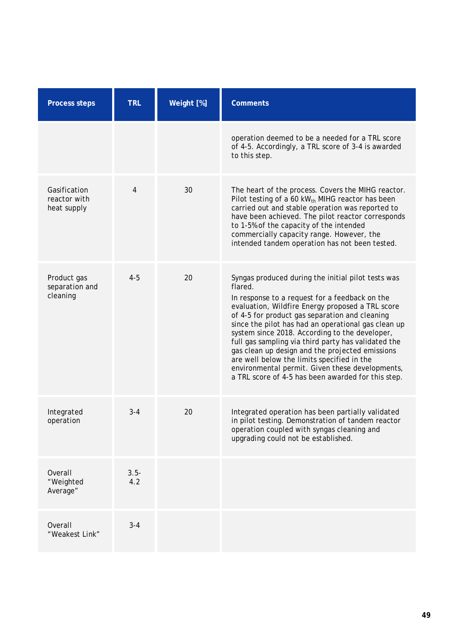| <b>Process steps</b>                        | <b>TRL</b>     | Weight [%] | <b>Comments</b>                                                                                                                                                                                                                                                                                                                                                                                                                                                                                                                                                                                 |
|---------------------------------------------|----------------|------------|-------------------------------------------------------------------------------------------------------------------------------------------------------------------------------------------------------------------------------------------------------------------------------------------------------------------------------------------------------------------------------------------------------------------------------------------------------------------------------------------------------------------------------------------------------------------------------------------------|
|                                             |                |            | operation deemed to be a needed for a TRL score<br>of 4-5. Accordingly, a TRL score of 3-4 is awarded<br>to this step.                                                                                                                                                                                                                                                                                                                                                                                                                                                                          |
| Gasification<br>reactor with<br>heat supply | $\overline{4}$ | 30         | The heart of the process. Covers the MIHG reactor.<br>Pilot testing of a 60 kW <sub>th</sub> MIHG reactor has been<br>carried out and stable operation was reported to<br>have been achieved. The pilot reactor corresponds<br>to 1-5% of the capacity of the intended<br>commercially capacity range. However, the<br>intended tandem operation has not been tested.                                                                                                                                                                                                                           |
| Product gas<br>separation and<br>cleaning   | $4 - 5$        | 20         | Syngas produced during the initial pilot tests was<br>flared.<br>In response to a request for a feedback on the<br>evaluation, Wildfire Energy proposed a TRL score<br>of 4-5 for product gas separation and cleaning<br>since the pilot has had an operational gas clean up<br>system since 2018. According to the developer,<br>full gas sampling via third party has validated the<br>gas clean up design and the projected emissions<br>are well below the limits specified in the<br>environmental permit. Given these developments,<br>a TRL score of 4-5 has been awarded for this step. |
| Integrated<br>operation                     | $3 - 4$        | 20         | Integrated operation has been partially validated<br>in pilot testing. Demonstration of tandem reactor<br>operation coupled with syngas cleaning and<br>upgrading could not be established.                                                                                                                                                                                                                                                                                                                                                                                                     |
| Overall<br>"Weighted<br>Average"            | $3.5 -$<br>4.2 |            |                                                                                                                                                                                                                                                                                                                                                                                                                                                                                                                                                                                                 |
| Overall<br>"Weakest Link"                   | $3 - 4$        |            |                                                                                                                                                                                                                                                                                                                                                                                                                                                                                                                                                                                                 |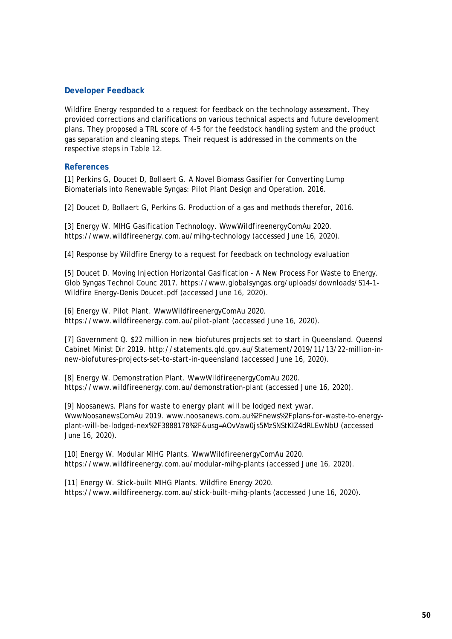Wildfire Energy responded to a request for feedback on the technology assessment. They provided corrections and clarifications on various technical aspects and future development plans. They proposed a TRL score of 4-5 for the feedstock handling system and the product gas separation and cleaning steps. Their request is addressed in the comments on the respective steps in [Table 12.](#page-46-0)

# **References**

[1] Perkins G, Doucet D, Bollaert G. A Novel Biomass Gasifier for Converting Lump Biomaterials into Renewable Syngas: Pilot Plant Design and Operation. 2016.

[2] Doucet D, Bollaert G, Perkins G. Production of a gas and methods therefor, 2016.

[3] Energy W. MIHG Gasification Technology. WwwWildfireenergyComAu 2020. https://www.wildfireenergy.com.au/mihg-technology (accessed June 16, 2020).

[4] Response by Wildfire Energy to a request for feedback on technology evaluation

[5] Doucet D. Moving Injection Horizontal Gasification - A New Process For Waste to Energy. Glob Syngas Technol Counc 2017. https://www.globalsyngas.org/uploads/downloads/S14-1- Wildfire Energy-Denis Doucet.pdf (accessed June 16, 2020).

[6] Energy W. Pilot Plant. WwwWildfireenergyComAu 2020. https://www.wildfireenergy.com.au/pilot-plant (accessed June 16, 2020).

[7] Government Q. \$22 million in new biofutures projects set to start in Queensland. Queensl Cabinet Minist Dir 2019. http://statements.qld.gov.au/Statement/2019/11/13/22-million-innew-biofutures-projects-set-to-start-in-queensland (accessed June 16, 2020).

[8] Energy W. Demonstration Plant. WwwWildfireenergyComAu 2020. https://www.wildfireenergy.com.au/demonstration-plant (accessed June 16, 2020).

[9] Noosanews. Plans for waste to energy plant will be lodged next ywar. WwwNoosanewsComAu 2019. www.noosanews.com.au%2Fnews%2Fplans-for-waste-to-energyplant-will-be-lodged-nex%2F3888178%2F&usg=AOvVaw0js5MzSNStKIZ4dRLEwNbU (accessed June 16, 2020).

[10] Energy W. Modular MIHG Plants. WwwWildfireenergyComAu 2020. https://www.wildfireenergy.com.au/modular-mihg-plants (accessed June 16, 2020).

[11] Energy W. Stick-built MIHG Plants. Wildfire Energy 2020. https://www.wildfireenergy.com.au/stick-built-mihg-plants (accessed June 16, 2020).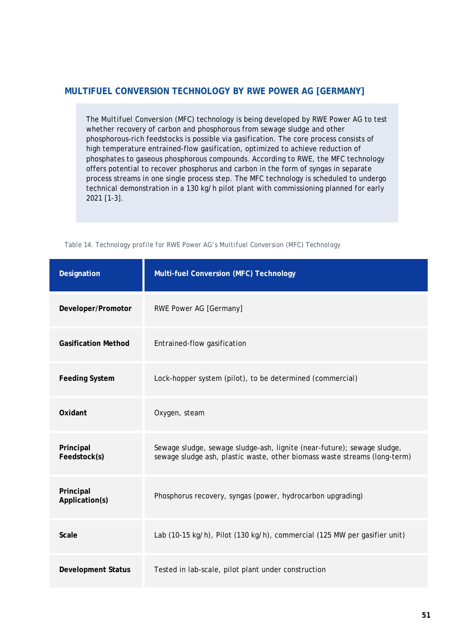# **MULTIFUEL CONVERSION TECHNOLOGY BY RWE POWER AG [GERMANY]**

The *Multifuel Conversion* (MFC) technology is being developed by RWE Power AG to test whether recovery of carbon and phosphorous from sewage sludge and other phosphorous-rich feedstocks is possible via gasification. The core process consists of high temperature entrained-flow gasification, optimized to achieve reduction of phosphates to gaseous phosphorous compounds. According to RWE, the MFC technology offers potential to recover phosphorus and carbon in the form of syngas in separate process streams in one single process step. The MFC technology is scheduled to undergo technical demonstration in a 130 kg/h pilot plant with commissioning planned for early 2021 [1-3].

| Designation                 | Multi-fuel Conversion (MFC) Technology                                                                                                               |
|-----------------------------|------------------------------------------------------------------------------------------------------------------------------------------------------|
| Developer/Promotor          | RWE Power AG [Germany]                                                                                                                               |
| <b>Gasification Method</b>  | Entrained-flow gasification                                                                                                                          |
| <b>Feeding System</b>       | Lock-hopper system (pilot), to be determined (commercial)                                                                                            |
| Oxidant                     | Oxygen, steam                                                                                                                                        |
| Principal<br>Feedstock(s)   | Sewage sludge, sewage sludge-ash, lignite (near-future); sewage sludge,<br>sewage sludge ash, plastic waste, other biomass waste streams (long-term) |
| Principal<br>Application(s) | Phosphorus recovery, syngas (power, hydrocarbon upgrading)                                                                                           |
| Scale                       | Lab (10-15 kg/h), Pilot (130 kg/h), commercial (125 MW per gasifier unit)                                                                            |
| <b>Development Status</b>   | Tested in lab-scale, pilot plant under construction                                                                                                  |

*Table 14. Technology profile for RWE Power AG's Multifuel Conversion (MFC) Technology*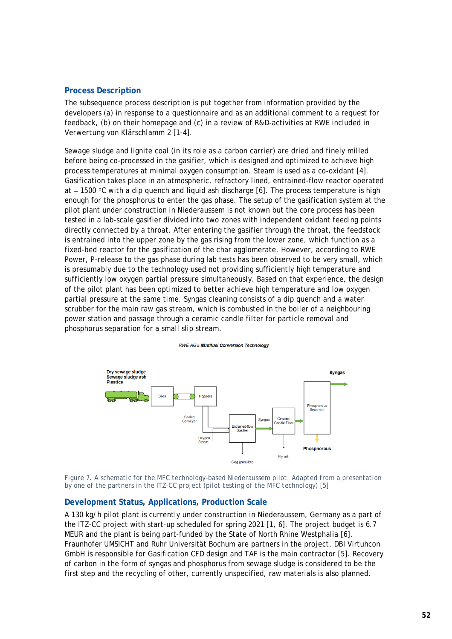### **Process Description**

The subsequence process description is put together from information provided by the developers (a) in response to a questionnaire and as an additional comment to a request for feedback, (b) on their homepage and (c) in a review of R&D-activities at RWE included in *Verwertung von Klärschlamm 2* [1-4].

Sewage sludge and lignite coal (in its role as a carbon carrier) are dried and finely milled before being co-processed in the gasifier, which is designed and optimized to achieve high process temperatures at minimal oxygen consumption. Steam is used as a co-oxidant [4]. Gasification takes place in an atmospheric, refractory lined, entrained-flow reactor operated at ∼ 1500 °C with a dip quench and liquid ash discharge [6]. The process temperature is high enough for the phosphorus to enter the gas phase. The setup of the gasification system at the pilot plant under construction in Niederaussem is not known but the core process has been tested in a lab-scale gasifier divided into two zones with independent oxidant feeding points directly connected by a throat. After entering the gasifier through the throat, the feedstock is entrained into the upper zone by the gas rising from the lower zone, which function as a fixed-bed reactor for the gasification of the char agglomerate. However, according to RWE Power, P-release to the gas phase during lab tests has been observed to be very small, which is presumably due to the technology used not providing sufficiently high temperature and sufficiently low oxygen partial pressure simultaneously. Based on that experience, the design of the pilot plant has been optimized to better achieve high temperature and low oxygen partial pressure at the same time. Syngas cleaning consists of a dip quench and a water scrubber for the main raw gas stream, which is combusted in the boiler of a neighbouring power station and passage through a ceramic candle filter for particle removal and phosphorus separation for a small slip stream.

#### **RWE AG's Multifuel Conversion Technology**



*Figure 7. A schematic for the MFC technology-based Niederaussem pilot. Adapted from a presentation by one of the partners in the ITZ-CC project (pilot testing of the MFC technology) [5]*

# **Development Status, Applications, Production Scale**

A 130 kg/h pilot plant is currently under construction in Niederaussem, Germany as a part of the ITZ-CC project with start-up scheduled for spring 2021 [1, 6]. The project budget is 6.7 MEUR and the plant is being part-funded by the State of North Rhine Westphalia [6]. Fraunhofer UMSICHT and Ruhr Universität Bochum are partners in the project, DBI Virtuhcon GmbH is responsible for Gasification CFD design and TAF is the main contractor [5]. Recovery of carbon in the form of syngas and phosphorus from sewage sludge is considered to be the first step and the recycling of other, currently unspecified, raw materials is also planned.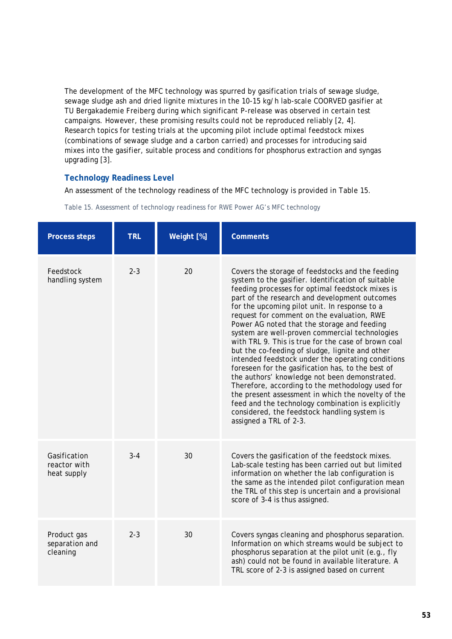The development of the MFC technology was spurred by gasification trials of sewage sludge, sewage sludge ash and dried lignite mixtures in the 10-15 kg/h lab-scale COORVED gasifier at TU Bergakademie Freiberg during which significant P-release was observed in certain test campaigns. However, these promising results could not be reproduced reliably [2, 4]. Research topics for testing trials at the upcoming pilot include optimal feedstock mixes (combinations of sewage sludge and a carbon carried) and processes for introducing said mixes into the gasifier, suitable process and conditions for phosphorus extraction and syngas upgrading [3].

# **Technology Readiness Level**

An assessment of the technology readiness of the MFC technology is provided in [Table 15.](#page-54-0)

| <b>Process steps</b>                        | <b>TRL</b> | Weight [%] | <b>Comments</b>                                                                                                                                                                                                                                                                                                                                                                                                                                                                                                                                                                                                                                                                                                                                                                                                                                                                                                           |
|---------------------------------------------|------------|------------|---------------------------------------------------------------------------------------------------------------------------------------------------------------------------------------------------------------------------------------------------------------------------------------------------------------------------------------------------------------------------------------------------------------------------------------------------------------------------------------------------------------------------------------------------------------------------------------------------------------------------------------------------------------------------------------------------------------------------------------------------------------------------------------------------------------------------------------------------------------------------------------------------------------------------|
| Feedstock<br>handling system                | $2 - 3$    | 20         | Covers the storage of feedstocks and the feeding<br>system to the gasifier. Identification of suitable<br>feeding processes for optimal feedstock mixes is<br>part of the research and development outcomes<br>for the upcoming pilot unit. In response to a<br>request for comment on the evaluation, RWE<br>Power AG noted that the storage and feeding<br>system are well-proven commercial technologies<br>with TRL 9. This is true for the case of brown coal<br>but the co-feeding of sludge, lignite and other<br>intended feedstock under the operating conditions<br>foreseen for the gasification has, to the best of<br>the authors' knowledge not been demonstrated.<br>Therefore, according to the methodology used for<br>the present assessment in which the novelty of the<br>feed and the technology combination is explicitly<br>considered, the feedstock handling system is<br>assigned a TRL of 2-3. |
| Gasification<br>reactor with<br>heat supply | $3 - 4$    | 30         | Covers the gasification of the feedstock mixes.<br>Lab-scale testing has been carried out but limited<br>information on whether the lab configuration is<br>the same as the intended pilot configuration mean<br>the TRL of this step is uncertain and a provisional<br>score of 3-4 is thus assigned.                                                                                                                                                                                                                                                                                                                                                                                                                                                                                                                                                                                                                    |
| Product gas<br>separation and<br>cleaning   | $2 - 3$    | 30         | Covers syngas cleaning and phosphorus separation.<br>Information on which streams would be subject to<br>phosphorus separation at the pilot unit (e.g., fly<br>ash) could not be found in available literature. A<br>TRL score of 2-3 is assigned based on current                                                                                                                                                                                                                                                                                                                                                                                                                                                                                                                                                                                                                                                        |

<span id="page-54-0"></span>*Table 15. Assessment of technology readiness for RWE Power AG's MFC technology*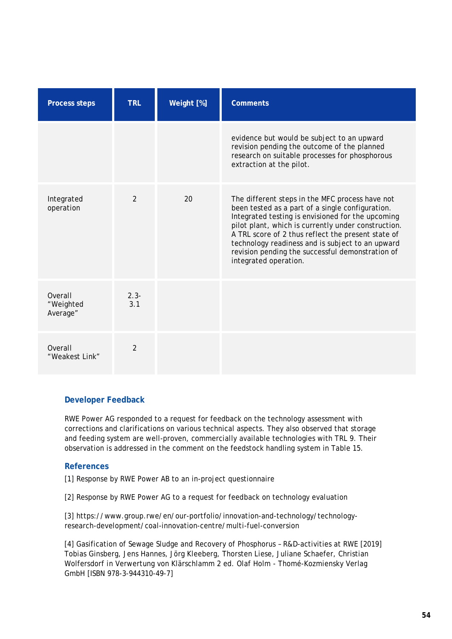| <b>Process steps</b>             | <b>TRL</b>     | Weight [%] | <b>Comments</b>                                                                                                                                                                                                                                                                                                                                                                                        |
|----------------------------------|----------------|------------|--------------------------------------------------------------------------------------------------------------------------------------------------------------------------------------------------------------------------------------------------------------------------------------------------------------------------------------------------------------------------------------------------------|
|                                  |                |            | evidence but would be subject to an upward<br>revision pending the outcome of the planned<br>research on suitable processes for phosphorous<br>extraction at the pilot.                                                                                                                                                                                                                                |
| Integrated<br>operation          | $\mathfrak{D}$ | 20         | The different steps in the MFC process have not<br>been tested as a part of a single configuration.<br>Integrated testing is envisioned for the upcoming<br>pilot plant, which is currently under construction.<br>A TRL score of 2 thus reflect the present state of<br>technology readiness and is subject to an upward<br>revision pending the successful demonstration of<br>integrated operation. |
| Overall<br>"Weighted<br>Average" | $2.3 -$<br>3.1 |            |                                                                                                                                                                                                                                                                                                                                                                                                        |
| Overall<br>"Weakest Link"        | $\overline{2}$ |            |                                                                                                                                                                                                                                                                                                                                                                                                        |

RWE Power AG responded to a request for feedback on the technology assessment with corrections and clarifications on various technical aspects. They also observed that storage and feeding system are well-proven, commercially available technologies with TRL 9. Their observation is addressed in the comment on the feedstock handling system in [Table 15.](#page-54-0)

### **References**

[1] Response by RWE Power AB to an in-project questionnaire

[2] Response by RWE Power AG to a request for feedback on technology evaluation

[3] https://www.group.rwe/en/our-portfolio/innovation-and-technology/technologyresearch-development/coal-innovation-centre/multi-fuel-conversion

[4] Gasification of Sewage Sludge and Recovery of Phosphorus – R&D-activities at RWE [2019] Tobias Ginsberg, Jens Hannes, Jörg Kleeberg, Thorsten Liese, Juliane Schaefer, Christian Wolfersdorf *in* Verwertung von Klärschlamm 2 ed. Olaf Holm - Thomé-Kozmiensky Verlag GmbH [ISBN 978-3-944310-49-7]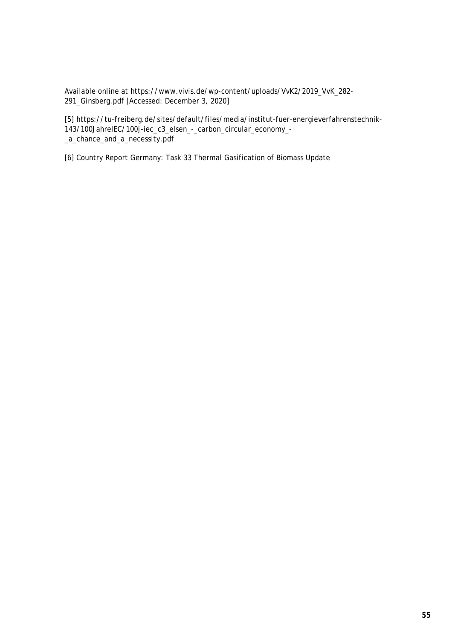Available online at https://www.vivis.de/wp-content/uploads/VvK2/2019\_VvK\_282- 291\_Ginsberg.pdf [Accessed: December 3, 2020]

[5] https://tu-freiberg.de/sites/default/files/media/institut-fuer-energieverfahrenstechnik-143/100JahreIEC/100j-iec\_c3\_elsen\_-\_carbon\_circular\_economy\_- \_a\_chance\_and\_a\_necessity.pdf

[6] Country Report Germany: Task 33 Thermal Gasification of Biomass Update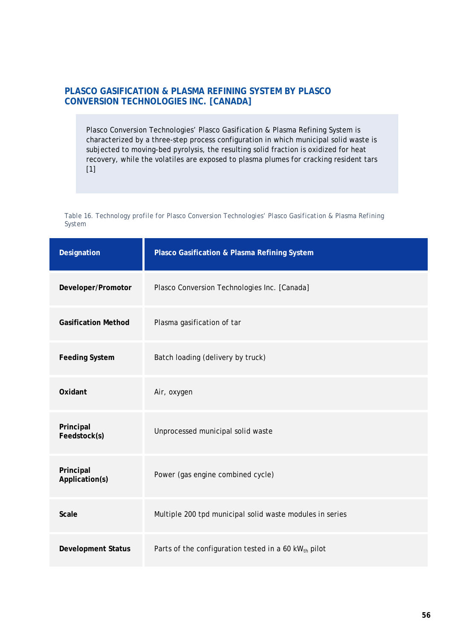# **PLASCO GASIFICATION & PLASMA REFINING SYSTEM BY PLASCO CONVERSION TECHNOLOGIES INC. [CANADA]**

Plasco Conversion Technologies' Plasco Gasification & Plasma Refining System is characterized by a three-step process configuration in which municipal solid waste is subjected to moving-bed pyrolysis, the resulting solid fraction is oxidized for heat recovery, while the volatiles are exposed to plasma plumes for cracking resident tars [1]

*Table 16. Technology profile for Plasco Conversion Technologies' Plasco Gasification & Plasma Refining System* 

| Designation                 | Plasco Gasification & Plasma Refining System                     |
|-----------------------------|------------------------------------------------------------------|
| Developer/Promotor          | Plasco Conversion Technologies Inc. [Canada]                     |
| <b>Gasification Method</b>  | Plasma gasification of tar                                       |
| <b>Feeding System</b>       | Batch loading (delivery by truck)                                |
| Oxidant                     | Air, oxygen                                                      |
| Principal<br>Feedstock(s)   | Unprocessed municipal solid waste                                |
| Principal<br>Application(s) | Power (gas engine combined cycle)                                |
| <b>Scale</b>                | Multiple 200 tpd municipal solid waste modules in series         |
| <b>Development Status</b>   | Parts of the configuration tested in a 60 kW <sub>th</sub> pilot |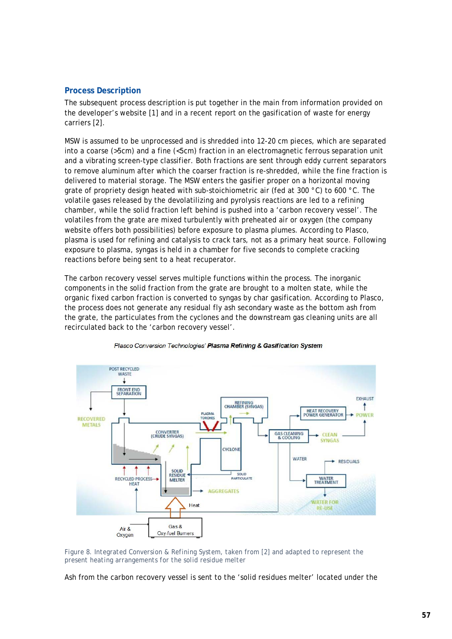# **Process Description**

The subsequent process description is put together in the main from information provided on the developer's website [1] and in a recent report on the gasification of waste for energy carriers [2].

MSW is assumed to be unprocessed and is shredded into 12-20 cm pieces, which are separated into a coarse (>5cm) and a fine (<5cm) fraction in an electromagnetic ferrous separation unit and a vibrating screen-type classifier. Both fractions are sent through eddy current separators to remove aluminum after which the coarser fraction is re-shredded, while the fine fraction is delivered to material storage. The MSW enters the gasifier proper on a horizontal moving grate of propriety design heated with sub-stoichiometric air (fed at 300 °C) to 600 °C. The volatile gases released by the devolatilizing and pyrolysis reactions are led to a refining chamber, while the solid fraction left behind is pushed into a 'carbon recovery vessel'. The volatiles from the grate are mixed turbulently with preheated air or oxygen (the company website offers both possibilities) before exposure to plasma plumes. According to Plasco, plasma is used for refining and catalysis to crack tars, not as a primary heat source. Following exposure to plasma, syngas is held in a chamber for five seconds to complete cracking reactions before being sent to a heat recuperator.

The carbon recovery vessel serves multiple functions within the process. The inorganic components in the solid fraction from the grate are brought to a molten state, while the organic fixed carbon fraction is converted to syngas by char gasification. According to Plasco, the process does not generate any residual fly ash secondary waste as the bottom ash from the grate, the particulates from the cyclones and the downstream gas cleaning units are all recirculated back to the 'carbon recovery vessel'.



Plasco Conversion Technologies' Plasma Refining & Gasification System

*Figure 8. Integrated Conversion & Refining System, taken from [2] and adapted to represent the present heating arrangements for the solid residue melter*

Ash from the carbon recovery vessel is sent to the 'solid residues melter' located under the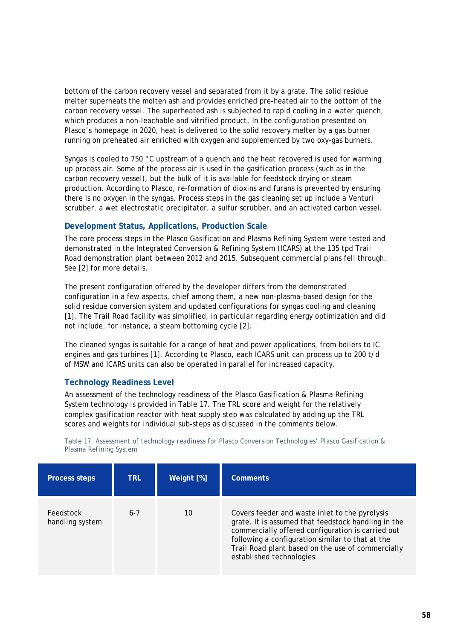bottom of the carbon recovery vessel and separated from it by a grate. The solid residue melter superheats the molten ash and provides enriched pre-heated air to the bottom of the carbon recovery vessel. The superheated ash is subjected to rapid cooling in a water quench, which produces a non-leachable and vitrified product. In the configuration presented on Plasco's homepage in 2020, heat is delivered to the solid recovery melter by a gas burner running on preheated air enriched with oxygen and supplemented by two oxy-gas burners.

Syngas is cooled to 750 °C upstream of a quench and the heat recovered is used for warming up process air. Some of the process air is used in the gasification process (such as in the carbon recovery vessel), but the bulk of it is available for feedstock drying or steam production. According to Plasco, re-formation of dioxins and furans is prevented by ensuring there is no oxygen in the syngas. Process steps in the gas cleaning set up include a Venturi scrubber, a wet electrostatic precipitator, a sulfur scrubber, and an activated carbon vessel.

# **Development Status, Applications, Production Scale**

The core process steps in the Plasco Gasification and Plasma Refining System were tested and demonstrated in the Integrated Conversion & Refining System (ICARS) at the 135 tpd Trail Road demonstration plant between 2012 and 2015. Subsequent commercial plans fell through. See [2] for more details.

The present configuration offered by the developer differs from the demonstrated configuration in a few aspects, chief among them, a new non-plasma-based design for the solid residue conversion system and updated configurations for syngas cooling and cleaning [1]. The Trail Road facility was simplified, in particular regarding energy optimization and did not include, for instance, a steam bottoming cycle [2].

The cleaned syngas is suitable for a range of heat and power applications, from boilers to IC engines and gas turbines [1]. According to Plasco, each ICARS unit can process up to 200 t/d of MSW and ICARS units can also be operated in parallel for increased capacity.

### **Technology Readiness Level**

An assessment of the technology readiness of the Plasco Gasification & Plasma Refining System technology is provided in [Table 17.](#page-59-0) The TRL score and weight for the relatively complex gasification reactor with heat supply step was calculated by adding up the TRL scores and weights for individual sub-steps as discussed in the comments below.

<span id="page-59-0"></span>*Table 17. Assessment of technology readiness for Plasco Conversion Technologies' Plasco Gasification & Plasma Refining System*

| <b>Process steps</b>         | <b>TRL</b> | Weight [%] | <b>Comments</b>                                                                                                                                                                                                                                                                                  |
|------------------------------|------------|------------|--------------------------------------------------------------------------------------------------------------------------------------------------------------------------------------------------------------------------------------------------------------------------------------------------|
| Feedstock<br>handling system | $6 - 7$    | 10         | Covers feeder and waste inlet to the pyrolysis<br>grate. It is assumed that feedstock handling in the<br>commercially offered configuration is carried out<br>following a configuration similar to that at the<br>Trail Road plant based on the use of commercially<br>established technologies. |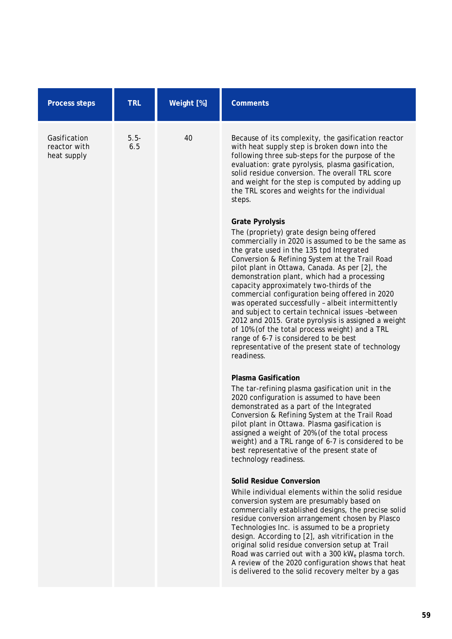| <b>Process steps</b>                        | <b>TRL</b>     | Weight [%] | <b>Comments</b>                                                                                                                                                                                                                                                                                                                                                                                                                                                                                                                                                                                                                                                                                                                                      |
|---------------------------------------------|----------------|------------|------------------------------------------------------------------------------------------------------------------------------------------------------------------------------------------------------------------------------------------------------------------------------------------------------------------------------------------------------------------------------------------------------------------------------------------------------------------------------------------------------------------------------------------------------------------------------------------------------------------------------------------------------------------------------------------------------------------------------------------------------|
| Gasification<br>reactor with<br>heat supply | $5.5 -$<br>6.5 | 40         | Because of its complexity, the gasification reactor<br>with heat supply step is broken down into the<br>following three sub-steps for the purpose of the<br>evaluation: grate pyrolysis, plasma gasification,<br>solid residue conversion. The overall TRL score<br>and weight for the step is computed by adding up<br>the TRL scores and weights for the individual<br>steps.                                                                                                                                                                                                                                                                                                                                                                      |
|                                             |                |            | <b>Grate Pyrolysis</b><br>The (propriety) grate design being offered<br>commercially in 2020 is assumed to be the same as<br>the grate used in the 135 tpd Integrated<br>Conversion & Refining System at the Trail Road<br>pilot plant in Ottawa, Canada. As per [2], the<br>demonstration plant, which had a processing<br>capacity approximately two-thirds of the<br>commercial configuration being offered in 2020<br>was operated successfully - albeit intermittently<br>and subject to certain technical issues -between<br>2012 and 2015. Grate pyrolysis is assigned a weight<br>of 10% (of the total process weight) and a TRL<br>range of 6-7 is considered to be best<br>representative of the present state of technology<br>readiness. |
|                                             |                |            | <b>Plasma Gasification</b><br>The tar-refining plasma gasification unit in the<br>2020 configuration is assumed to have been<br>demonstrated as a part of the Integrated<br>Conversion & Refining System at the Trail Road<br>pilot plant in Ottawa. Plasma gasification is<br>assigned a weight of 20% (of the total process<br>weight) and a TRL range of 6-7 is considered to be<br>best representative of the present state of<br>technology readiness.                                                                                                                                                                                                                                                                                          |
|                                             |                |            | <b>Solid Residue Conversion</b><br>While individual elements within the solid residue<br>conversion system are presumably based on<br>commercially established designs, the precise solid<br>residue conversion arrangement chosen by Plasco<br>Technologies Inc. is assumed to be a propriety<br>design. According to [2], ash vitrification in the<br>original solid residue conversion setup at Trail<br>Road was carried out with a 300 kW <sub>e</sub> plasma torch.<br>A review of the 2020 configuration shows that heat<br>is delivered to the solid recovery melter by a gas                                                                                                                                                                |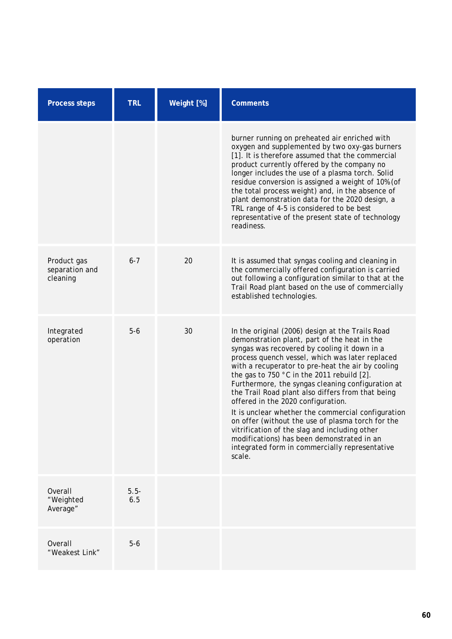| <b>Process steps</b>                      | <b>TRL</b>     | Weight [%] | <b>Comments</b>                                                                                                                                                                                                                                                                                                                                                                                                                                                                                                                                                                                                                                                                                                              |
|-------------------------------------------|----------------|------------|------------------------------------------------------------------------------------------------------------------------------------------------------------------------------------------------------------------------------------------------------------------------------------------------------------------------------------------------------------------------------------------------------------------------------------------------------------------------------------------------------------------------------------------------------------------------------------------------------------------------------------------------------------------------------------------------------------------------------|
|                                           |                |            | burner running on preheated air enriched with<br>oxygen and supplemented by two oxy-gas burners<br>[1]. It is therefore assumed that the commercial<br>product currently offered by the company no<br>longer includes the use of a plasma torch. Solid<br>residue conversion is assigned a weight of 10% (of<br>the total process weight) and, in the absence of<br>plant demonstration data for the 2020 design, a<br>TRL range of 4-5 is considered to be best<br>representative of the present state of technology<br>readiness.                                                                                                                                                                                          |
| Product gas<br>separation and<br>cleaning | $6 - 7$        | 20         | It is assumed that syngas cooling and cleaning in<br>the commercially offered configuration is carried<br>out following a configuration similar to that at the<br>Trail Road plant based on the use of commercially<br>established technologies.                                                                                                                                                                                                                                                                                                                                                                                                                                                                             |
| Integrated<br>operation                   | $5-6$          | 30         | In the original (2006) design at the Trails Road<br>demonstration plant, part of the heat in the<br>syngas was recovered by cooling it down in a<br>process quench vessel, which was later replaced<br>with a recuperator to pre-heat the air by cooling<br>the gas to 750 °C in the 2011 rebuild [2].<br>Furthermore, the syngas cleaning configuration at<br>the Trail Road plant also differs from that being<br>offered in the 2020 configuration.<br>It is unclear whether the commercial configuration<br>on offer (without the use of plasma torch for the<br>vitrification of the slag and including other<br>modifications) has been demonstrated in an<br>integrated form in commercially representative<br>scale. |
| Overall<br>"Weighted<br>Average"          | $5.5 -$<br>6.5 |            |                                                                                                                                                                                                                                                                                                                                                                                                                                                                                                                                                                                                                                                                                                                              |
| Overall<br>"Weakest Link"                 | $5-6$          |            |                                                                                                                                                                                                                                                                                                                                                                                                                                                                                                                                                                                                                                                                                                                              |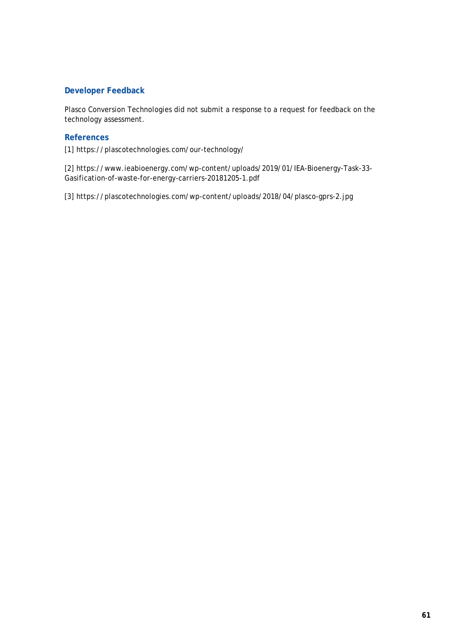Plasco Conversion Technologies did not submit a response to a request for feedback on the technology assessment.

# **References**

[1] https://plascotechnologies.com/our-technology/

[2] https://www.ieabioenergy.com/wp-content/uploads/2019/01/IEA-Bioenergy-Task-33- Gasification-of-waste-for-energy-carriers-20181205-1.pdf

[3] https://plascotechnologies.com/wp-content/uploads/2018/04/plasco-gprs-2.jpg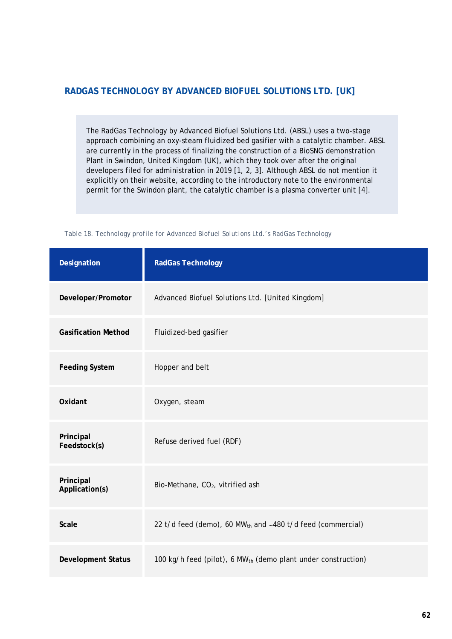# **RADGAS TECHNOLOGY BY ADVANCED BIOFUEL SOLUTIONS LTD. [UK]**

The RadGas Technology by Advanced Biofuel Solutions Ltd. (ABSL) uses a two-stage approach combining an oxy-steam fluidized bed gasifier with a catalytic chamber. ABSL are currently in the process of finalizing the construction of a BioSNG demonstration Plant in Swindon, United Kingdom (UK), which they took over after the original developers filed for administration in 2019 [1, 2, 3]. Although ABSL do not mention it explicitly on their website, according to the introductory note to the environmental permit for the Swindon plant, the catalytic chamber is a plasma converter unit [4].

| Table 18. Technology profile for Advanced Biofuel Solutions Ltd.'s RadGas Technology |  |  |  |  |
|--------------------------------------------------------------------------------------|--|--|--|--|
|                                                                                      |  |  |  |  |

| Designation                 | <b>RadGas Technology</b>                                                  |
|-----------------------------|---------------------------------------------------------------------------|
| Developer/Promotor          | Advanced Biofuel Solutions Ltd. [United Kingdom]                          |
| <b>Gasification Method</b>  | Fluidized-bed gasifier                                                    |
| <b>Feeding System</b>       | Hopper and belt                                                           |
| Oxidant                     | Oxygen, steam                                                             |
| Principal<br>Feedstock(s)   | Refuse derived fuel (RDF)                                                 |
| Principal<br>Application(s) | Bio-Methane, CO <sub>2</sub> , vitrified ash                              |
| <b>Scale</b>                | 22 t/d feed (demo), 60 MW <sub>th</sub> and $~1480$ t/d feed (commercial) |
| <b>Development Status</b>   | 100 kg/h feed (pilot), 6 MW <sub>th</sub> (demo plant under construction) |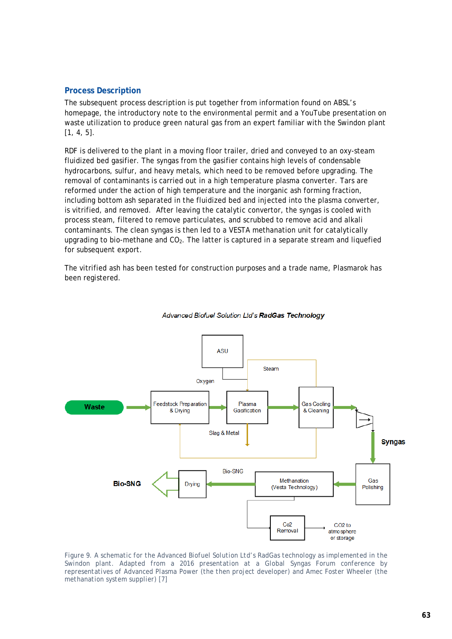## **Process Description**

The subsequent process description is put together from information found on ABSL's homepage, the introductory note to the environmental permit and a YouTube presentation on waste utilization to produce green natural gas from an expert familiar with the Swindon plant [1, 4, 5].

RDF is delivered to the plant in a moving floor trailer, dried and conveyed to an oxy-steam fluidized bed gasifier. The syngas from the gasifier contains high levels of condensable hydrocarbons, sulfur, and heavy metals, which need to be removed before upgrading. The removal of contaminants is carried out in a high temperature plasma converter. Tars are reformed under the action of high temperature and the inorganic ash forming fraction, including bottom ash separated in the fluidized bed and injected into the plasma converter, is vitrified, and removed. After leaving the catalytic convertor, the syngas is cooled with process steam, filtered to remove particulates, and scrubbed to remove acid and alkali contaminants. The clean syngas is then led to a VESTA methanation unit for catalytically upgrading to bio-methane and  $CO<sub>2</sub>$ . The latter is captured in a separate stream and liquefied for subsequent export.

The vitrified ash has been tested for construction purposes and a trade name, Plasmarok has been registered.



#### Advanced Biofuel Solution Ltd's RadGas Technology

*Figure 9. A schematic for the Advanced Biofuel Solution Ltd's RadGas technology as implemented in the Swindon plant. Adapted from a 2016 presentation at a Global Syngas Forum conference by representatives of Advanced Plasma Power (the then project developer) and Amec Foster Wheeler (the methanation system supplier) [7]*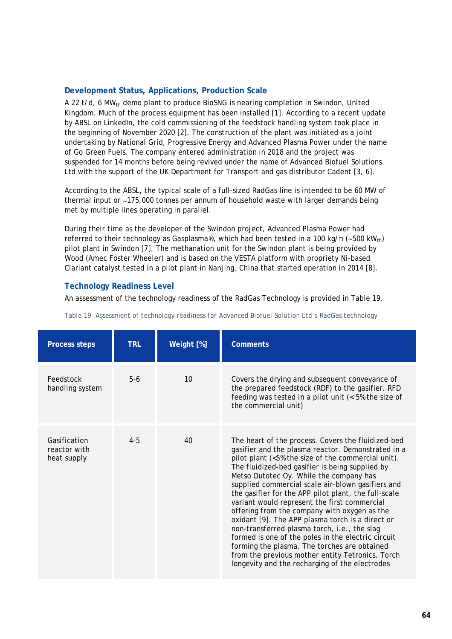# **Development Status, Applications, Production Scale**

A 22 t/d, 6 MW<sub>th</sub> demo plant to produce BioSNG is nearing completion in Swindon, United Kingdom. Much of the process equipment has been installed [1]. According to a recent update by ABSL on LinkedIn, the cold commissioning of the feedstock handling system took place in the beginning of November 2020 [2]. The construction of the plant was initiated as a joint undertaking by National Grid, Progressive Energy and Advanced Plasma Power under the name of Go Green Fuels. The company entered administration in 2018 and the project was suspended for 14 months before being revived under the name of Advanced Biofuel Solutions Ltd with the support of the UK Department for Transport and gas distributor Cadent [3, 6].

According to the ABSL, the typical scale of a full-sized RadGas line is intended to be 60 MW of thermal input or ∼175,000 tonnes per annum of household waste with larger demands being met by multiple lines operating in parallel.

During their time as the developer of the Swindon project, Advanced Plasma Power had referred to their technology as Gasplasma®, which had been tested in a 100 kg/h (~500 kW<sub>th</sub>) pilot plant in Swindon [7]. The methanation unit for the Swindon plant is being provided by Wood (Amec Foster Wheeler) and is based on the VESTA platform with propriety Ni-based Clariant catalyst tested in a pilot plant in Nanjing, China that started operation in 2014 [8].

# **Technology Readiness Level**

An assessment of the technology readiness of the RadGas Technology is provided in [Table 19.](#page-65-0)

| <b>Process steps</b>                        | <b>TRL</b> | Weight [%] | <b>Comments</b>                                                                                                                                                                                                                                                                                                                                                                                                                                                                                                                                                                                                                                                                                                                                                                           |
|---------------------------------------------|------------|------------|-------------------------------------------------------------------------------------------------------------------------------------------------------------------------------------------------------------------------------------------------------------------------------------------------------------------------------------------------------------------------------------------------------------------------------------------------------------------------------------------------------------------------------------------------------------------------------------------------------------------------------------------------------------------------------------------------------------------------------------------------------------------------------------------|
| Feedstock<br>handling system                | $5-6$      | 10         | Covers the drying and subsequent conveyance of<br>the prepared feedstock (RDF) to the gasifier. RFD<br>feeding was tested in a pilot unit (< 5% the size of<br>the commercial unit)                                                                                                                                                                                                                                                                                                                                                                                                                                                                                                                                                                                                       |
| Gasification<br>reactor with<br>heat supply | $4 - 5$    | 40         | The heart of the process. Covers the fluidized-bed<br>gasifier and the plasma reactor. Demonstrated in a<br>pilot plant (<5% the size of the commercial unit).<br>The fluidized-bed gasifier is being supplied by<br>Metso Outotec Oy. While the company has<br>supplied commercial scale air-blown gasifiers and<br>the gasifier for the APP pilot plant, the full-scale<br>variant would represent the first commercial<br>offering from the company with oxygen as the<br>oxidant [9]. The APP plasma torch is a direct or<br>non-transferred plasma torch, i.e., the slag<br>formed is one of the poles in the electric circuit<br>forming the plasma. The torches are obtained<br>from the previous mother entity Tetronics. Torch<br>longevity and the recharging of the electrodes |

<span id="page-65-0"></span>*Table 19. Assessment of technology readiness for Advanced Biofuel Solution Ltd's RadGas technology*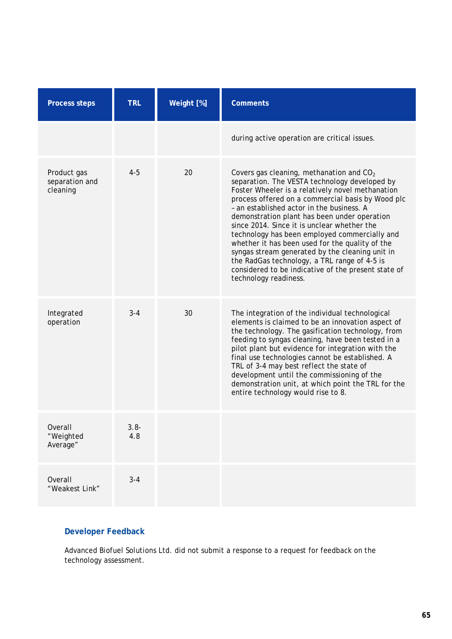| <b>Process steps</b>                      | <b>TRL</b>     | Weight [%] | <b>Comments</b>                                                                                                                                                                                                                                                                                                                                                                                                                                                                                                                                                                                                                                   |
|-------------------------------------------|----------------|------------|---------------------------------------------------------------------------------------------------------------------------------------------------------------------------------------------------------------------------------------------------------------------------------------------------------------------------------------------------------------------------------------------------------------------------------------------------------------------------------------------------------------------------------------------------------------------------------------------------------------------------------------------------|
|                                           |                |            | during active operation are critical issues.                                                                                                                                                                                                                                                                                                                                                                                                                                                                                                                                                                                                      |
| Product gas<br>separation and<br>cleaning | $4 - 5$        | 20         | Covers gas cleaning, methanation and CO <sub>2</sub><br>separation. The VESTA technology developed by<br>Foster Wheeler is a relatively novel methanation<br>process offered on a commercial basis by Wood plc<br>- an established actor in the business. A<br>demonstration plant has been under operation<br>since 2014. Since it is unclear whether the<br>technology has been employed commercially and<br>whether it has been used for the quality of the<br>syngas stream generated by the cleaning unit in<br>the RadGas technology, a TRL range of 4-5 is<br>considered to be indicative of the present state of<br>technology readiness. |
| Integrated<br>operation                   | $3 - 4$        | 30         | The integration of the individual technological<br>elements is claimed to be an innovation aspect of<br>the technology. The gasification technology, from<br>feeding to syngas cleaning, have been tested in a<br>pilot plant but evidence for integration with the<br>final use technologies cannot be established. A<br>TRL of 3-4 may best reflect the state of<br>development until the commissioning of the<br>demonstration unit, at which point the TRL for the<br>entire technology would rise to 8.                                                                                                                                      |
| Overall<br>"Weighted<br>Average"          | $3.8 -$<br>4.8 |            |                                                                                                                                                                                                                                                                                                                                                                                                                                                                                                                                                                                                                                                   |
| Overall<br>"Weakest Link"                 | $3 - 4$        |            |                                                                                                                                                                                                                                                                                                                                                                                                                                                                                                                                                                                                                                                   |

Advanced Biofuel Solutions Ltd. did not submit a response to a request for feedback on the technology assessment.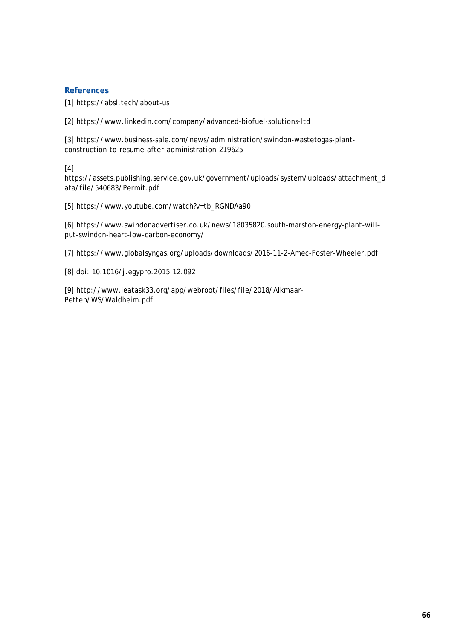# **References**

[1] https://absl.tech/about-us

[2] https://www.linkedin.com/company/advanced-biofuel-solutions-ltd

[3] https://www.business-sale.com/news/administration/swindon-wastetogas-plantconstruction-to-resume-after-administration-219625

[4]

https://assets.publishing.service.gov.uk/government/uploads/system/uploads/attachment\_d ata/file/540683/Permit.pdf

[5] https://www.youtube.com/watch?v=tb\_RGNDAa90

[6] https://www.swindonadvertiser.co.uk/news/18035820.south-marston-energy-plant-willput-swindon-heart-low-carbon-economy/

[7] https://www.globalsyngas.org/uploads/downloads/2016-11-2-Amec-Foster-Wheeler.pdf

[8] doi: 10.1016/j.egypro.2015.12.092

[9] http://www.ieatask33.org/app/webroot/files/file/2018/Alkmaar-Petten/WS/Waldheim.pdf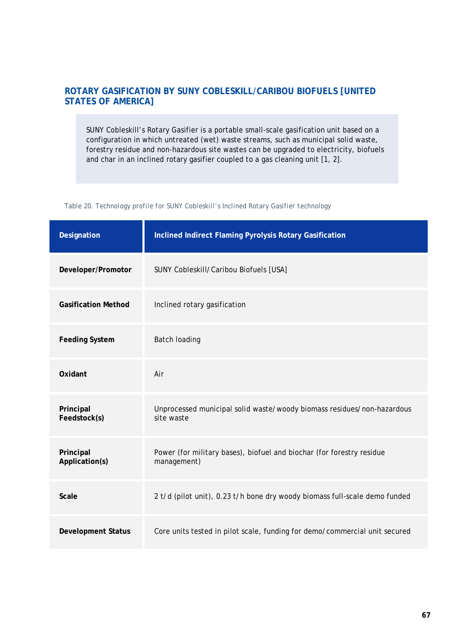# **ROTARY GASIFICATION BY SUNY COBLESKILL/CARIBOU BIOFUELS [UNITED STATES OF AMERICA]**

SUNY Cobleskill's Rotary Gasifier is a portable small-scale gasification unit based on a configuration in which untreated (wet) waste streams, such as municipal solid waste, forestry residue and non-hazardous site wastes can be upgraded to electricity, biofuels and char in an inclined rotary gasifier coupled to a gas cleaning unit [1, 2].

| Table 20. Technology profile for SUNY Cobleskill's Inclined Rotary Gasifier technology |  |  |  |  |
|----------------------------------------------------------------------------------------|--|--|--|--|
|                                                                                        |  |  |  |  |

| Designation                 | Inclined Indirect Flaming Pyrolysis Rotary Gasification                              |
|-----------------------------|--------------------------------------------------------------------------------------|
| Developer/Promotor          | SUNY Cobleskill/Caribou Biofuels [USA]                                               |
| <b>Gasification Method</b>  | Inclined rotary gasification                                                         |
| <b>Feeding System</b>       | Batch loading                                                                        |
| Oxidant                     | Air                                                                                  |
| Principal<br>Feedstock(s)   | Unprocessed municipal solid waste/woody biomass residues/non-hazardous<br>site waste |
| Principal<br>Application(s) | Power (for military bases), biofuel and biochar (for forestry residue<br>management) |
| <b>Scale</b>                | 2 t/d (pilot unit), 0.23 t/h bone dry woody biomass full-scale demo funded           |
| <b>Development Status</b>   | Core units tested in pilot scale, funding for demo/commercial unit secured           |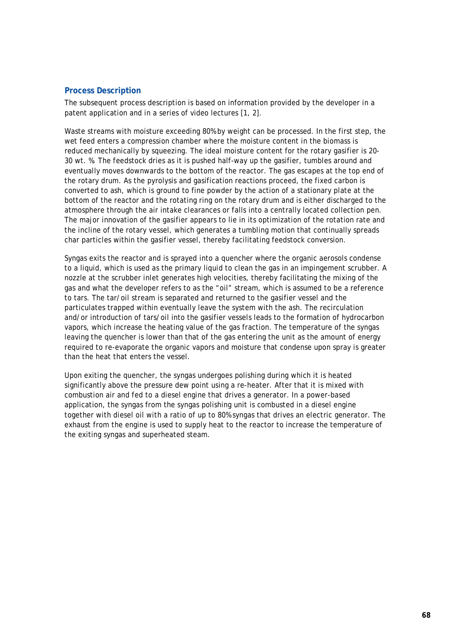# **Process Description**

The subsequent process description is based on information provided by the developer in a patent application and in a series of video lectures [1, 2].

Waste streams with moisture exceeding 80% by weight can be processed. In the first step, the wet feed enters a compression chamber where the moisture content in the biomass is reduced mechanically by squeezing. The ideal moisture content for the rotary gasifier is 20- 30 wt. %. The feedstock dries as it is pushed half-way up the gasifier, tumbles around and eventually moves downwards to the bottom of the reactor. The gas escapes at the top end of the rotary drum. As the pyrolysis and gasification reactions proceed, the fixed carbon is converted to ash, which is ground to fine powder by the action of a stationary plate at the bottom of the reactor and the rotating ring on the rotary drum and is either discharged to the atmosphere through the air intake clearances or falls into a centrally located collection pen. The major innovation of the gasifier appears to lie in its optimization of the rotation rate and the incline of the rotary vessel, which generates a tumbling motion that continually spreads char particles within the gasifier vessel, thereby facilitating feedstock conversion.

Syngas exits the reactor and is sprayed into a quencher where the organic aerosols condense to a liquid, which is used as the primary liquid to clean the gas in an impingement scrubber. A nozzle at the scrubber inlet generates high velocities, thereby facilitating the mixing of the gas and what the developer refers to as the "oil" stream, which is assumed to be a reference to tars. The tar/oil stream is separated and returned to the gasifier vessel and the particulates trapped within eventually leave the system with the ash. The recirculation and/or introduction of tars/oil into the gasifier vessels leads to the formation of hydrocarbon vapors, which increase the heating value of the gas fraction. The temperature of the syngas leaving the quencher is lower than that of the gas entering the unit as the amount of energy required to re-evaporate the organic vapors and moisture that condense upon spray is greater than the heat that enters the vessel.

Upon exiting the quencher, the syngas undergoes polishing during which it is heated significantly above the pressure dew point using a re-heater. After that it is mixed with combustion air and fed to a diesel engine that drives a generator. In a power-based application, the syngas from the syngas polishing unit is combusted in a diesel engine together with diesel oil with a ratio of up to 80% syngas that drives an electric generator. The exhaust from the engine is used to supply heat to the reactor to increase the temperature of the exiting syngas and superheated steam.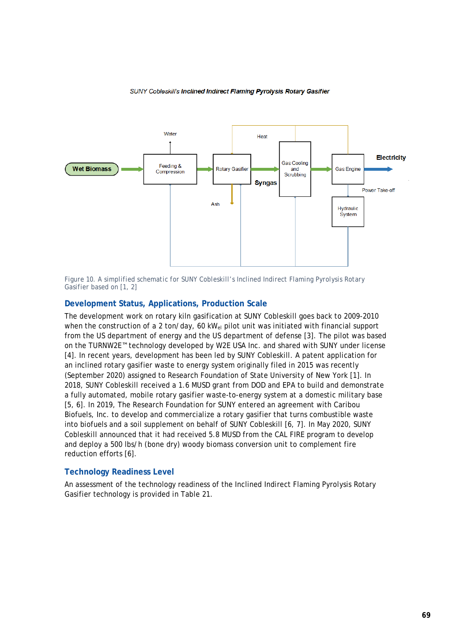#### SUNY Cobleskil's Inclined Indirect Flaming Pyrolysis Rotary Gasifier



*Figure 10. A simplified schematic for SUNY Cobleskill's Inclined Indirect Flaming Pyrolysis Rotary Gasifier based on [1, 2]*

# **Development Status, Applications, Production Scale**

The development work on rotary kiln gasification at SUNY Cobleskill goes back to 2009-2010 when the construction of a 2 ton/day, 60 kW<sub>el</sub> pilot unit was initiated with financial support from the US department of energy and the US department of defense [3]. The pilot was based on the TURNW2E™ technology developed by W2E USA Inc. and shared with SUNY under license [4]. In recent years, development has been led by SUNY Cobleskill. A patent application for an inclined rotary gasifier waste to energy system originally filed in 2015 was recently (September 2020) assigned to Research Foundation of State University of New York [1]. In 2018, SUNY Cobleskill received a 1.6 MUSD grant from DOD and EPA to build and demonstrate a fully automated, mobile rotary gasifier waste-to-energy system at a domestic military base [5, 6]. In 2019, The Research Foundation for SUNY entered an agreement with Caribou Biofuels, Inc. to develop and commercialize a rotary gasifier that turns combustible waste into biofuels and a soil supplement on behalf of SUNY Cobleskill [6, 7]. In May 2020, SUNY Cobleskill announced that it had received 5.8 MUSD from the CAL FIRE program to develop and deploy a 500 lbs/h (bone dry) woody biomass conversion unit to complement fire reduction efforts [6].

### **Technology Readiness Level**

<span id="page-70-0"></span>An assessment of the technology readiness of the Inclined Indirect Flaming Pyrolysis Rotary Gasifier technology is provided in [Table 21.](#page-70-0)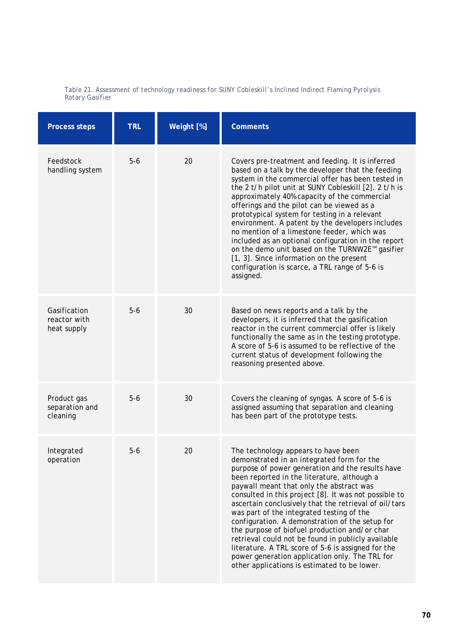| <b>Process steps</b>                        | <b>TRL</b> | Weight [%] | <b>Comments</b>                                                                                                                                                                                                                                                                                                                                                                                                                                                                                                                                                                                                                                                                                                   |
|---------------------------------------------|------------|------------|-------------------------------------------------------------------------------------------------------------------------------------------------------------------------------------------------------------------------------------------------------------------------------------------------------------------------------------------------------------------------------------------------------------------------------------------------------------------------------------------------------------------------------------------------------------------------------------------------------------------------------------------------------------------------------------------------------------------|
| Feedstock<br>handling system                | $5-6$      | 20         | Covers pre-treatment and feeding. It is inferred<br>based on a talk by the developer that the feeding<br>system in the commercial offer has been tested in<br>the 2 t/h pilot unit at SUNY Cobleskill [2]. 2 t/h is<br>approximately 40% capacity of the commercial<br>offerings and the pilot can be viewed as a<br>prototypical system for testing in a relevant<br>environment. A patent by the developers includes<br>no mention of a limestone feeder, which was<br>included as an optional configuration in the report<br>on the demo unit based on the TURNW2E <sup>™</sup> gasifier<br>[1, 3]. Since information on the present<br>configuration is scarce, a TRL range of 5-6 is<br>assigned.            |
| Gasification<br>reactor with<br>heat supply | $5-6$      | 30         | Based on news reports and a talk by the<br>developers, it is inferred that the gasification<br>reactor in the current commercial offer is likely<br>functionally the same as in the testing prototype.<br>A score of 5-6 is assumed to be reflective of the<br>current status of development following the<br>reasoning presented above.                                                                                                                                                                                                                                                                                                                                                                          |
| Product gas<br>separation and<br>cleaning   | $5-6$      | 30         | Covers the cleaning of syngas. A score of 5-6 is<br>assigned assuming that separation and cleaning<br>has been part of the prototype tests.                                                                                                                                                                                                                                                                                                                                                                                                                                                                                                                                                                       |
| Integrated<br>operation                     | $5-6$      | 20         | The technology appears to have been<br>demonstrated in an integrated form for the<br>purpose of power generation and the results have<br>been reported in the literature, although a<br>paywall meant that only the abstract was<br>consulted in this project [8]. It was not possible to<br>ascertain conclusively that the retrieval of oil/tars<br>was part of the integrated testing of the<br>configuration. A demonstration of the setup for<br>the purpose of biofuel production and/or char<br>retrieval could not be found in publicly available<br>literature. A TRL score of 5-6 is assigned for the<br>power generation application only. The TRL for<br>other applications is estimated to be lower. |

#### *Table 21. Assessment of technology readiness for SUNY Cobleskill's Inclined Indirect Flaming Pyrolysis Rotary Gasifier*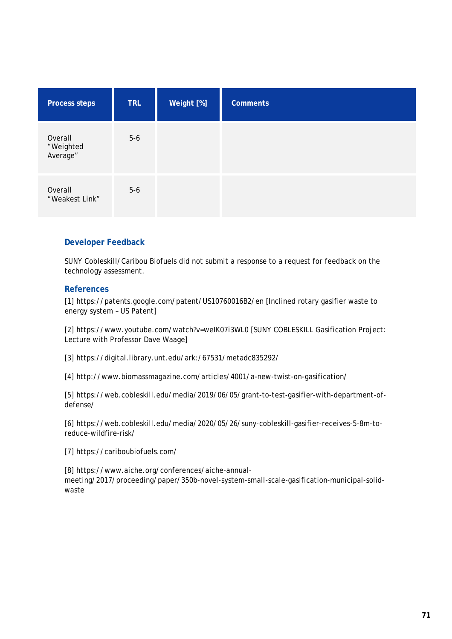| <b>Process steps</b>             | <b>TRL</b> | Weight [%] | <b>Comments</b> |
|----------------------------------|------------|------------|-----------------|
| Overall<br>"Weighted<br>Average" | $5-6$      |            |                 |
| Overall<br>"Weakest Link"        | $5-6$      |            |                 |

## **Developer Feedback**

SUNY Cobleskill/Caribou Biofuels did not submit a response to a request for feedback on the technology assessment.

### **References**

[1] https://patents.google.com/patent/US10760016B2/en [Inclined rotary gasifier waste to energy system – US Patent]

[2] https://www.youtube.com/watch?v=weIK07i3WL0 [SUNY COBLESKILL Gasification Project: Lecture with Professor Dave Waage]

[3] https://digital.library.unt.edu/ark:/67531/metadc835292/

[4] http://www.biomassmagazine.com/articles/4001/a-new-twist-on-gasification/

[5] https://web.cobleskill.edu/media/2019/06/05/grant-to-test-gasifier-with-department-ofdefense/

[6] https://web.cobleskill.edu/media/2020/05/26/suny-cobleskill-gasifier-receives-5-8m-toreduce-wildfire-risk/

[7] https://cariboubiofuels.com/

[8] https://www.aiche.org/conferences/aiche-annualmeeting/2017/proceeding/paper/350b-novel-system-small-scale-gasification-municipal-solidwaste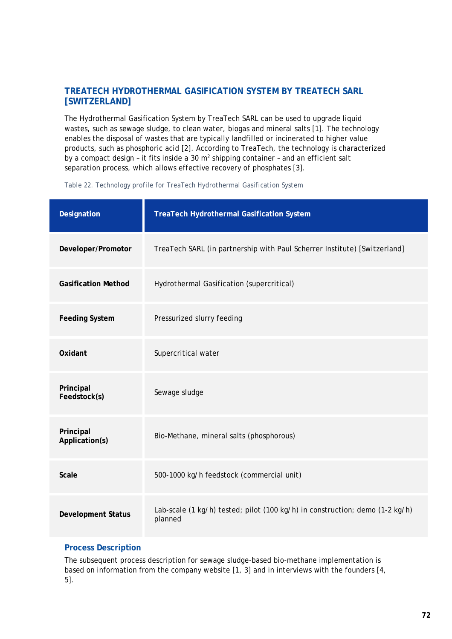# **TREATECH HYDROTHERMAL GASIFICATION SYSTEM BY TREATECH SARL [SWITZERLAND]**

The Hydrothermal Gasification System by TreaTech SARL can be used to upgrade liquid wastes, such as sewage sludge, to clean water, biogas and mineral salts [1]. The technology enables the disposal of wastes that are typically landfilled or incinerated to higher value products, such as phosphoric acid [2]. According to TreaTech, the technology is characterized by a compact design - it fits inside a 30 m<sup>2</sup> shipping container - and an efficient salt separation process, which allows effective recovery of phosphates [3].

| Designation                 | <b>TreaTech Hydrothermal Gasification System</b>                                        |
|-----------------------------|-----------------------------------------------------------------------------------------|
| Developer/Promotor          | TreaTech SARL (in partnership with Paul Scherrer Institute) [Switzerland]               |
| <b>Gasification Method</b>  | Hydrothermal Gasification (supercritical)                                               |
| <b>Feeding System</b>       | Pressurized slurry feeding                                                              |
| Oxidant                     | Supercritical water                                                                     |
| Principal<br>Feedstock(s)   | Sewage sludge                                                                           |
| Principal<br>Application(s) | Bio-Methane, mineral salts (phosphorous)                                                |
| <b>Scale</b>                | 500-1000 kg/h feedstock (commercial unit)                                               |
| <b>Development Status</b>   | Lab-scale (1 kg/h) tested; pilot (100 kg/h) in construction; demo (1-2 kg/h)<br>planned |

*Table 22. Technology profile for TreaTech Hydrothermal Gasification System*

## **Process Description**

The subsequent process description for sewage sludge-based bio-methane implementation is based on information from the company website [1, 3] and in interviews with the founders [4, 5].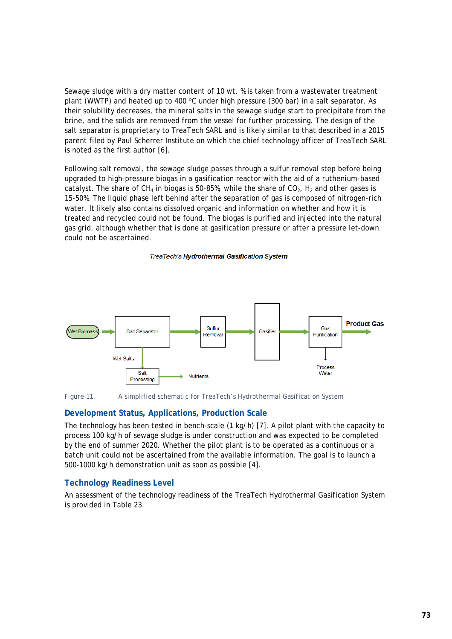Sewage sludge with a dry matter content of 10 wt. % is taken from a wastewater treatment plant (WWTP) and heated up to 400 °C under high pressure (300 bar) in a salt separator. As their solubility decreases, the mineral salts in the sewage sludge start to precipitate from the brine, and the solids are removed from the vessel for further processing. The design of the salt separator is proprietary to TreaTech SARL and is likely similar to that described in a 2015 parent filed by Paul Scherrer Institute on which the chief technology officer of TreaTech SARL is noted as the first author [6].

Following salt removal, the sewage sludge passes through a sulfur removal step before being upgraded to high-pressure biogas in a gasification reactor with the aid of a ruthenium-based catalyst. The share of CH<sub>4</sub> in biogas is 50-85%, while the share of CO<sub>2</sub>, H<sub>2</sub> and other gases is 15-50%. The liquid phase left behind after the separation of gas is composed of nitrogen-rich water. It likely also contains dissolved organic and information on whether and how it is treated and recycled could not be found. The biogas is purified and injected into the natural gas grid, although whether that is done at gasification pressure or after a pressure let-down could not be ascertained.

#### **TreaTech's Hydrothermal Gasification System**



#### *Figure 11. A simplified schematic for TreaTech's Hydrothermal Gasification System*

### **Development Status, Applications, Production Scale**

The technology has been tested in bench-scale (1 kg/h) [7]. A pilot plant with the capacity to process 100 kg/h of sewage sludge is under construction and was expected to be completed by the end of summer 2020. Whether the pilot plant is to be operated as a continuous or a batch unit could not be ascertained from the available information. The goal is to launch a 500-1000 kg/h demonstration unit as soon as possible [4].

#### **Technology Readiness Level**

<span id="page-74-0"></span>An assessment of the technology readiness of the TreaTech Hydrothermal Gasification System is provided in [Table 23.](#page-74-0)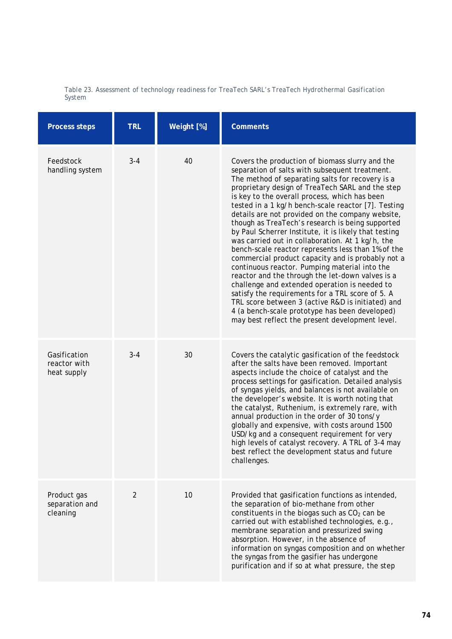|        | Table 23. Assessment of technology readiness for TreaTech SARL's TreaTech Hydrothermal Gasification |  |  |  |
|--------|-----------------------------------------------------------------------------------------------------|--|--|--|
| System |                                                                                                     |  |  |  |

| <b>Process steps</b>                        | <b>TRL</b>     | Weight [%] | <b>Comments</b>                                                                                                                                                                                                                                                                                                                                                                                                                                                                                                                                                                                                                                                                                                                                                                                                                                                                                                                                                                                                       |
|---------------------------------------------|----------------|------------|-----------------------------------------------------------------------------------------------------------------------------------------------------------------------------------------------------------------------------------------------------------------------------------------------------------------------------------------------------------------------------------------------------------------------------------------------------------------------------------------------------------------------------------------------------------------------------------------------------------------------------------------------------------------------------------------------------------------------------------------------------------------------------------------------------------------------------------------------------------------------------------------------------------------------------------------------------------------------------------------------------------------------|
| Feedstock<br>handling system                | $3 - 4$        | 40         | Covers the production of biomass slurry and the<br>separation of salts with subsequent treatment.<br>The method of separating salts for recovery is a<br>proprietary design of TreaTech SARL and the step<br>is key to the overall process, which has been<br>tested in a 1 kg/h bench-scale reactor [7]. Testing<br>details are not provided on the company website,<br>though as TreaTech's research is being supported<br>by Paul Scherrer Institute, it is likely that testing<br>was carried out in collaboration. At 1 kg/h, the<br>bench-scale reactor represents less than 1% of the<br>commercial product capacity and is probably not a<br>continuous reactor. Pumping material into the<br>reactor and the through the let-down valves is a<br>challenge and extended operation is needed to<br>satisfy the requirements for a TRL score of 5. A<br>TRL score between 3 (active R&D is initiated) and<br>4 (a bench-scale prototype has been developed)<br>may best reflect the present development level. |
| Gasification<br>reactor with<br>heat supply | $3 - 4$        | 30         | Covers the catalytic gasification of the feedstock<br>after the salts have been removed. Important<br>aspects include the choice of catalyst and the<br>process settings for gasification. Detailed analysis<br>of syngas yields, and balances is not available on<br>the developer's website. It is worth noting that<br>the catalyst, Ruthenium, is extremely rare, with<br>annual production in the order of 30 tons/y<br>globally and expensive, with costs around 1500<br>USD/kg and a consequent requirement for very<br>high levels of catalyst recovery. A TRL of 3-4 may<br>best reflect the development status and future<br>challenges.                                                                                                                                                                                                                                                                                                                                                                    |
| Product gas<br>separation and<br>cleaning   | $\overline{2}$ | 10         | Provided that gasification functions as intended,<br>the separation of bio-methane from other<br>constituents in the biogas such as $CO2$ can be<br>carried out with established technologies, e.g.,<br>membrane separation and pressurized swing<br>absorption. However, in the absence of<br>information on syngas composition and on whether<br>the syngas from the gasifier has undergone<br>purification and if so at what pressure, the step                                                                                                                                                                                                                                                                                                                                                                                                                                                                                                                                                                    |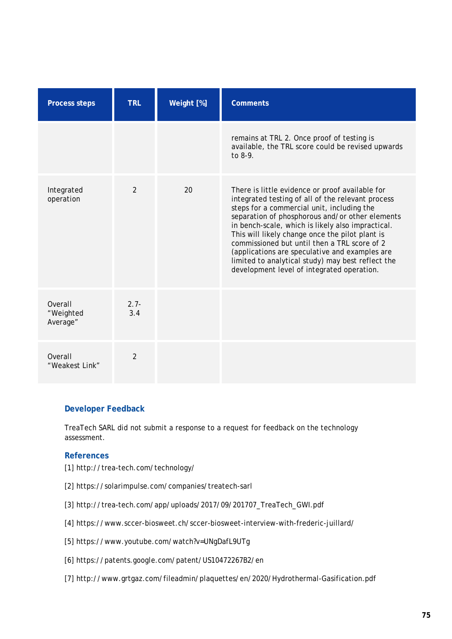| <b>Process steps</b>             | <b>TRL</b>     | Weight [%] | <b>Comments</b>                                                                                                                                                                                                                                                                                                                                                                                                                                                                                                    |  |
|----------------------------------|----------------|------------|--------------------------------------------------------------------------------------------------------------------------------------------------------------------------------------------------------------------------------------------------------------------------------------------------------------------------------------------------------------------------------------------------------------------------------------------------------------------------------------------------------------------|--|
|                                  |                |            | remains at TRL 2. Once proof of testing is<br>available, the TRL score could be revised upwards<br>to $8-9$ .                                                                                                                                                                                                                                                                                                                                                                                                      |  |
| Integrated<br>operation          | $\mathfrak{D}$ | 20         | There is little evidence or proof available for<br>integrated testing of all of the relevant process<br>steps for a commercial unit, including the<br>separation of phosphorous and/or other elements<br>in bench-scale, which is likely also impractical.<br>This will likely change once the pilot plant is<br>commissioned but until then a TRL score of 2<br>(applications are speculative and examples are<br>limited to analytical study) may best reflect the<br>development level of integrated operation. |  |
| Overall<br>"Weighted<br>Average" | $2.7 -$<br>3.4 |            |                                                                                                                                                                                                                                                                                                                                                                                                                                                                                                                    |  |
| Overall<br>"Weakest Link"        | 2              |            |                                                                                                                                                                                                                                                                                                                                                                                                                                                                                                                    |  |

## **Developer Feedback**

TreaTech SARL did not submit a response to a request for feedback on the technology assessment.

### **References**

- [1] http://trea-tech.com/technology/
- [2] https://solarimpulse.com/companies/treatech-sarl
- [3] http://trea-tech.com/app/uploads/2017/09/201707\_TreaTech\_GWI.pdf
- [4] https://www.sccer-biosweet.ch/sccer-biosweet-interview-with-frederic-juillard/
- [5] https://www.youtube.com/watch?v=UNgDafL9UTg
- [6] https://patents.google.com/patent/US10472267B2/en
- [7] http://www.grtgaz.com/fileadmin/plaquettes/en/2020/Hydrothermal-Gasification.pdf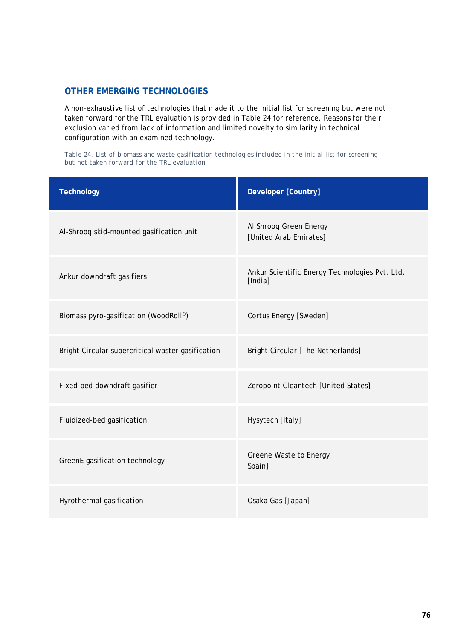# **OTHER EMERGING TECHNOLOGIES**

A non-exhaustive list of technologies that made it to the initial list for screening but were not taken forward for the TRL evaluation is provided in [Table 24](#page-77-0) for reference. Reasons for their exclusion varied from lack of information and limited novelty to similarity in technical configuration with an examined technology.

<span id="page-77-0"></span>*Table 24. List of biomass and waste gasification technologies included in the initial list for screening but not taken forward for the TRL evaluation*

| <b>Technology</b>                                 | Developer [Country]                                       |  |  |
|---------------------------------------------------|-----------------------------------------------------------|--|--|
| Al-Shrooq skid-mounted gasification unit          | Al Shrooq Green Energy<br>[United Arab Emirates]          |  |  |
| Ankur downdraft gasifiers                         | Ankur Scientific Energy Technologies Pvt. Ltd.<br>[India] |  |  |
| Biomass pyro-gasification (WoodRoll®)             | Cortus Energy [Sweden]                                    |  |  |
| Bright Circular supercritical waster gasification | Bright Circular [The Netherlands]                         |  |  |
| Fixed-bed downdraft gasifier                      | Zeropoint Cleantech [United States]                       |  |  |
| Fluidized-bed gasification                        | Hysytech [Italy]                                          |  |  |
| GreenE gasification technology                    | Greene Waste to Energy<br>Spain]                          |  |  |
| Hyrothermal gasification                          | Osaka Gas [Japan]                                         |  |  |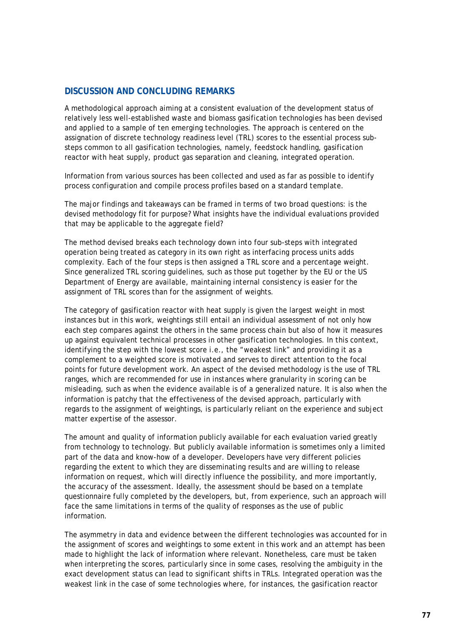## **DISCUSSION AND CONCLUDING REMARKS**

A methodological approach aiming at a consistent evaluation of the development status of relatively less well-established waste and biomass gasification technologies has been devised and applied to a sample of ten emerging technologies. The approach is centered on the assignation of discrete technology readiness level (TRL) scores to the essential process substeps common to all gasification technologies, namely, feedstock handling, gasification reactor with heat supply, product gas separation and cleaning, integrated operation.

Information from various sources has been collected and used as far as possible to identify process configuration and compile process profiles based on a standard template.

The major findings and takeaways can be framed in terms of two broad questions: is the devised methodology fit for purpose? What insights have the individual evaluations provided that may be applicable to the aggregate field?

The method devised breaks each technology down into four sub-steps with integrated operation being treated as category in its own right as interfacing process units adds complexity. Each of the four steps is then assigned a TRL score and a percentage weight. Since generalized TRL scoring guidelines, such as those put together by the EU or the US Department of Energy are available, maintaining internal consistency is easier for the assignment of TRL scores than for the assignment of weights.

The category of gasification reactor with heat supply is given the largest weight in most instances but in this work, weightings still entail an individual assessment of not only how each step compares against the others in the same process chain but also of how it measures up against equivalent technical processes in other gasification technologies. In this context, identifying the step with the lowest score i.e., the "weakest link" and providing it as a complement to a weighted score is motivated and serves to direct attention to the focal points for future development work. An aspect of the devised methodology is the use of TRL ranges, which are recommended for use in instances where granularity in scoring can be misleading, such as when the evidence available is of a generalized nature. It is also when the information is patchy that the effectiveness of the devised approach, particularly with regards to the assignment of weightings, is particularly reliant on the experience and subject matter expertise of the assessor.

The amount and quality of information publicly available for each evaluation varied greatly from technology to technology. But publicly available information is sometimes only a limited part of the data and know-how of a developer. Developers have very different policies regarding the extent to which they are disseminating results and are willing to release information on request, which will directly influence the possibility, and more importantly, the accuracy of the assessment. Ideally, the assessment should be based on a template questionnaire fully completed by the developers, but, from experience, such an approach will face the same limitations in terms of the quality of responses as the use of public information.

The asymmetry in data and evidence between the different technologies was accounted for in the assignment of scores and weightings to some extent in this work and an attempt has been made to highlight the lack of information where relevant. Nonetheless, care must be taken when interpreting the scores, particularly since in some cases, resolving the ambiguity in the exact development status can lead to significant shifts in TRLs. Integrated operation was the weakest link in the case of some technologies where, for instances, the gasification reactor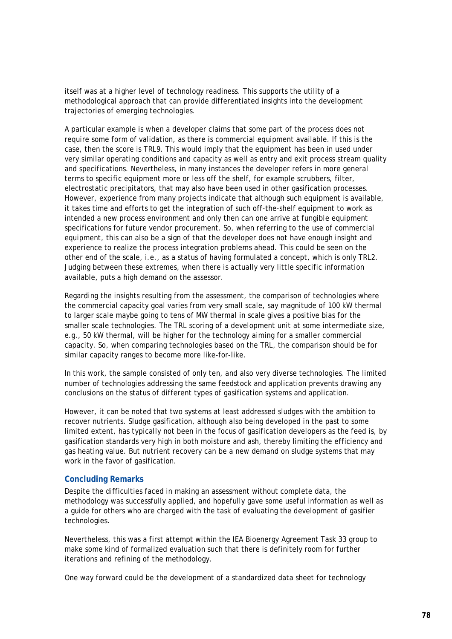itself was at a higher level of technology readiness. This supports the utility of a methodological approach that can provide differentiated insights into the development trajectories of emerging technologies.

A particular example is when a developer claims that some part of the process does not require some form of validation, as there is commercial equipment available. If this is the case, then the score is TRL9. This would imply that the equipment has been in used under very similar operating conditions and capacity as well as entry and exit process stream quality and specifications. Nevertheless, in many instances the developer refers in more general terms to specific equipment more or less off the shelf, for example scrubbers, filter, electrostatic precipitators, that may also have been used in other gasification processes. However, experience from many projects indicate that although such equipment is available, it takes time and efforts to get the integration of such off-the-shelf equipment to work as intended a new process environment and only then can one arrive at fungible equipment specifications for future vendor procurement. So, when referring to the use of commercial equipment, this can also be a sign of that the developer does not have enough insight and experience to realize the process integration problems ahead. This could be seen on the other end of the scale, i.e., as a status of having formulated a concept, which is only TRL2. Judging between these extremes, when there is actually very little specific information available, puts a high demand on the assessor.

Regarding the insights resulting from the assessment, the comparison of technologies where the commercial capacity goal varies from very small scale, say magnitude of 100 kW thermal to larger scale maybe going to tens of MW thermal in scale gives a positive bias for the smaller scale technologies. The TRL scoring of a development unit at some intermediate size, e.g., 50 kW thermal, will be higher for the technology aiming for a smaller commercial capacity. So, when comparing technologies based on the TRL, the comparison should be for similar capacity ranges to become more like-for-like.

In this work, the sample consisted of only ten, and also very diverse technologies. The limited number of technologies addressing the same feedstock and application prevents drawing any conclusions on the status of different types of gasification systems and application.

However, it can be noted that two systems at least addressed sludges with the ambition to recover nutrients. Sludge gasification, although also being developed in the past to some limited extent, has typically not been in the focus of gasification developers as the feed is, by gasification standards very high in both moisture and ash, thereby limiting the efficiency and gas heating value. But nutrient recovery can be a new demand on sludge systems that may work in the favor of gasification.

### **Concluding Remarks**

Despite the difficulties faced in making an assessment without complete data, the methodology was successfully applied, and hopefully gave some useful information as well as a guide for others who are charged with the task of evaluating the development of gasifier technologies.

Nevertheless, this was a first attempt within the IEA Bioenergy Agreement Task 33 group to make some kind of formalized evaluation such that there is definitely room for further iterations and refining of the methodology.

One way forward could be the development of a standardized data sheet for technology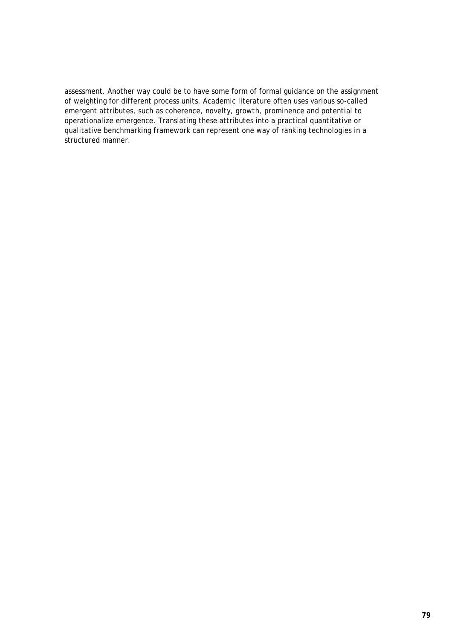assessment. Another way could be to have some form of formal guidance on the assignment of weighting for different process units. Academic literature often uses various so-called emergent attributes, such as coherence, novelty, growth, prominence and potential to operationalize emergence. Translating these attributes into a practical quantitative or qualitative benchmarking framework can represent one way of ranking technologies in a structured manner.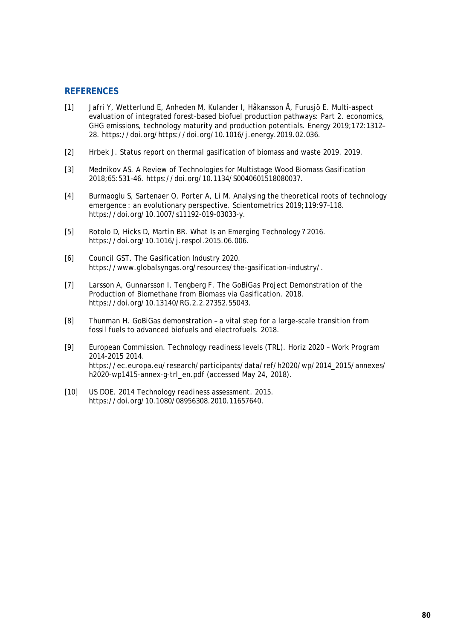### **REFERENCES**

- [1] Jafri Y, Wetterlund E, Anheden M, Kulander I, Håkansson Å, Furusjö E. Multi-aspect evaluation of integrated forest-based biofuel production pathways: Part 2. economics, GHG emissions, technology maturity and production potentials. Energy 2019;172:1312– 28. https://doi.org/https://doi.org/10.1016/j.energy.2019.02.036.
- [2] Hrbek J. Status report on thermal gasification of biomass and waste 2019. 2019.
- [3] Mednikov AS. A Review of Technologies for Multistage Wood Biomass Gasification 2018;65:531–46. https://doi.org/10.1134/S0040601518080037.
- [4] Burmaoglu S, Sartenaer O, Porter A, Li M. Analysing the theoretical roots of technology emergence : an evolutionary perspective. Scientometrics 2019;119:97–118. https://doi.org/10.1007/s11192-019-03033-y.
- [5] Rotolo D, Hicks D, Martin BR. What Is an Emerging Technology ? 2016. https://doi.org/10.1016/j.respol.2015.06.006.
- [6] Council GST. The Gasification Industry 2020. https://www.globalsyngas.org/resources/the-gasification-industry/.
- [7] Larsson A, Gunnarsson I, Tengberg F. The GoBiGas Project Demonstration of the Production of Biomethane from Biomass via Gasification. 2018. https://doi.org/10.13140/RG.2.2.27352.55043.
- [8] Thunman H. GoBiGas demonstration a vital step for a large-scale transition from fossil fuels to advanced biofuels and electrofuels. 2018.
- [9] European Commission. Technology readiness levels (TRL). Horiz 2020 Work Program 2014-2015 2014. https://ec.europa.eu/research/participants/data/ref/h2020/wp/2014\_2015/annexes/ h2020-wp1415-annex-g-trl\_en.pdf (accessed May 24, 2018).
- [10] US DOE. 2014 Technology readiness assessment. 2015. https://doi.org/10.1080/08956308.2010.11657640.